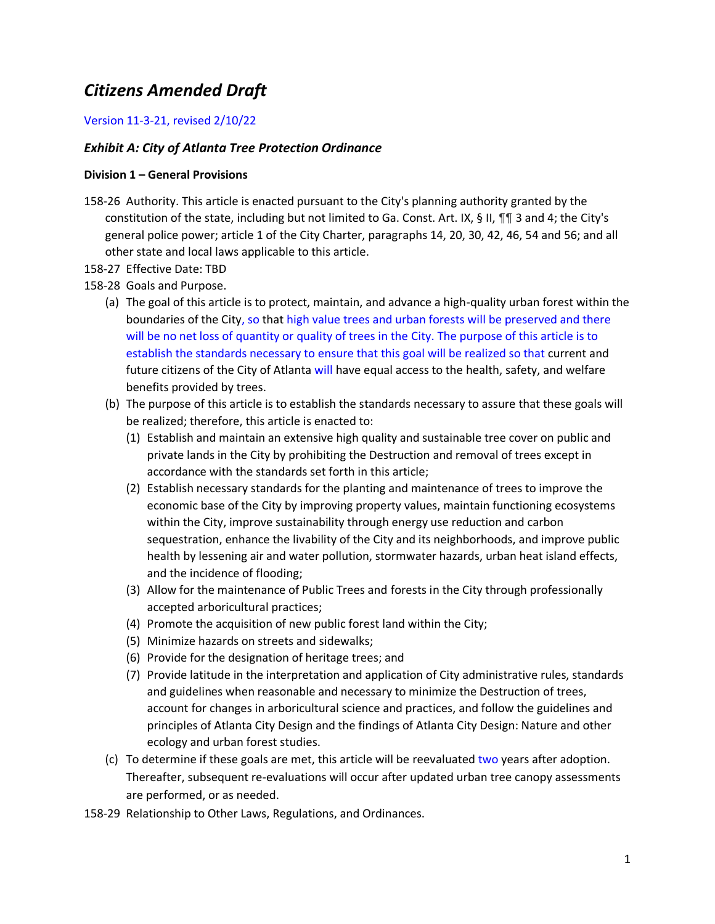# *Citizens Amended Draft*

## Version 11-3-21, revised 2/10/22

## *Exhibit A: City of Atlanta Tree Protection Ordinance*

#### **Division 1 – General Provisions**

- 158-26 Authority. This article is enacted pursuant to the City's planning authority granted by the constitution of the state, including but not limited to Ga. Const. Art. IX, § II,  $\P$  3 and 4; the City's general police power; article 1 of the City Charter, paragraphs 14, 20, 30, 42, 46, 54 and 56; and all other state and local laws applicable to this article.
- 158-27 Effective Date: TBD
- 158-28 Goals and Purpose.
	- (a) The goal of this article is to protect, maintain, and advance a high-quality urban forest within the boundaries of the City, so that high value trees and urban forests will be preserved and there will be no net loss of quantity or quality of trees in the City. The purpose of this article is to establish the standards necessary to ensure that this goal will be realized so that current and future citizens of the City of Atlanta will have equal access to the health, safety, and welfare benefits provided by trees.
	- (b) The purpose of this article is to establish the standards necessary to assure that these goals will be realized; therefore, this article is enacted to:
		- (1) Establish and maintain an extensive high quality and sustainable tree cover on public and private lands in the City by prohibiting the Destruction and removal of trees except in accordance with the standards set forth in this article;
		- (2) Establish necessary standards for the planting and maintenance of trees to improve the economic base of the City by improving property values, maintain functioning ecosystems within the City, improve sustainability through energy use reduction and carbon sequestration, enhance the livability of the City and its neighborhoods, and improve public health by lessening air and water pollution, stormwater hazards, urban heat island effects, and the incidence of flooding;
		- (3) Allow for the maintenance of Public Trees and forests in the City through professionally accepted arboricultural practices;
		- (4) Promote the acquisition of new public forest land within the City;
		- (5) Minimize hazards on streets and sidewalks;
		- (6) Provide for the designation of heritage trees; and
		- (7) Provide latitude in the interpretation and application of City administrative rules, standards and guidelines when reasonable and necessary to minimize the Destruction of trees, account for changes in arboricultural science and practices, and follow the guidelines and principles of Atlanta City Design and the findings of Atlanta City Design: Nature and other ecology and urban forest studies.
	- (c) To determine if these goals are met, this article will be reevaluated two years after adoption. Thereafter, subsequent re-evaluations will occur after updated urban tree canopy assessments are performed, or as needed.
- 158-29 Relationship to Other Laws, Regulations, and Ordinances.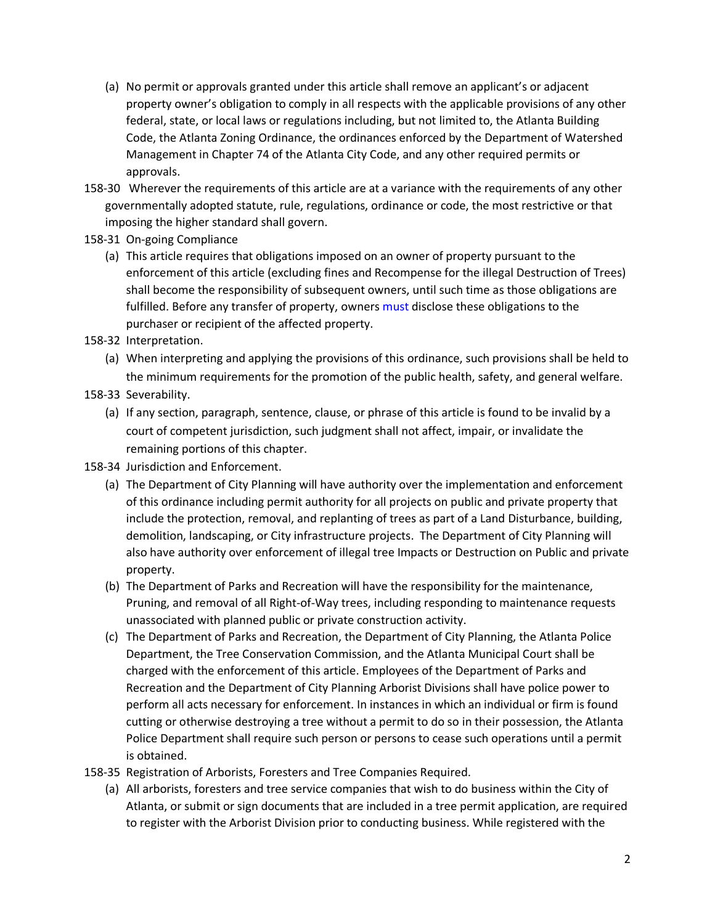- (a) No permit or approvals granted under this article shall remove an applicant's or adjacent property owner's obligation to comply in all respects with the applicable provisions of any other federal, state, or local laws or regulations including, but not limited to, the Atlanta Building Code, the Atlanta Zoning Ordinance, the ordinances enforced by the Department of Watershed Management in Chapter 74 of the Atlanta City Code, and any other required permits or approvals.
- 158-30 Wherever the requirements of this article are at a variance with the requirements of any other governmentally adopted statute, rule, regulations, ordinance or code, the most restrictive or that imposing the higher standard shall govern.
- 158-31 On-going Compliance
	- (a) This article requires that obligations imposed on an owner of property pursuant to the enforcement of this article (excluding fines and Recompense for the illegal Destruction of Trees) shall become the responsibility of subsequent owners, until such time as those obligations are fulfilled. Before any transfer of property, owners must disclose these obligations to the purchaser or recipient of the affected property.
- 158-32 Interpretation.
	- (a) When interpreting and applying the provisions of this ordinance, such provisions shall be held to the minimum requirements for the promotion of the public health, safety, and general welfare.
- 158-33 Severability.
	- (a) If any section, paragraph, sentence, clause, or phrase of this article is found to be invalid by a court of competent jurisdiction, such judgment shall not affect, impair, or invalidate the remaining portions of this chapter.
- 158-34 Jurisdiction and Enforcement.
	- (a) The Department of City Planning will have authority over the implementation and enforcement of this ordinance including permit authority for all projects on public and private property that include the protection, removal, and replanting of trees as part of a Land Disturbance, building, demolition, landscaping, or City infrastructure projects. The Department of City Planning will also have authority over enforcement of illegal tree Impacts or Destruction on Public and private property.
	- (b) The Department of Parks and Recreation will have the responsibility for the maintenance, Pruning, and removal of all Right-of-Way trees, including responding to maintenance requests unassociated with planned public or private construction activity.
	- (c) The Department of Parks and Recreation, the Department of City Planning, the Atlanta Police Department, the Tree Conservation Commission, and the Atlanta Municipal Court shall be charged with the enforcement of this article. Employees of the Department of Parks and Recreation and the Department of City Planning Arborist Divisions shall have police power to perform all acts necessary for enforcement. In instances in which an individual or firm is found cutting or otherwise destroying a tree without a permit to do so in their possession, the Atlanta Police Department shall require such person or persons to cease such operations until a permit is obtained.
- 158-35 Registration of Arborists, Foresters and Tree Companies Required.
	- (a) All arborists, foresters and tree service companies that wish to do business within the City of Atlanta, or submit or sign documents that are included in a tree permit application, are required to register with the Arborist Division prior to conducting business. While registered with the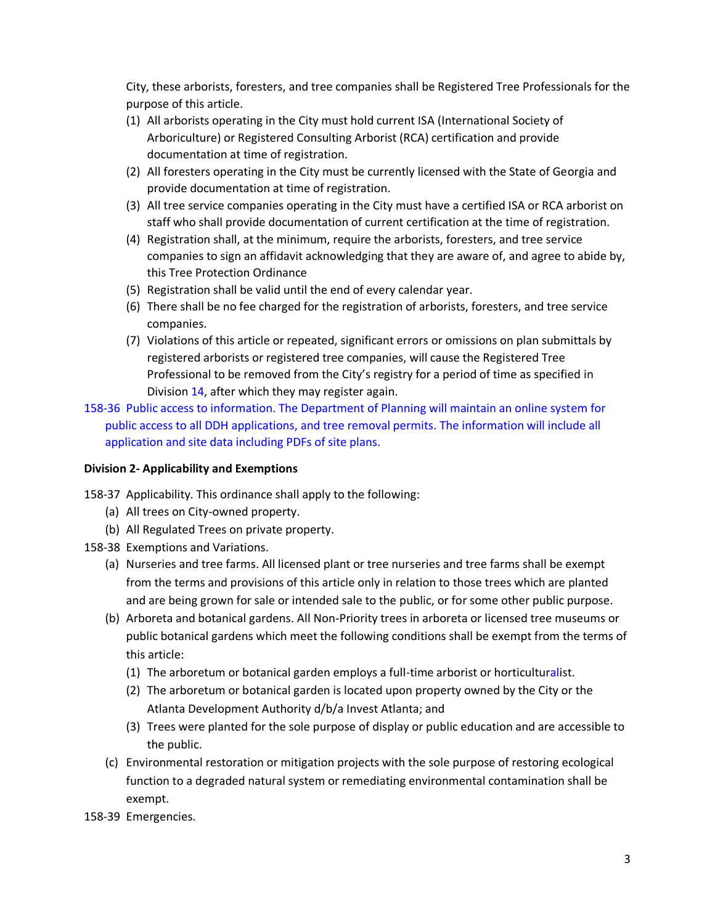City, these arborists, foresters, and tree companies shall be Registered Tree Professionals for the purpose of this article.

- (1) All arborists operating in the City must hold current ISA (International Society of Arboriculture) or Registered Consulting Arborist (RCA) certification and provide documentation at time of registration.
- (2) All foresters operating in the City must be currently licensed with the State of Georgia and provide documentation at time of registration.
- (3) All tree service companies operating in the City must have a certified ISA or RCA arborist on staff who shall provide documentation of current certification at the time of registration.
- (4) Registration shall, at the minimum, require the arborists, foresters, and tree service companies to sign an affidavit acknowledging that they are aware of, and agree to abide by, this Tree Protection Ordinance
- (5) Registration shall be valid until the end of every calendar year.
- (6) There shall be no fee charged for the registration of arborists, foresters, and tree service companies.
- (7) Violations of this article or repeated, significant errors or omissions on plan submittals by registered arborists or registered tree companies, will cause the Registered Tree Professional to be removed from the City's registry for a period of time as specified in Division 14, after which they may register again.
- 158-36 Public access to information. The Department of Planning will maintain an online system for public access to all DDH applications, and tree removal permits. The information will include all application and site data including PDFs of site plans.

## **Division 2- Applicability and Exemptions**

- 158-37 Applicability. This ordinance shall apply to the following:
	- (a) All trees on City-owned property.
	- (b) All Regulated Trees on private property.
- 158-38 Exemptions and Variations.
	- (a) Nurseries and tree farms. All licensed plant or tree nurseries and tree farms shall be exempt from the terms and provisions of this article only in relation to those trees which are planted and are being grown for sale or intended sale to the public, or for some other public purpose.
	- (b) Arboreta and botanical gardens. All Non-Priority trees in arboreta or licensed tree museums or public botanical gardens which meet the following conditions shall be exempt from the terms of this article:
		- (1) The arboretum or botanical garden employs a full-time arborist or horticulturalist.
		- (2) The arboretum or botanical garden is located upon property owned by the City or the Atlanta Development Authority d/b/a Invest Atlanta; and
		- (3) Trees were planted for the sole purpose of display or public education and are accessible to the public.
	- (c) Environmental restoration or mitigation projects with the sole purpose of restoring ecological function to a degraded natural system or remediating environmental contamination shall be exempt.
- 158-39 Emergencies.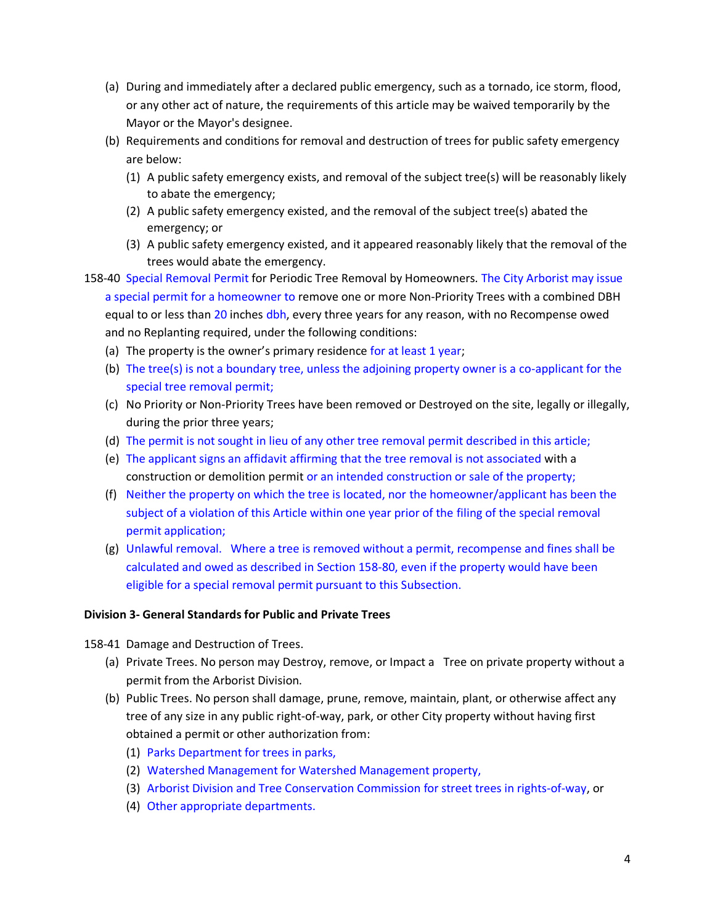- (a) During and immediately after a declared public emergency, such as a tornado, ice storm, flood, or any other act of nature, the requirements of this article may be waived temporarily by the Mayor or the Mayor's designee.
- (b) Requirements and conditions for removal and destruction of trees for public safety emergency are below:
	- (1) A public safety emergency exists, and removal of the subject tree(s) will be reasonably likely to abate the emergency;
	- (2) A public safety emergency existed, and the removal of the subject tree(s) abated the emergency; or
	- (3) A public safety emergency existed, and it appeared reasonably likely that the removal of the trees would abate the emergency.
- 158-40 Special Removal Permit for Periodic Tree Removal by Homeowners. The City Arborist may issue a special permit for a homeowner to remove one or more Non-Priority Trees with a combined DBH equal to or less than 20 inches dbh, every three years for any reason, with no Recompense owed and no Replanting required, under the following conditions:
	- (a) The property is the owner's primary residence for at least 1 year;
	- (b) The tree(s) is not a boundary tree, unless the adjoining property owner is a co-applicant for the special tree removal permit;
	- (c) No Priority or Non-Priority Trees have been removed or Destroyed on the site, legally or illegally, during the prior three years;
	- (d) The permit is not sought in lieu of any other tree removal permit described in this article;
	- (e) The applicant signs an affidavit affirming that the tree removal is not associated with a construction or demolition permit or an intended construction or sale of the property;
	- (f) Neither the property on which the tree is located, nor the homeowner/applicant has been the subject of a violation of this Article within one year prior of the filing of the special removal permit application;
	- (g) Unlawful removal. Where a tree is removed without a permit, recompense and fines shall be calculated and owed as described in Section 158-80, even if the property would have been eligible for a special removal permit pursuant to this Subsection.

### **Division 3- General Standards for Public and Private Trees**

158-41 Damage and Destruction of Trees.

- (a) Private Trees. No person may Destroy, remove, or Impact a Tree on private property without a permit from the Arborist Division.
- (b) Public Trees. No person shall damage, prune, remove, maintain, plant, or otherwise affect any tree of any size in any public right-of-way, park, or other City property without having first obtained a permit or other authorization from:
	- (1) Parks Department for trees in parks,
	- (2) Watershed Management for Watershed Management property,
	- (3) Arborist Division and Tree Conservation Commission for street trees in rights-of-way, or
	- (4) Other appropriate departments.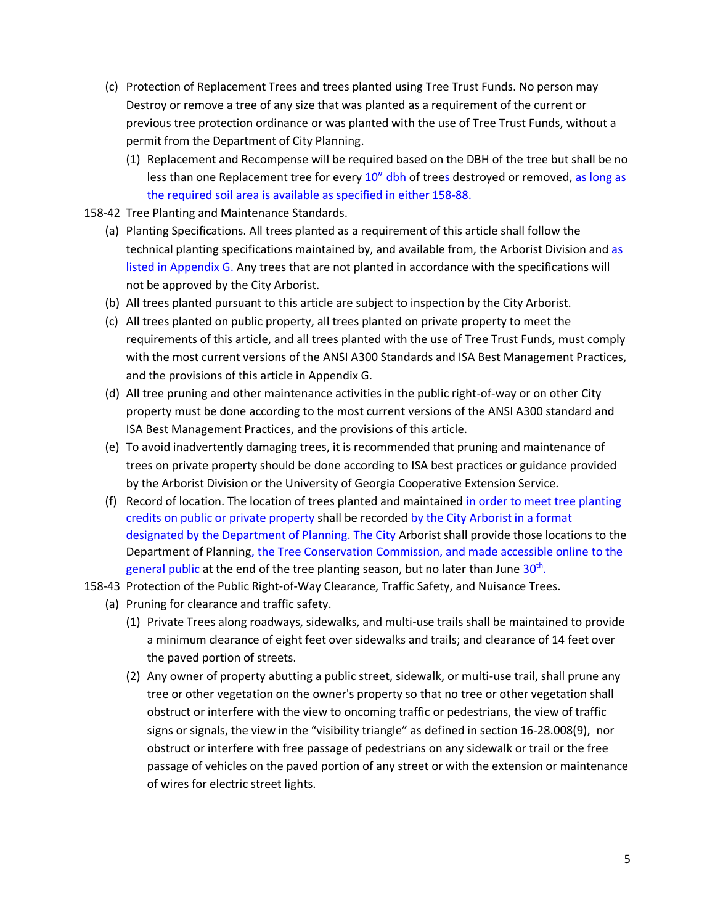- (c) Protection of Replacement Trees and trees planted using Tree Trust Funds. No person may Destroy or remove a tree of any size that was planted as a requirement of the current or previous tree protection ordinance or was planted with the use of Tree Trust Funds, without a permit from the Department of City Planning.
	- (1) Replacement and Recompense will be required based on the DBH of the tree but shall be no less than one Replacement tree for every 10" dbh of trees destroyed or removed, as long as the required soil area is available as specified in either 158-88.
- 158-42 Tree Planting and Maintenance Standards.
	- (a) Planting Specifications. All trees planted as a requirement of this article shall follow the technical planting specifications maintained by, and available from, the Arborist Division and as listed in Appendix G. Any trees that are not planted in accordance with the specifications will not be approved by the City Arborist.
	- (b) All trees planted pursuant to this article are subject to inspection by the City Arborist.
	- (c) All trees planted on public property, all trees planted on private property to meet the requirements of this article, and all trees planted with the use of Tree Trust Funds, must comply with the most current versions of the ANSI A300 Standards and ISA Best Management Practices, and the provisions of this article in Appendix G.
	- (d) All tree pruning and other maintenance activities in the public right-of-way or on other City property must be done according to the most current versions of the ANSI A300 standard and ISA Best Management Practices, and the provisions of this article.
	- (e) To avoid inadvertently damaging trees, it is recommended that pruning and maintenance of trees on private property should be done according to ISA best practices or guidance provided by the Arborist Division or the University of Georgia Cooperative Extension Service.
	- (f) Record of location. The location of trees planted and maintained in order to meet tree planting credits on public or private property shall be recorded by the City Arborist in a format designated by the Department of Planning. The City Arborist shall provide those locations to the Department of Planning, the Tree Conservation Commission, and made accessible online to the general public at the end of the tree planting season, but no later than June 30<sup>th</sup>.
- 158-43 Protection of the Public Right-of-Way Clearance, Traffic Safety, and Nuisance Trees.
	- (a) Pruning for clearance and traffic safety.
		- (1) Private Trees along roadways, sidewalks, and multi-use trails shall be maintained to provide a minimum clearance of eight feet over sidewalks and trails; and clearance of 14 feet over the paved portion of streets.
		- (2) Any owner of property abutting a public street, sidewalk, or multi-use trail, shall prune any tree or other vegetation on the owner's property so that no tree or other vegetation shall obstruct or interfere with the view to oncoming traffic or pedestrians, the view of traffic signs or signals, the view in the "visibility triangle" as defined in section 16-28.008(9), nor obstruct or interfere with free passage of pedestrians on any sidewalk or trail or the free passage of vehicles on the paved portion of any street or with the extension or maintenance of wires for electric street lights.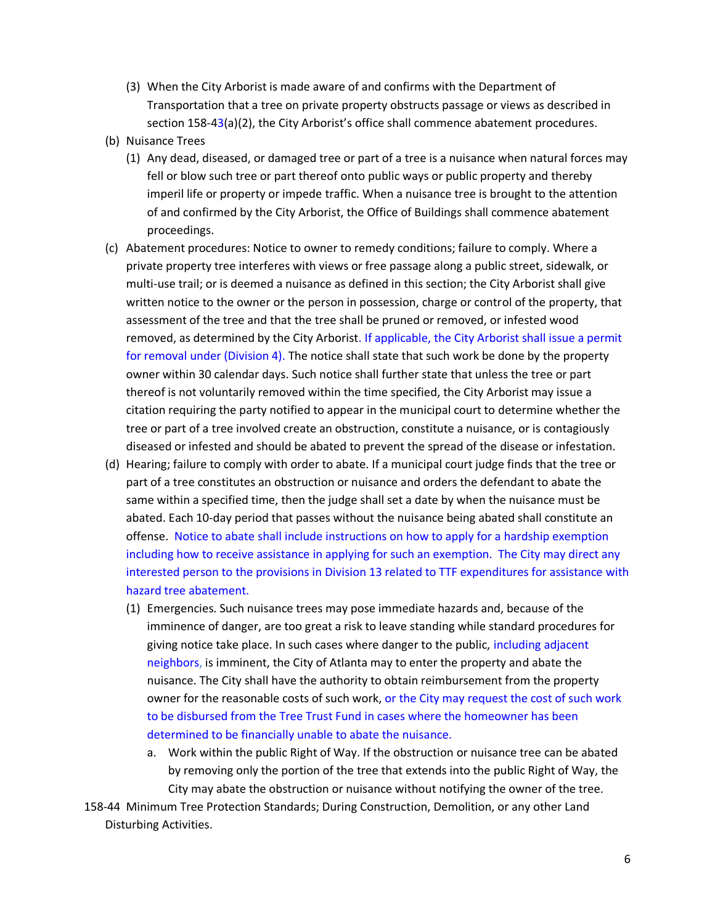- (3) When the City Arborist is made aware of and confirms with the Department of Transportation that a tree on private property obstructs passage or views as described in section 158-43(a)(2), the City Arborist's office shall commence abatement procedures.
- (b) Nuisance Trees
	- (1) Any dead, diseased, or damaged tree or part of a tree is a nuisance when natural forces may fell or blow such tree or part thereof onto public ways or public property and thereby imperil life or property or impede traffic. When a nuisance tree is brought to the attention of and confirmed by the City Arborist, the Office of Buildings shall commence abatement proceedings.
- (c) Abatement procedures: Notice to owner to remedy conditions; failure to comply. Where a private property tree interferes with views or free passage along a public street, sidewalk, or multi-use trail; or is deemed a nuisance as defined in this section; the City Arborist shall give written notice to the owner or the person in possession, charge or control of the property, that assessment of the tree and that the tree shall be pruned or removed, or infested wood removed, as determined by the City Arborist. If applicable, the City Arborist shall issue a permit for removal under (Division 4). The notice shall state that such work be done by the property owner within 30 calendar days. Such notice shall further state that unless the tree or part thereof is not voluntarily removed within the time specified, the City Arborist may issue a citation requiring the party notified to appear in the municipal court to determine whether the tree or part of a tree involved create an obstruction, constitute a nuisance, or is contagiously diseased or infested and should be abated to prevent the spread of the disease or infestation.
- (d) Hearing; failure to comply with order to abate. If a municipal court judge finds that the tree or part of a tree constitutes an obstruction or nuisance and orders the defendant to abate the same within a specified time, then the judge shall set a date by when the nuisance must be abated. Each 10-day period that passes without the nuisance being abated shall constitute an offense. Notice to abate shall include instructions on how to apply for a hardship exemption including how to receive assistance in applying for such an exemption. The City may direct any interested person to the provisions in Division 13 related to TTF expenditures for assistance with hazard tree abatement.
	- (1) Emergencies. Such nuisance trees may pose immediate hazards and, because of the imminence of danger, are too great a risk to leave standing while standard procedures for giving notice take place. In such cases where danger to the public, including adjacent neighbors, is imminent, the City of Atlanta may to enter the property and abate the nuisance. The City shall have the authority to obtain reimbursement from the property owner for the reasonable costs of such work, or the City may request the cost of such work to be disbursed from the Tree Trust Fund in cases where the homeowner has been determined to be financially unable to abate the nuisance.
		- a. Work within the public Right of Way. If the obstruction or nuisance tree can be abated by removing only the portion of the tree that extends into the public Right of Way, the City may abate the obstruction or nuisance without notifying the owner of the tree.
- 158-44 Minimum Tree Protection Standards; During Construction, Demolition, or any other Land Disturbing Activities.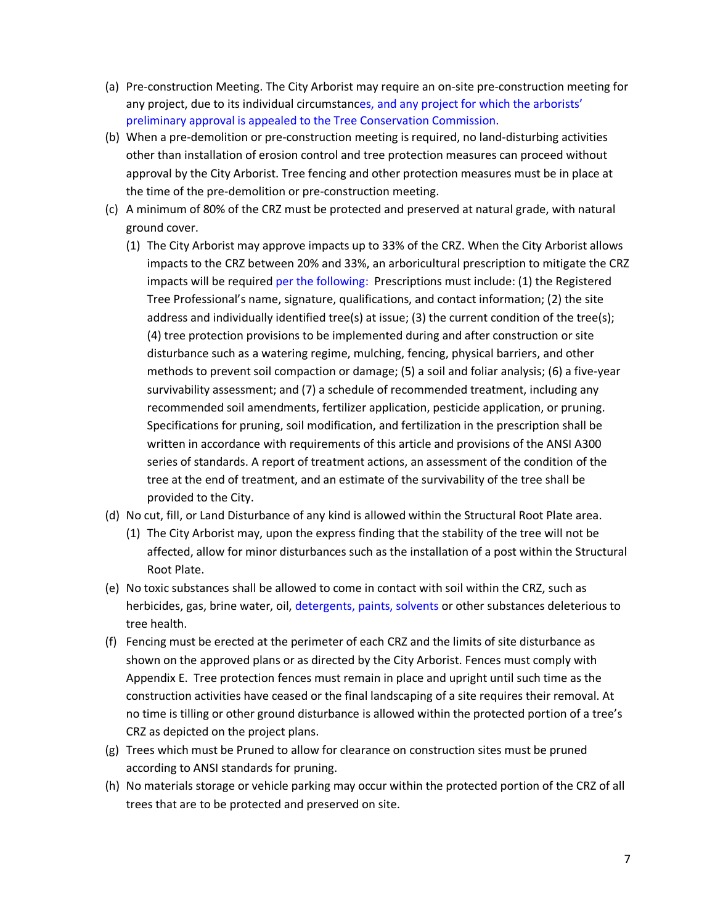- (a) Pre-construction Meeting. The City Arborist may require an on-site pre-construction meeting for any project, due to its individual circumstances, and any project for which the arborists' preliminary approval is appealed to the Tree Conservation Commission.
- (b) When a pre-demolition or pre-construction meeting is required, no land-disturbing activities other than installation of erosion control and tree protection measures can proceed without approval by the City Arborist. Tree fencing and other protection measures must be in place at the time of the pre-demolition or pre-construction meeting.
- (c) A minimum of 80% of the CRZ must be protected and preserved at natural grade, with natural ground cover.
	- (1) The City Arborist may approve impacts up to 33% of the CRZ. When the City Arborist allows impacts to the CRZ between 20% and 33%, an arboricultural prescription to mitigate the CRZ impacts will be required per the following: Prescriptions must include: (1) the Registered Tree Professional's name, signature, qualifications, and contact information; (2) the site address and individually identified tree(s) at issue; (3) the current condition of the tree(s); (4) tree protection provisions to be implemented during and after construction or site disturbance such as a watering regime, mulching, fencing, physical barriers, and other methods to prevent soil compaction or damage; (5) a soil and foliar analysis; (6) a five-year survivability assessment; and (7) a schedule of recommended treatment, including any recommended soil amendments, fertilizer application, pesticide application, or pruning. Specifications for pruning, soil modification, and fertilization in the prescription shall be written in accordance with requirements of this article and provisions of the ANSI A300 series of standards. A report of treatment actions, an assessment of the condition of the tree at the end of treatment, and an estimate of the survivability of the tree shall be provided to the City.
- (d) No cut, fill, or Land Disturbance of any kind is allowed within the Structural Root Plate area.
	- (1) The City Arborist may, upon the express finding that the stability of the tree will not be affected, allow for minor disturbances such as the installation of a post within the Structural Root Plate.
- (e) No toxic substances shall be allowed to come in contact with soil within the CRZ, such as herbicides, gas, brine water, oil, detergents, paints, solvents or other substances deleterious to tree health.
- (f) Fencing must be erected at the perimeter of each CRZ and the limits of site disturbance as shown on the approved plans or as directed by the City Arborist. Fences must comply with Appendix E. Tree protection fences must remain in place and upright until such time as the construction activities have ceased or the final landscaping of a site requires their removal. At no time is tilling or other ground disturbance is allowed within the protected portion of a tree's CRZ as depicted on the project plans.
- (g) Trees which must be Pruned to allow for clearance on construction sites must be pruned according to ANSI standards for pruning.
- (h) No materials storage or vehicle parking may occur within the protected portion of the CRZ of all trees that are to be protected and preserved on site.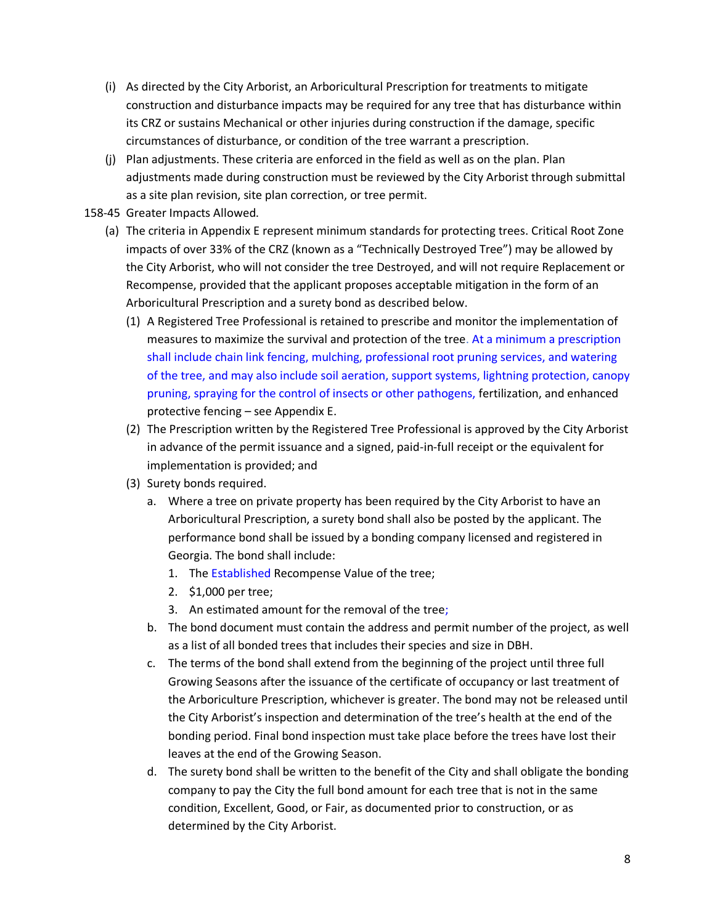- (i) As directed by the City Arborist, an Arboricultural Prescription for treatments to mitigate construction and disturbance impacts may be required for any tree that has disturbance within its CRZ or sustains Mechanical or other injuries during construction if the damage, specific circumstances of disturbance, or condition of the tree warrant a prescription.
- (j) Plan adjustments. These criteria are enforced in the field as well as on the plan. Plan adjustments made during construction must be reviewed by the City Arborist through submittal as a site plan revision, site plan correction, or tree permit.
- 158-45 Greater Impacts Allowed.
	- (a) The criteria in Appendix E represent minimum standards for protecting trees. Critical Root Zone impacts of over 33% of the CRZ (known as a "Technically Destroyed Tree") may be allowed by the City Arborist, who will not consider the tree Destroyed, and will not require Replacement or Recompense, provided that the applicant proposes acceptable mitigation in the form of an Arboricultural Prescription and a surety bond as described below.
		- (1) A Registered Tree Professional is retained to prescribe and monitor the implementation of measures to maximize the survival and protection of the tree. At a minimum a prescription shall include chain link fencing, mulching, professional root pruning services, and watering of the tree, and may also include soil aeration, support systems, lightning protection, canopy pruning, spraying for the control of insects or other pathogens, fertilization, and enhanced protective fencing – see Appendix E.
		- (2) The Prescription written by the Registered Tree Professional is approved by the City Arborist in advance of the permit issuance and a signed, paid-in-full receipt or the equivalent for implementation is provided; and
		- (3) Surety bonds required.
			- a. Where a tree on private property has been required by the City Arborist to have an Arboricultural Prescription, a surety bond shall also be posted by the applicant. The performance bond shall be issued by a bonding company licensed and registered in Georgia. The bond shall include:
				- 1. The Established Recompense Value of the tree;
				- 2. \$1,000 per tree;
				- 3. An estimated amount for the removal of the tree;
			- b. The bond document must contain the address and permit number of the project, as well as a list of all bonded trees that includes their species and size in DBH.
			- c. The terms of the bond shall extend from the beginning of the project until three full Growing Seasons after the issuance of the certificate of occupancy or last treatment of the Arboriculture Prescription, whichever is greater. The bond may not be released until the City Arborist's inspection and determination of the tree's health at the end of the bonding period. Final bond inspection must take place before the trees have lost their leaves at the end of the Growing Season.
			- d. The surety bond shall be written to the benefit of the City and shall obligate the bonding company to pay the City the full bond amount for each tree that is not in the same condition, Excellent, Good, or Fair, as documented prior to construction, or as determined by the City Arborist.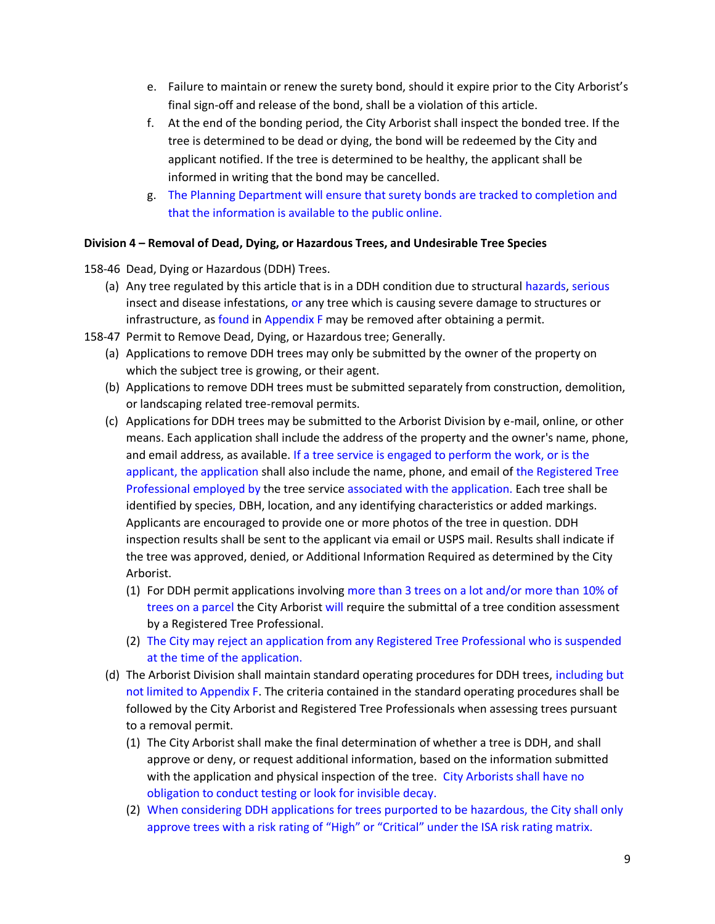- e. Failure to maintain or renew the surety bond, should it expire prior to the City Arborist's final sign-off and release of the bond, shall be a violation of this article.
- f. At the end of the bonding period, the City Arborist shall inspect the bonded tree. If the tree is determined to be dead or dying, the bond will be redeemed by the City and applicant notified. If the tree is determined to be healthy, the applicant shall be informed in writing that the bond may be cancelled.
- g. The Planning Department will ensure that surety bonds are tracked to completion and that the information is available to the public online.

## **Division 4 – Removal of Dead, Dying, or Hazardous Trees, and Undesirable Tree Species**

- 158-46 Dead, Dying or Hazardous (DDH) Trees.
	- (a) Any tree regulated by this article that is in a DDH condition due to structural hazards, serious insect and disease infestations, or any tree which is causing severe damage to structures or infrastructure, as found in Appendix F may be removed after obtaining a permit.
- 158-47 Permit to Remove Dead, Dying, or Hazardous tree; Generally.
	- (a) Applications to remove DDH trees may only be submitted by the owner of the property on which the subject tree is growing, or their agent.
	- (b) Applications to remove DDH trees must be submitted separately from construction, demolition, or landscaping related tree-removal permits.
	- (c) Applications for DDH trees may be submitted to the Arborist Division by e-mail, online, or other means. Each application shall include the address of the property and the owner's name, phone, and email address, as available. If a tree service is engaged to perform the work, or is the applicant, the application shall also include the name, phone, and email of the Registered Tree Professional employed by the tree service associated with the application. Each tree shall be identified by species, DBH, location, and any identifying characteristics or added markings. Applicants are encouraged to provide one or more photos of the tree in question. DDH inspection results shall be sent to the applicant via email or USPS mail. Results shall indicate if the tree was approved, denied, or Additional Information Required as determined by the City Arborist.
		- (1) For DDH permit applications involving more than 3 trees on a lot and/or more than 10% of trees on a parcel the City Arborist will require the submittal of a tree condition assessment by a Registered Tree Professional.
		- (2) The City may reject an application from any Registered Tree Professional who is suspended at the time of the application.
	- (d) The Arborist Division shall maintain standard operating procedures for DDH trees, including but not limited to Appendix F. The criteria contained in the standard operating procedures shall be followed by the City Arborist and Registered Tree Professionals when assessing trees pursuant to a removal permit.
		- (1) The City Arborist shall make the final determination of whether a tree is DDH, and shall approve or deny, or request additional information, based on the information submitted with the application and physical inspection of the tree. City Arborists shall have no obligation to conduct testing or look for invisible decay.
		- (2) When considering DDH applications for trees purported to be hazardous, the City shall only approve trees with a risk rating of "High" or "Critical" under the ISA risk rating matrix.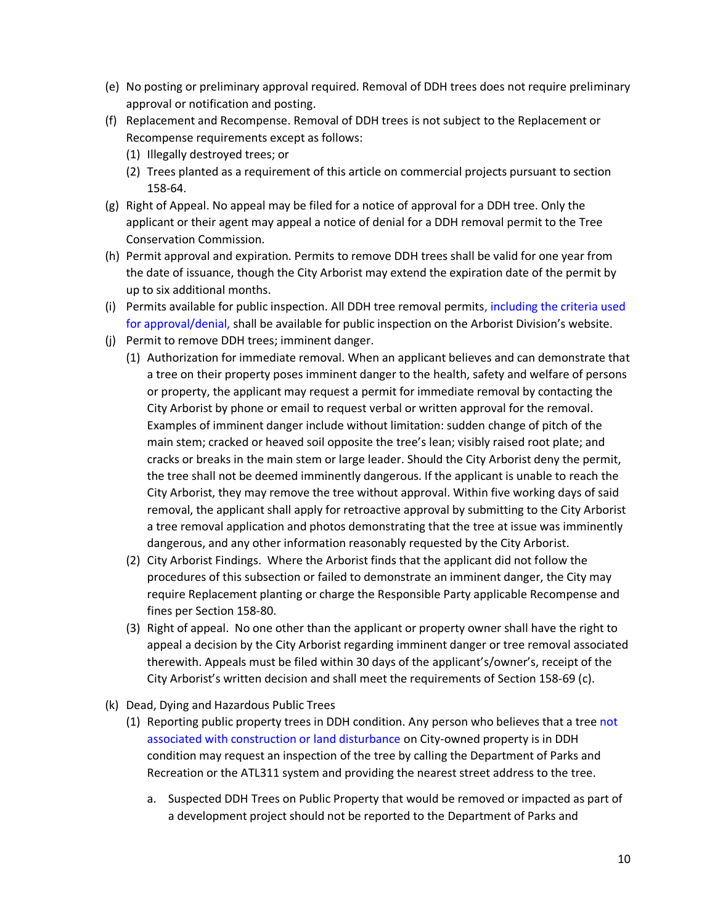- (e) No posting or preliminary approval required. Removal of DDH trees does not require preliminary approval or notification and posting.
- (f) Replacement and Recompense. Removal of DDH trees is not subject to the Replacement or Recompense requirements except as follows:
	- (1) Illegally destroyed trees; or
	- (2) Trees planted as a requirement of this article on commercial projects pursuant to section 158-64.
- (g) Right of Appeal. No appeal may be filed for a notice of approval for a DDH tree. Only the applicant or their agent may appeal a notice of denial for a DDH removal permit to the Tree Conservation Commission.
- (h) Permit approval and expiration. Permits to remove DDH trees shall be valid for one year from the date of issuance, though the City Arborist may extend the expiration date of the permit by up to six additional months.
- (i) Permits available for public inspection. All DDH tree removal permits, including the criteria used for approval/denial, shall be available for public inspection on the Arborist Division's website.
- (j) Permit to remove DDH trees; imminent danger.
	- (1) Authorization for immediate removal. When an applicant believes and can demonstrate that a tree on their property poses imminent danger to the health, safety and welfare of persons or property, the applicant may request a permit for immediate removal by contacting the City Arborist by phone or email to request verbal or written approval for the removal. Examples of imminent danger include without limitation: sudden change of pitch of the main stem; cracked or heaved soil opposite the tree's lean; visibly raised root plate; and cracks or breaks in the main stem or large leader. Should the City Arborist deny the permit, the tree shall not be deemed imminently dangerous. If the applicant is unable to reach the City Arborist, they may remove the tree without approval. Within five working days of said removal, the applicant shall apply for retroactive approval by submitting to the City Arborist a tree removal application and photos demonstrating that the tree at issue was imminently dangerous, and any other information reasonably requested by the City Arborist.
	- (2) City Arborist Findings. Where the Arborist finds that the applicant did not follow the procedures of this subsection or failed to demonstrate an imminent danger, the City may require Replacement planting or charge the Responsible Party applicable Recompense and fines per Section 158-80.
	- (3) Right of appeal. No one other than the applicant or property owner shall have the right to appeal a decision by the City Arborist regarding imminent danger or tree removal associated therewith. Appeals must be filed within 30 days of the applicant's/owner's, receipt of the City Arborist's written decision and shall meet the requirements of Section 158-69 (c).
- (k) Dead, Dying and Hazardous Public Trees
	- (1) Reporting public property trees in DDH condition. Any person who believes that a tree not associated with construction or land disturbance on City-owned property is in DDH condition may request an inspection of the tree by calling the Department of Parks and Recreation or the ATL311 system and providing the nearest street address to the tree.
		- a. Suspected DDH Trees on Public Property that would be removed or impacted as part of a development project should not be reported to the Department of Parks and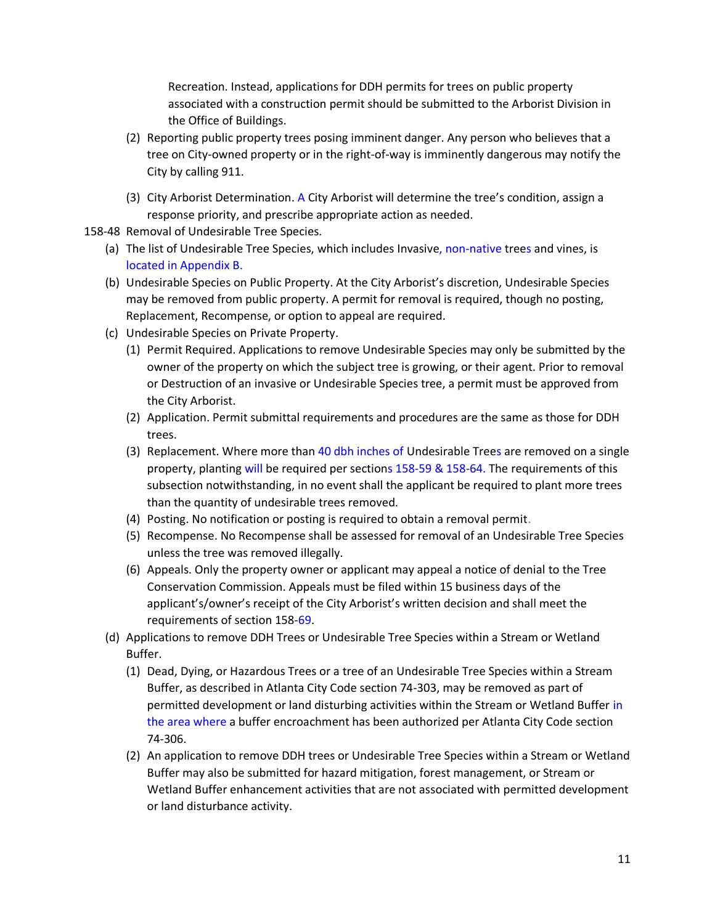Recreation. Instead, applications for DDH permits for trees on public property associated with a construction permit should be submitted to the Arborist Division in the Office of Buildings.

- (2) Reporting public property trees posing imminent danger. Any person who believes that a tree on City-owned property or in the right-of-way is imminently dangerous may notify the City by calling 911.
- (3) City Arborist Determination. A City Arborist will determine the tree's condition, assign a response priority, and prescribe appropriate action as needed.
- 158-48 Removal of Undesirable Tree Species.
	- (a) The list of Undesirable Tree Species, which includes Invasive, non-native trees and vines, is located in Appendix B.
	- (b) Undesirable Species on Public Property. At the City Arborist's discretion, Undesirable Species may be removed from public property. A permit for removal is required, though no posting, Replacement, Recompense, or option to appeal are required.
	- (c) Undesirable Species on Private Property.
		- (1) Permit Required. Applications to remove Undesirable Species may only be submitted by the owner of the property on which the subject tree is growing, or their agent. Prior to removal or Destruction of an invasive or Undesirable Species tree, a permit must be approved from the City Arborist.
		- (2) Application. Permit submittal requirements and procedures are the same as those for DDH trees.
		- (3) Replacement. Where more than 40 dbh inches of Undesirable Trees are removed on a single property, planting will be required per sections 158-59 & 158-64. The requirements of this subsection notwithstanding, in no event shall the applicant be required to plant more trees than the quantity of undesirable trees removed.
		- (4) Posting. No notification or posting is required to obtain a removal permit.
		- (5) Recompense. No Recompense shall be assessed for removal of an Undesirable Tree Species unless the tree was removed illegally.
		- (6) Appeals. Only the property owner or applicant may appeal a notice of denial to the Tree Conservation Commission. Appeals must be filed within 15 business days of the applicant's/owner's receipt of the City Arborist's written decision and shall meet the requirements of section 158-69.
	- (d) Applications to remove DDH Trees or Undesirable Tree Species within a Stream or Wetland Buffer.
		- (1) Dead, Dying, or Hazardous Trees or a tree of an Undesirable Tree Species within a Stream Buffer, as described in Atlanta City Code section 74-303, may be removed as part of permitted development or land disturbing activities within the Stream or Wetland Buffer in the area where a buffer encroachment has been authorized per Atlanta City Code section 74-306.
		- (2) An application to remove DDH trees or Undesirable Tree Species within a Stream or Wetland Buffer may also be submitted for hazard mitigation, forest management, or Stream or Wetland Buffer enhancement activities that are not associated with permitted development or land disturbance activity.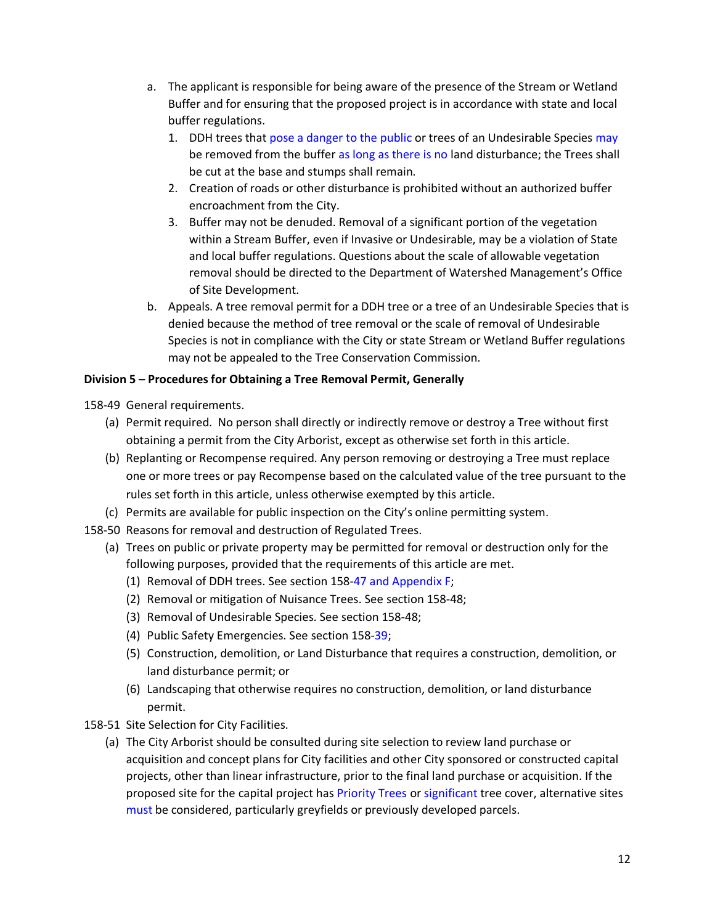- a. The applicant is responsible for being aware of the presence of the Stream or Wetland Buffer and for ensuring that the proposed project is in accordance with state and local buffer regulations.
	- 1. DDH trees that pose a danger to the public or trees of an Undesirable Species may be removed from the buffer as long as there is no land disturbance; the Trees shall be cut at the base and stumps shall remain.
	- 2. Creation of roads or other disturbance is prohibited without an authorized buffer encroachment from the City.
	- 3. Buffer may not be denuded. Removal of a significant portion of the vegetation within a Stream Buffer, even if Invasive or Undesirable, may be a violation of State and local buffer regulations. Questions about the scale of allowable vegetation removal should be directed to the Department of Watershed Management's Office of Site Development.
- b. Appeals. A tree removal permit for a DDH tree or a tree of an Undesirable Species that is denied because the method of tree removal or the scale of removal of Undesirable Species is not in compliance with the City or state Stream or Wetland Buffer regulations may not be appealed to the Tree Conservation Commission.

# **Division 5 – Procedures for Obtaining a Tree Removal Permit, Generally**

158-49 General requirements.

- (a) Permit required. No person shall directly or indirectly remove or destroy a Tree without first obtaining a permit from the City Arborist, except as otherwise set forth in this article.
- (b) Replanting or Recompense required. Any person removing or destroying a Tree must replace one or more trees or pay Recompense based on the calculated value of the tree pursuant to the rules set forth in this article, unless otherwise exempted by this article.
- (c) Permits are available for public inspection on the City's online permitting system.
- 158-50 Reasons for removal and destruction of Regulated Trees.
	- (a) Trees on public or private property may be permitted for removal or destruction only for the following purposes, provided that the requirements of this article are met.
		- (1) Removal of DDH trees. See section 158-47 and Appendix F;
		- (2) Removal or mitigation of Nuisance Trees. See section 158-48;
		- (3) Removal of Undesirable Species. See section 158-48;
		- (4) Public Safety Emergencies. See section 158-39;
		- (5) Construction, demolition, or Land Disturbance that requires a construction, demolition, or land disturbance permit; or
		- (6) Landscaping that otherwise requires no construction, demolition, or land disturbance permit.
- 158-51 Site Selection for City Facilities.
	- (a) The City Arborist should be consulted during site selection to review land purchase or acquisition and concept plans for City facilities and other City sponsored or constructed capital projects, other than linear infrastructure, prior to the final land purchase or acquisition. If the proposed site for the capital project has Priority Trees or significant tree cover, alternative sites must be considered, particularly greyfields or previously developed parcels.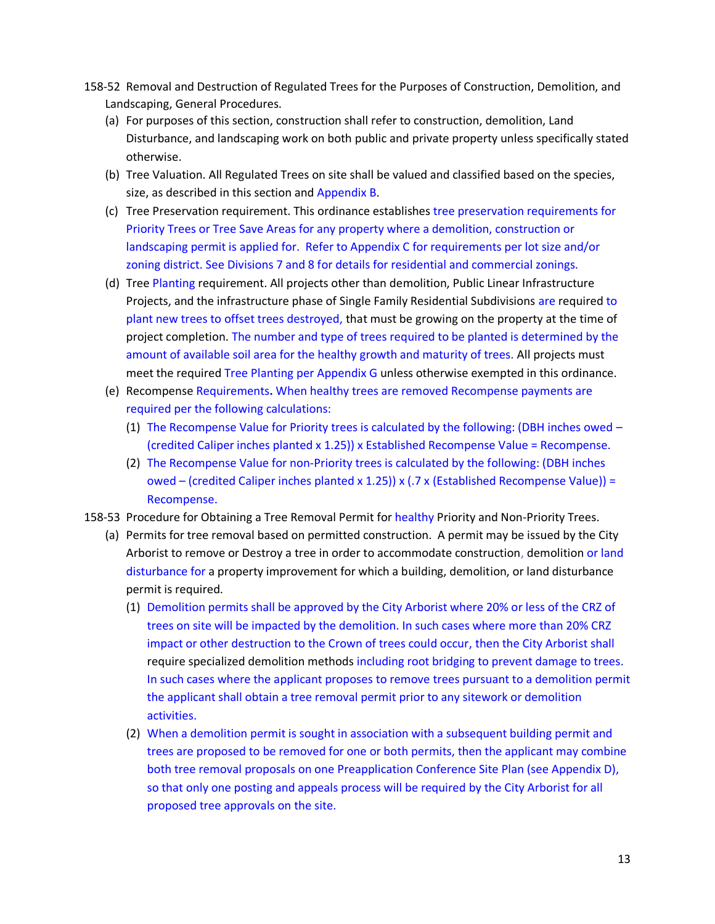- 158-52 Removal and Destruction of Regulated Trees for the Purposes of Construction, Demolition, and Landscaping, General Procedures.
	- (a) For purposes of this section, construction shall refer to construction, demolition, Land Disturbance, and landscaping work on both public and private property unless specifically stated otherwise.
	- (b) Tree Valuation. All Regulated Trees on site shall be valued and classified based on the species, size, as described in this section and Appendix B.
	- (c) Tree Preservation requirement. This ordinance establishes tree preservation requirements for Priority Trees or Tree Save Areas for any property where a demolition, construction or landscaping permit is applied for. Refer to Appendix C for requirements per lot size and/or zoning district. See Divisions 7 and 8 for details for residential and commercial zonings.
	- (d) Tree Planting requirement. All projects other than demolition, Public Linear Infrastructure Projects, and the infrastructure phase of Single Family Residential Subdivisions are required to plant new trees to offset trees destroyed, that must be growing on the property at the time of project completion. The number and type of trees required to be planted is determined by the amount of available soil area for the healthy growth and maturity of trees. All projects must meet the required Tree Planting per Appendix G unless otherwise exempted in this ordinance.
	- (e) Recompense Requirements**.** When healthy trees are removed Recompense payments are required per the following calculations:
		- (1) The Recompense Value for Priority trees is calculated by the following: (DBH inches owed (credited Caliper inches planted x 1.25)) x Established Recompense Value = Recompense.
		- (2) The Recompense Value for non-Priority trees is calculated by the following: (DBH inches owed – (credited Caliper inches planted x 1.25)) x (.7 x (Established Recompense Value)) = Recompense.
- 158-53 Procedure for Obtaining a Tree Removal Permit for healthy Priority and Non-Priority Trees.
	- (a) Permits for tree removal based on permitted construction. A permit may be issued by the City Arborist to remove or Destroy a tree in order to accommodate construction, demolition or land disturbance for a property improvement for which a building, demolition, or land disturbance permit is required.
		- (1) Demolition permits shall be approved by the City Arborist where 20% or less of the CRZ of trees on site will be impacted by the demolition. In such cases where more than 20% CRZ impact or other destruction to the Crown of trees could occur, then the City Arborist shall require specialized demolition methods including root bridging to prevent damage to trees. In such cases where the applicant proposes to remove trees pursuant to a demolition permit the applicant shall obtain a tree removal permit prior to any sitework or demolition activities.
		- (2) When a demolition permit is sought in association with a subsequent building permit and trees are proposed to be removed for one or both permits, then the applicant may combine both tree removal proposals on one Preapplication Conference Site Plan (see Appendix D), so that only one posting and appeals process will be required by the City Arborist for all proposed tree approvals on the site.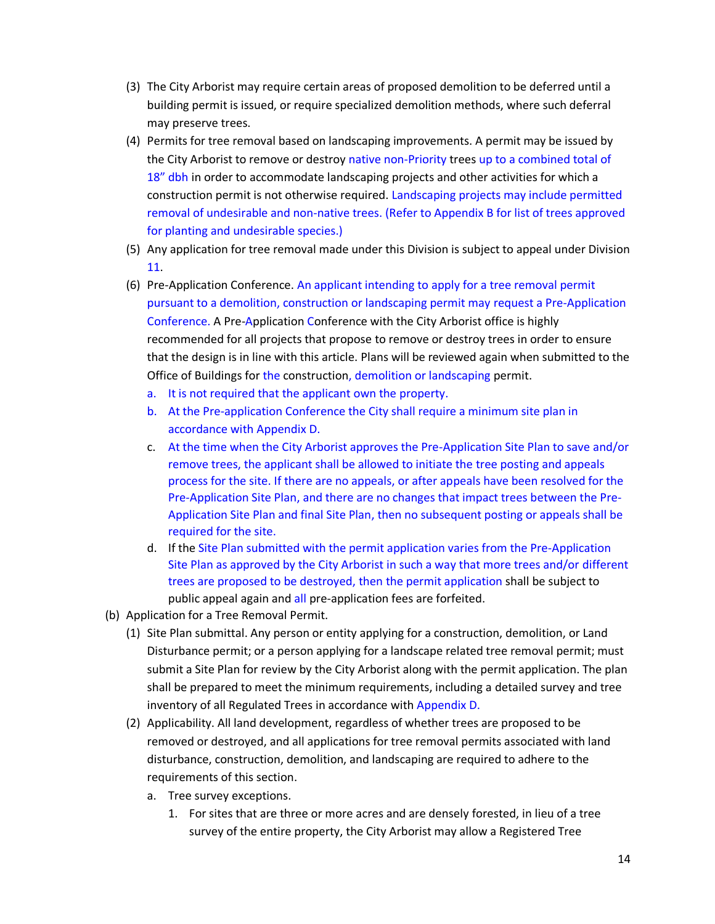- (3) The City Arborist may require certain areas of proposed demolition to be deferred until a building permit is issued, or require specialized demolition methods, where such deferral may preserve trees.
- (4) Permits for tree removal based on landscaping improvements. A permit may be issued by the City Arborist to remove or destroy native non-Priority trees up to a combined total of 18" dbh in order to accommodate landscaping projects and other activities for which a construction permit is not otherwise required. Landscaping projects may include permitted removal of undesirable and non-native trees. (Refer to Appendix B for list of trees approved for planting and undesirable species.)
- (5) Any application for tree removal made under this Division is subject to appeal under Division 11.
- (6) Pre-Application Conference. An applicant intending to apply for a tree removal permit pursuant to a demolition, construction or landscaping permit may request a Pre-Application Conference. A Pre-Application Conference with the City Arborist office is highly recommended for all projects that propose to remove or destroy trees in order to ensure that the design is in line with this article. Plans will be reviewed again when submitted to the Office of Buildings for the construction, demolition or landscaping permit.
	- a. It is not required that the applicant own the property.
	- b. At the Pre-application Conference the City shall require a minimum site plan in accordance with Appendix D.
	- c. At the time when the City Arborist approves the Pre-Application Site Plan to save and/or remove trees, the applicant shall be allowed to initiate the tree posting and appeals process for the site. If there are no appeals, or after appeals have been resolved for the Pre-Application Site Plan, and there are no changes that impact trees between the Pre-Application Site Plan and final Site Plan, then no subsequent posting or appeals shall be required for the site.
	- d. If the Site Plan submitted with the permit application varies from the Pre-Application Site Plan as approved by the City Arborist in such a way that more trees and/or different trees are proposed to be destroyed, then the permit application shall be subject to public appeal again and all pre-application fees are forfeited.
- (b) Application for a Tree Removal Permit.
	- (1) Site Plan submittal. Any person or entity applying for a construction, demolition, or Land Disturbance permit; or a person applying for a landscape related tree removal permit; must submit a Site Plan for review by the City Arborist along with the permit application. The plan shall be prepared to meet the minimum requirements, including a detailed survey and tree inventory of all Regulated Trees in accordance with Appendix D.
	- (2) Applicability. All land development, regardless of whether trees are proposed to be removed or destroyed, and all applications for tree removal permits associated with land disturbance, construction, demolition, and landscaping are required to adhere to the requirements of this section.
		- a. Tree survey exceptions.
			- 1. For sites that are three or more acres and are densely forested, in lieu of a tree survey of the entire property, the City Arborist may allow a Registered Tree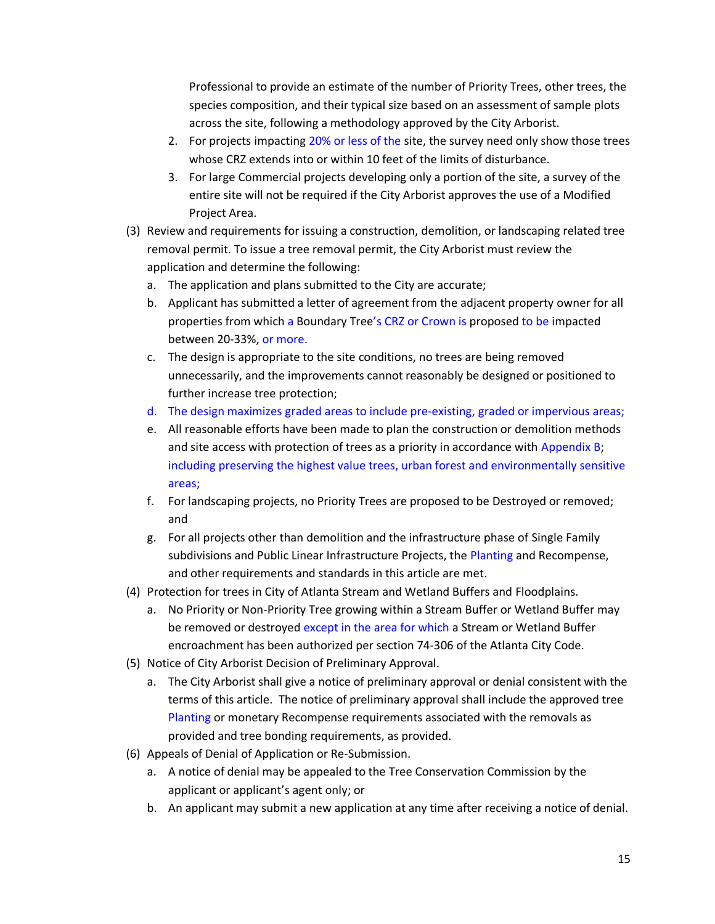Professional to provide an estimate of the number of Priority Trees, other trees, the species composition, and their typical size based on an assessment of sample plots across the site, following a methodology approved by the City Arborist.

- 2. For projects impacting 20% or less of the site, the survey need only show those trees whose CRZ extends into or within 10 feet of the limits of disturbance.
- 3. For large Commercial projects developing only a portion of the site, a survey of the entire site will not be required if the City Arborist approves the use of a Modified Project Area.
- (3) Review and requirements for issuing a construction, demolition, or landscaping related tree removal permit. To issue a tree removal permit, the City Arborist must review the application and determine the following:
	- a. The application and plans submitted to the City are accurate;
	- b. Applicant has submitted a letter of agreement from the adjacent property owner for all properties from which a Boundary Tree's CRZ or Crown is proposed to be impacted between 20-33%, or more.
	- c. The design is appropriate to the site conditions, no trees are being removed unnecessarily, and the improvements cannot reasonably be designed or positioned to further increase tree protection;
	- d. The design maximizes graded areas to include pre-existing, graded or impervious areas;
	- e. All reasonable efforts have been made to plan the construction or demolition methods and site access with protection of trees as a priority in accordance with Appendix B; including preserving the highest value trees, urban forest and environmentally sensitive areas;
	- f. For landscaping projects, no Priority Trees are proposed to be Destroyed or removed; and
	- g. For all projects other than demolition and the infrastructure phase of Single Family subdivisions and Public Linear Infrastructure Projects, the Planting and Recompense, and other requirements and standards in this article are met.
- (4) Protection for trees in City of Atlanta Stream and Wetland Buffers and Floodplains.
	- a. No Priority or Non-Priority Tree growing within a Stream Buffer or Wetland Buffer may be removed or destroyed except in the area for which a Stream or Wetland Buffer encroachment has been authorized per section 74-306 of the Atlanta City Code.
- (5) Notice of City Arborist Decision of Preliminary Approval.
	- a. The City Arborist shall give a notice of preliminary approval or denial consistent with the terms of this article. The notice of preliminary approval shall include the approved tree Planting or monetary Recompense requirements associated with the removals as provided and tree bonding requirements, as provided.
- (6) Appeals of Denial of Application or Re-Submission.
	- a. A notice of denial may be appealed to the Tree Conservation Commission by the applicant or applicant's agent only; or
	- b. An applicant may submit a new application at any time after receiving a notice of denial.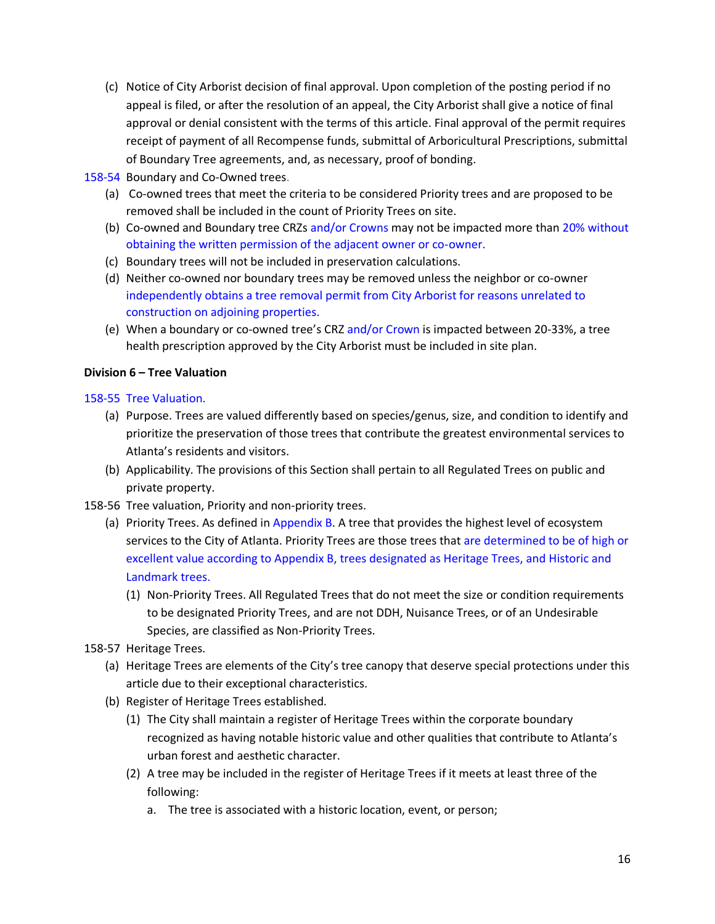- (c) Notice of City Arborist decision of final approval. Upon completion of the posting period if no appeal is filed, or after the resolution of an appeal, the City Arborist shall give a notice of final approval or denial consistent with the terms of this article. Final approval of the permit requires receipt of payment of all Recompense funds, submittal of Arboricultural Prescriptions, submittal of Boundary Tree agreements, and, as necessary, proof of bonding.
- 158-54 Boundary and Co-Owned trees.
	- (a) Co-owned trees that meet the criteria to be considered Priority trees and are proposed to be removed shall be included in the count of Priority Trees on site.
	- (b) Co-owned and Boundary tree CRZs and/or Crowns may not be impacted more than 20% without obtaining the written permission of the adjacent owner or co-owner.
	- (c) Boundary trees will not be included in preservation calculations.
	- (d) Neither co-owned nor boundary trees may be removed unless the neighbor or co-owner independently obtains a tree removal permit from City Arborist for reasons unrelated to construction on adjoining properties.
	- (e) When a boundary or co-owned tree's CRZ and/or Crown is impacted between 20-33%, a tree health prescription approved by the City Arborist must be included in site plan.

## **Division 6 – Tree Valuation**

158-55 Tree Valuation.

- (a) Purpose. Trees are valued differently based on species/genus, size, and condition to identify and prioritize the preservation of those trees that contribute the greatest environmental services to Atlanta's residents and visitors.
- (b) Applicability. The provisions of this Section shall pertain to all Regulated Trees on public and private property.
- 158-56 Tree valuation, Priority and non-priority trees.
	- (a) Priority Trees. As defined in Appendix B. A tree that provides the highest level of ecosystem services to the City of Atlanta. Priority Trees are those trees that are determined to be of high or excellent value according to Appendix B, trees designated as Heritage Trees, and Historic and Landmark trees.
		- (1) Non-Priority Trees. All Regulated Trees that do not meet the size or condition requirements to be designated Priority Trees, and are not DDH, Nuisance Trees, or of an Undesirable Species, are classified as Non-Priority Trees.
- 158-57 Heritage Trees.
	- (a) Heritage Trees are elements of the City's tree canopy that deserve special protections under this article due to their exceptional characteristics.
	- (b) Register of Heritage Trees established.
		- (1) The City shall maintain a register of Heritage Trees within the corporate boundary recognized as having notable historic value and other qualities that contribute to Atlanta's urban forest and aesthetic character.
		- (2) A tree may be included in the register of Heritage Trees if it meets at least three of the following:
			- a. The tree is associated with a historic location, event, or person;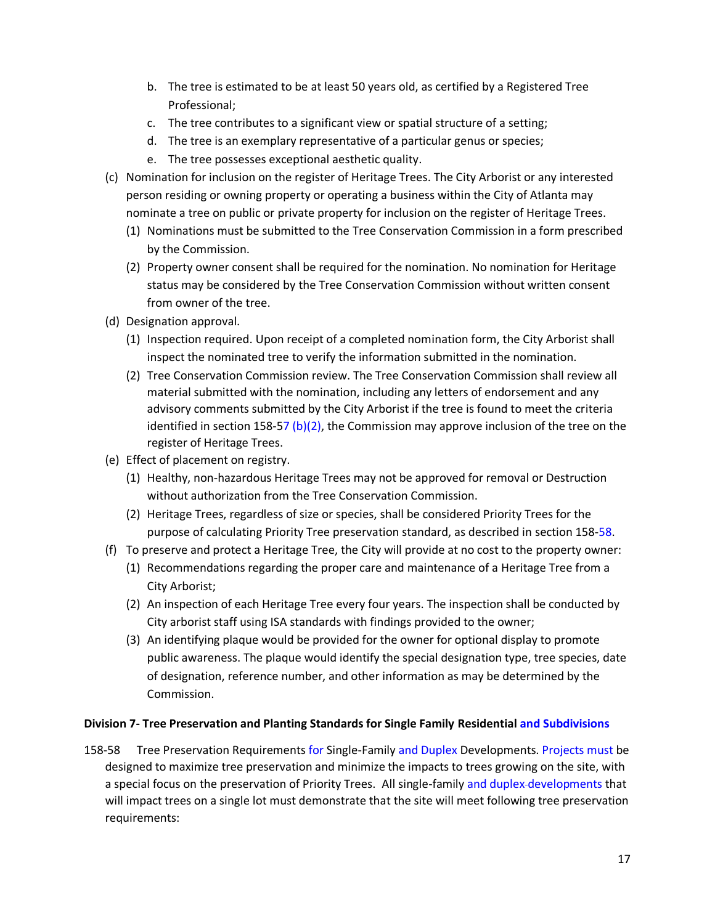- b. The tree is estimated to be at least 50 years old, as certified by a Registered Tree Professional;
- c. The tree contributes to a significant view or spatial structure of a setting;
- d. The tree is an exemplary representative of a particular genus or species;
- e. The tree possesses exceptional aesthetic quality.
- (c) Nomination for inclusion on the register of Heritage Trees. The City Arborist or any interested person residing or owning property or operating a business within the City of Atlanta may nominate a tree on public or private property for inclusion on the register of Heritage Trees.
	- (1) Nominations must be submitted to the Tree Conservation Commission in a form prescribed by the Commission.
	- (2) Property owner consent shall be required for the nomination. No nomination for Heritage status may be considered by the Tree Conservation Commission without written consent from owner of the tree.
- (d) Designation approval.
	- (1) Inspection required. Upon receipt of a completed nomination form, the City Arborist shall inspect the nominated tree to verify the information submitted in the nomination.
	- (2) Tree Conservation Commission review. The Tree Conservation Commission shall review all material submitted with the nomination, including any letters of endorsement and any advisory comments submitted by the City Arborist if the tree is found to meet the criteria identified in section 158-57 (b)(2), the Commission may approve inclusion of the tree on the register of Heritage Trees.
- (e) Effect of placement on registry.
	- (1) Healthy, non-hazardous Heritage Trees may not be approved for removal or Destruction without authorization from the Tree Conservation Commission.
	- (2) Heritage Trees, regardless of size or species, shall be considered Priority Trees for the purpose of calculating Priority Tree preservation standard, as described in section 158-58.
- (f) To preserve and protect a Heritage Tree, the City will provide at no cost to the property owner:
	- (1) Recommendations regarding the proper care and maintenance of a Heritage Tree from a City Arborist;
	- (2) An inspection of each Heritage Tree every four years. The inspection shall be conducted by City arborist staff using ISA standards with findings provided to the owner;
	- (3) An identifying plaque would be provided for the owner for optional display to promote public awareness. The plaque would identify the special designation type, tree species, date of designation, reference number, and other information as may be determined by the Commission.

## **Division 7- Tree Preservation and Planting Standards for Single Family Residential and Subdivisions**

158-58 Tree Preservation Requirements for Single-Family and Duplex Developments. Projects must be designed to maximize tree preservation and minimize the impacts to trees growing on the site, with a special focus on the preservation of Priority Trees. All single-family and duplex-developments that will impact trees on a single lot must demonstrate that the site will meet following tree preservation requirements: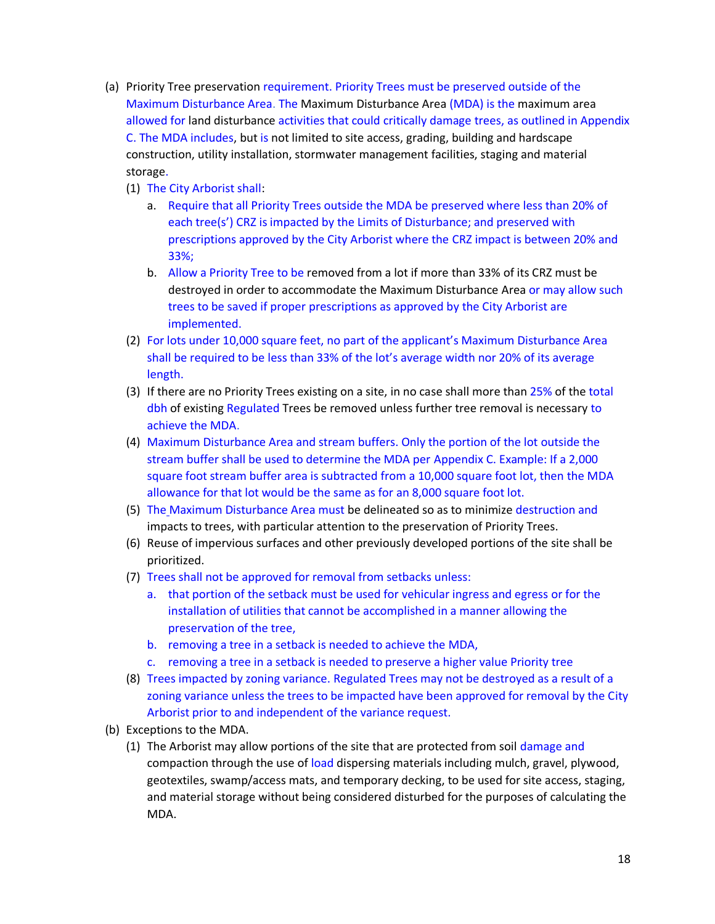- (a) Priority Tree preservation requirement. Priority Trees must be preserved outside of the Maximum Disturbance Area. The Maximum Disturbance Area (MDA) is the maximum area allowed for land disturbance activities that could critically damage trees, as outlined in Appendix C. The MDA includes, but is not limited to site access, grading, building and hardscape construction, utility installation, stormwater management facilities, staging and material storage.
	- (1) The City Arborist shall:
		- a. Require that all Priority Trees outside the MDA be preserved where less than 20% of each tree(s') CRZ is impacted by the Limits of Disturbance; and preserved with prescriptions approved by the City Arborist where the CRZ impact is between 20% and 33%;
		- b. Allow a Priority Tree to be removed from a lot if more than 33% of its CRZ must be destroyed in order to accommodate the Maximum Disturbance Area or may allow such trees to be saved if proper prescriptions as approved by the City Arborist are implemented.
	- (2) For lots under 10,000 square feet, no part of the applicant's Maximum Disturbance Area shall be required to be less than 33% of the lot's average width nor 20% of its average length.
	- (3) If there are no Priority Trees existing on a site, in no case shall more than 25% of the total dbh of existing Regulated Trees be removed unless further tree removal is necessary to achieve the MDA.
	- (4) Maximum Disturbance Area and stream buffers. Only the portion of the lot outside the stream buffer shall be used to determine the MDA per Appendix C. Example: If a 2,000 square foot stream buffer area is subtracted from a 10,000 square foot lot, then the MDA allowance for that lot would be the same as for an 8,000 square foot lot.
	- (5) The Maximum Disturbance Area must be delineated so as to minimize destruction and impacts to trees, with particular attention to the preservation of Priority Trees.
	- (6) Reuse of impervious surfaces and other previously developed portions of the site shall be prioritized.
	- (7) Trees shall not be approved for removal from setbacks unless:
		- a. that portion of the setback must be used for vehicular ingress and egress or for the installation of utilities that cannot be accomplished in a manner allowing the preservation of the tree,
		- b. removing a tree in a setback is needed to achieve the MDA,
		- c. removing a tree in a setback is needed to preserve a higher value Priority tree
	- (8) Trees impacted by zoning variance. Regulated Trees may not be destroyed as a result of a zoning variance unless the trees to be impacted have been approved for removal by the City Arborist prior to and independent of the variance request.
- (b) Exceptions to the MDA.
	- (1) The Arborist may allow portions of the site that are protected from soil damage and compaction through the use of load dispersing materials including mulch, gravel, plywood, geotextiles, swamp/access mats, and temporary decking, to be used for site access, staging, and material storage without being considered disturbed for the purposes of calculating the MDA.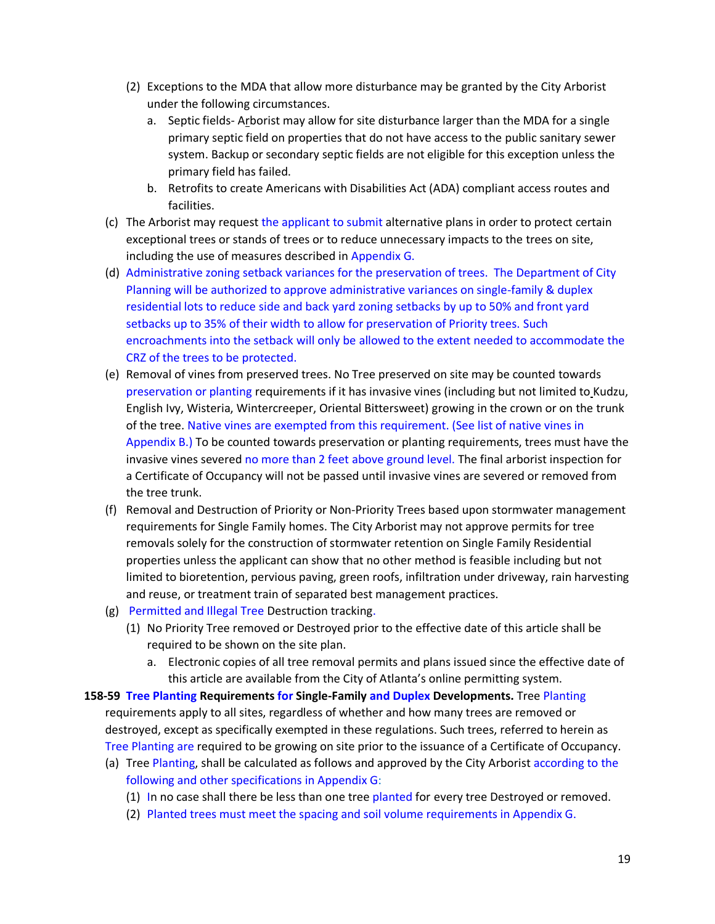- (2) Exceptions to the MDA that allow more disturbance may be granted by the City Arborist under the following circumstances.
	- a. Septic fields- Arborist may allow for site disturbance larger than the MDA for a single primary septic field on properties that do not have access to the public sanitary sewer system. Backup or secondary septic fields are not eligible for this exception unless the primary field has failed.
	- b. Retrofits to create Americans with Disabilities Act (ADA) compliant access routes and facilities.
- (c) The Arborist may request the applicant to submit alternative plans in order to protect certain exceptional trees or stands of trees or to reduce unnecessary impacts to the trees on site, including the use of measures described in Appendix G.
- (d) Administrative zoning setback variances for the preservation of trees. The Department of City Planning will be authorized to approve administrative variances on single-family & duplex residential lots to reduce side and back yard zoning setbacks by up to 50% and front yard setbacks up to 35% of their width to allow for preservation of Priority trees. Such encroachments into the setback will only be allowed to the extent needed to accommodate the CRZ of the trees to be protected.
- (e) Removal of vines from preserved trees. No Tree preserved on site may be counted towards preservation or planting requirements if it has invasive vines (including but not limited to Kudzu, English Ivy, Wisteria, Wintercreeper, Oriental Bittersweet) growing in the crown or on the trunk of the tree. Native vines are exempted from this requirement. (See list of native vines in Appendix  $B$ .) To be counted towards preservation or planting requirements, trees must have the invasive vines severed no more than 2 feet above ground level. The final arborist inspection for a Certificate of Occupancy will not be passed until invasive vines are severed or removed from the tree trunk.
- (f) Removal and Destruction of Priority or Non-Priority Trees based upon stormwater management requirements for Single Family homes. The City Arborist may not approve permits for tree removals solely for the construction of stormwater retention on Single Family Residential properties unless the applicant can show that no other method is feasible including but not limited to bioretention, pervious paving, green roofs, infiltration under driveway, rain harvesting and reuse, or treatment train of separated best management practices.
- (g) Permitted and Illegal Tree Destruction tracking.
	- (1) No Priority Tree removed or Destroyed prior to the effective date of this article shall be required to be shown on the site plan.
		- a. Electronic copies of all tree removal permits and plans issued since the effective date of this article are available from the City of Atlanta's online permitting system.
- **158-59 Tree Planting Requirements for Single-Family and Duplex Developments.** Tree Planting requirements apply to all sites, regardless of whether and how many trees are removed or destroyed, except as specifically exempted in these regulations. Such trees, referred to herein as Tree Planting are required to be growing on site prior to the issuance of a Certificate of Occupancy.
	- (a) Tree Planting, shall be calculated as follows and approved by the City Arborist according to the following and other specifications in Appendix G:
		- (1) In no case shall there be less than one tree planted for every tree Destroyed or removed.
		- (2) Planted trees must meet the spacing and soil volume requirements in Appendix G.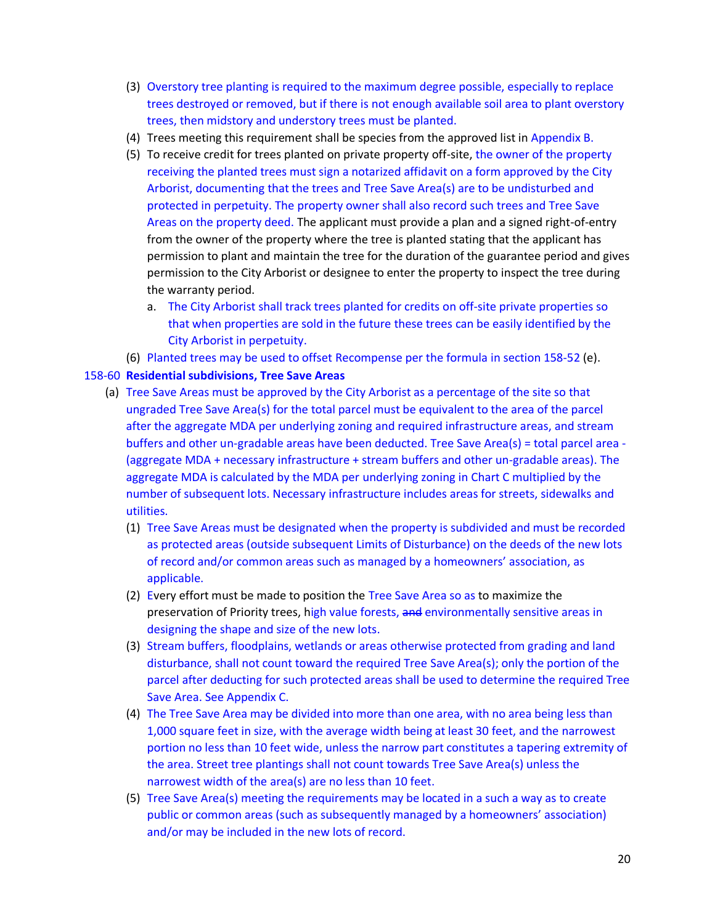- (3) Overstory tree planting is required to the maximum degree possible, especially to replace trees destroyed or removed, but if there is not enough available soil area to plant overstory trees, then midstory and understory trees must be planted.
- (4) Trees meeting this requirement shall be species from the approved list in Appendix B.
- (5) To receive credit for trees planted on private property off-site, the owner of the property receiving the planted trees must sign a notarized affidavit on a form approved by the City Arborist, documenting that the trees and Tree Save Area(s) are to be undisturbed and protected in perpetuity. The property owner shall also record such trees and Tree Save Areas on the property deed. The applicant must provide a plan and a signed right-of-entry from the owner of the property where the tree is planted stating that the applicant has permission to plant and maintain the tree for the duration of the guarantee period and gives permission to the City Arborist or designee to enter the property to inspect the tree during the warranty period.
	- a. The City Arborist shall track trees planted for credits on off-site private properties so that when properties are sold in the future these trees can be easily identified by the City Arborist in perpetuity.
- (6) Planted trees may be used to offset Recompense per the formula in section 158-52 (e).

## 158-60 **Residential subdivisions, Tree Save Areas**

- (a) Tree Save Areas must be approved by the City Arborist as a percentage of the site so that ungraded Tree Save Area(s) for the total parcel must be equivalent to the area of the parcel after the aggregate MDA per underlying zoning and required infrastructure areas, and stream buffers and other un-gradable areas have been deducted. Tree Save Area(s) = total parcel area - (aggregate MDA + necessary infrastructure + stream buffers and other un-gradable areas). The aggregate MDA is calculated by the MDA per underlying zoning in Chart C multiplied by the number of subsequent lots. Necessary infrastructure includes areas for streets, sidewalks and utilities.
	- (1) Tree Save Areas must be designated when the property is subdivided and must be recorded as protected areas (outside subsequent Limits of Disturbance) on the deeds of the new lots of record and/or common areas such as managed by a homeowners' association, as applicable.
	- (2) Every effort must be made to position the Tree Save Area so as to maximize the preservation of Priority trees, high value forests, and environmentally sensitive areas in designing the shape and size of the new lots.
	- (3) Stream buffers, floodplains, wetlands or areas otherwise protected from grading and land disturbance, shall not count toward the required Tree Save Area(s); only the portion of the parcel after deducting for such protected areas shall be used to determine the required Tree Save Area. See Appendix C.
	- (4) The Tree Save Area may be divided into more than one area, with no area being less than 1,000 square feet in size, with the average width being at least 30 feet, and the narrowest portion no less than 10 feet wide, unless the narrow part constitutes a tapering extremity of the area. Street tree plantings shall not count towards Tree Save Area(s) unless the narrowest width of the area(s) are no less than 10 feet.
	- (5) Tree Save Area(s) meeting the requirements may be located in a such a way as to create public or common areas (such as subsequently managed by a homeowners' association) and/or may be included in the new lots of record.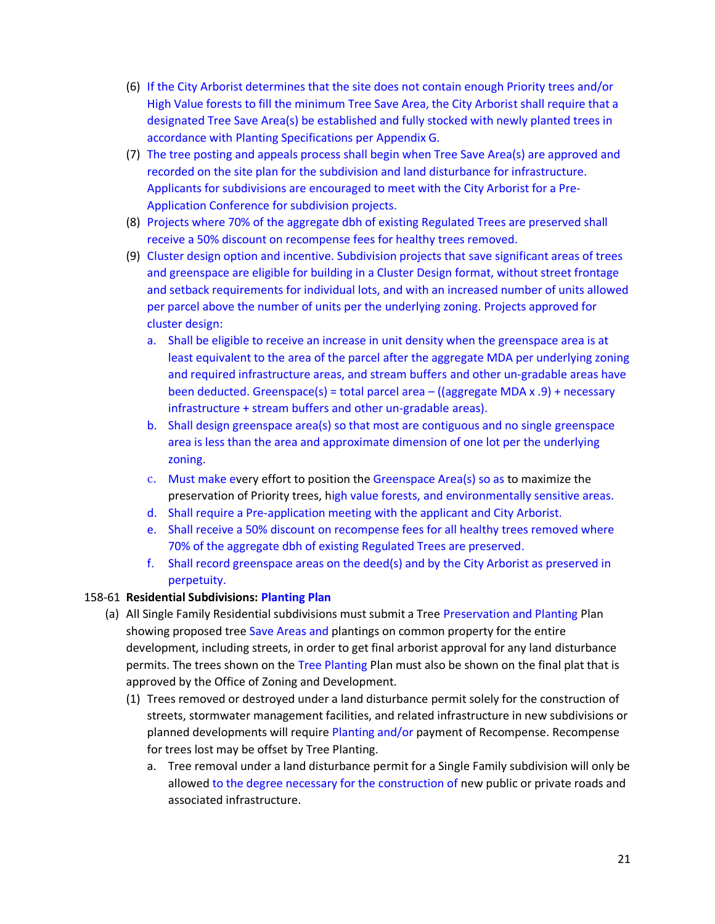- (6) If the City Arborist determines that the site does not contain enough Priority trees and/or High Value forests to fill the minimum Tree Save Area, the City Arborist shall require that a designated Tree Save Area(s) be established and fully stocked with newly planted trees in accordance with Planting Specifications per Appendix G.
- (7) The tree posting and appeals process shall begin when Tree Save Area(s) are approved and recorded on the site plan for the subdivision and land disturbance for infrastructure. Applicants for subdivisions are encouraged to meet with the City Arborist for a Pre-Application Conference for subdivision projects.
- (8) Projects where 70% of the aggregate dbh of existing Regulated Trees are preserved shall receive a 50% discount on recompense fees for healthy trees removed.
- (9) Cluster design option and incentive. Subdivision projects that save significant areas of trees and greenspace are eligible for building in a Cluster Design format, without street frontage and setback requirements for individual lots, and with an increased number of units allowed per parcel above the number of units per the underlying zoning. Projects approved for cluster design:
	- a. Shall be eligible to receive an increase in unit density when the greenspace area is at least equivalent to the area of the parcel after the aggregate MDA per underlying zoning and required infrastructure areas, and stream buffers and other un-gradable areas have been deducted. Greenspace(s) = total parcel area – ((aggregate MDA x .9) + necessary infrastructure + stream buffers and other un-gradable areas).
	- b. Shall design greenspace area(s) so that most are contiguous and no single greenspace area is less than the area and approximate dimension of one lot per the underlying zoning.
	- c. Must make every effort to position the Greenspace Area(s) so as to maximize the preservation of Priority trees, high value forests, and environmentally sensitive areas.
	- d. Shall require a Pre-application meeting with the applicant and City Arborist.
	- e. Shall receive a 50% discount on recompense fees for all healthy trees removed where 70% of the aggregate dbh of existing Regulated Trees are preserved.
	- f. Shall record greenspace areas on the deed(s) and by the City Arborist as preserved in perpetuity.

### 158-61 **Residential Subdivisions: Planting Plan**

- (a) All Single Family Residential subdivisions must submit a Tree Preservation and Planting Plan showing proposed tree Save Areas and plantings on common property for the entire development, including streets, in order to get final arborist approval for any land disturbance permits. The trees shown on the Tree Planting Plan must also be shown on the final plat that is approved by the Office of Zoning and Development.
	- (1) Trees removed or destroyed under a land disturbance permit solely for the construction of streets, stormwater management facilities, and related infrastructure in new subdivisions or planned developments will require Planting and/or payment of Recompense. Recompense for trees lost may be offset by Tree Planting.
		- a. Tree removal under a land disturbance permit for a Single Family subdivision will only be allowed to the degree necessary for the construction of new public or private roads and associated infrastructure.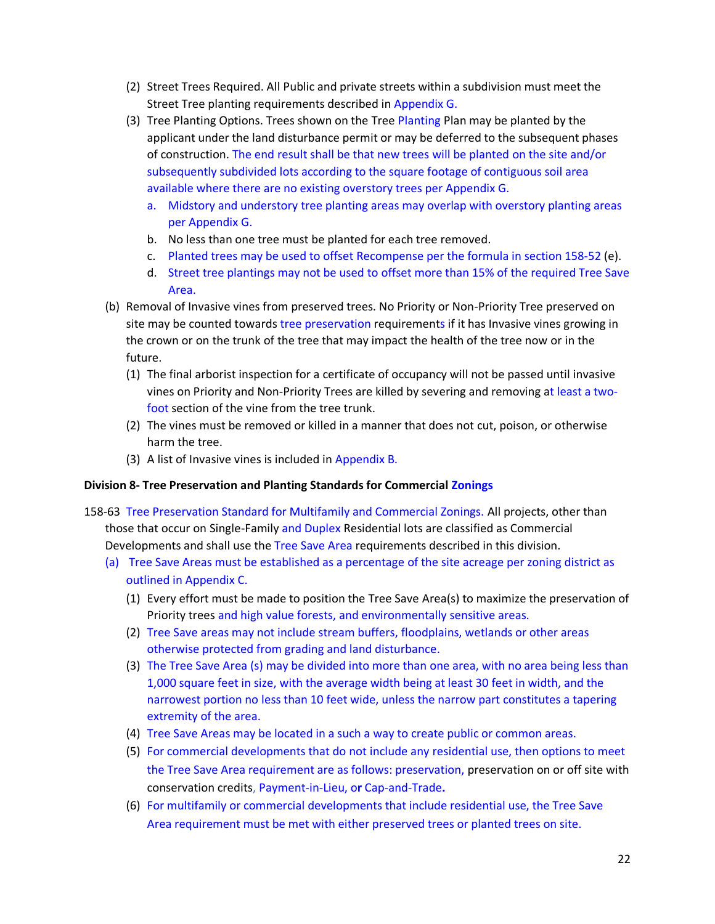- (2) Street Trees Required. All Public and private streets within a subdivision must meet the Street Tree planting requirements described in Appendix G.
- (3) Tree Planting Options. Trees shown on the Tree Planting Plan may be planted by the applicant under the land disturbance permit or may be deferred to the subsequent phases of construction. The end result shall be that new trees will be planted on the site and/or subsequently subdivided lots according to the square footage of contiguous soil area available where there are no existing overstory trees per Appendix G.
	- a. Midstory and understory tree planting areas may overlap with overstory planting areas per Appendix G.
	- b. No less than one tree must be planted for each tree removed.
	- c. Planted trees may be used to offset Recompense per the formula in section 158-52 (e).
	- d. Street tree plantings may not be used to offset more than 15% of the required Tree Save Area.
- (b) Removal of Invasive vines from preserved trees. No Priority or Non-Priority Tree preserved on site may be counted towards tree preservation requirements if it has Invasive vines growing in the crown or on the trunk of the tree that may impact the health of the tree now or in the future.
	- (1) The final arborist inspection for a certificate of occupancy will not be passed until invasive vines on Priority and Non-Priority Trees are killed by severing and removing at least a twofoot section of the vine from the tree trunk.
	- (2) The vines must be removed or killed in a manner that does not cut, poison, or otherwise harm the tree.
	- (3) A list of Invasive vines is included in Appendix B.

### **Division 8- Tree Preservation and Planting Standards for Commercial Zonings**

- 158-63 Tree Preservation Standard for Multifamily and Commercial Zonings. All projects, other than those that occur on Single-Family and Duplex Residential lots are classified as Commercial Developments and shall use the Tree Save Area requirements described in this division.
	- (a) Tree Save Areas must be established as a percentage of the site acreage per zoning district as outlined in Appendix C.
		- (1) Every effort must be made to position the Tree Save Area(s) to maximize the preservation of Priority trees and high value forests, and environmentally sensitive areas.
		- (2) Tree Save areas may not include stream buffers, floodplains, wetlands or other areas otherwise protected from grading and land disturbance.
		- (3) The Tree Save Area (s) may be divided into more than one area, with no area being less than 1,000 square feet in size, with the average width being at least 30 feet in width, and the narrowest portion no less than 10 feet wide, unless the narrow part constitutes a tapering extremity of the area.
		- (4) Tree Save Areas may be located in a such a way to create public or common areas.
		- (5) For commercial developments that do not include any residential use, then options to meet the Tree Save Area requirement are as follows: preservation, preservation on or off site with conservation credits, Payment-in-Lieu, o**r** Cap-and-Trade**.**
		- (6) For multifamily or commercial developments that include residential use, the Tree Save Area requirement must be met with either preserved trees or planted trees on site.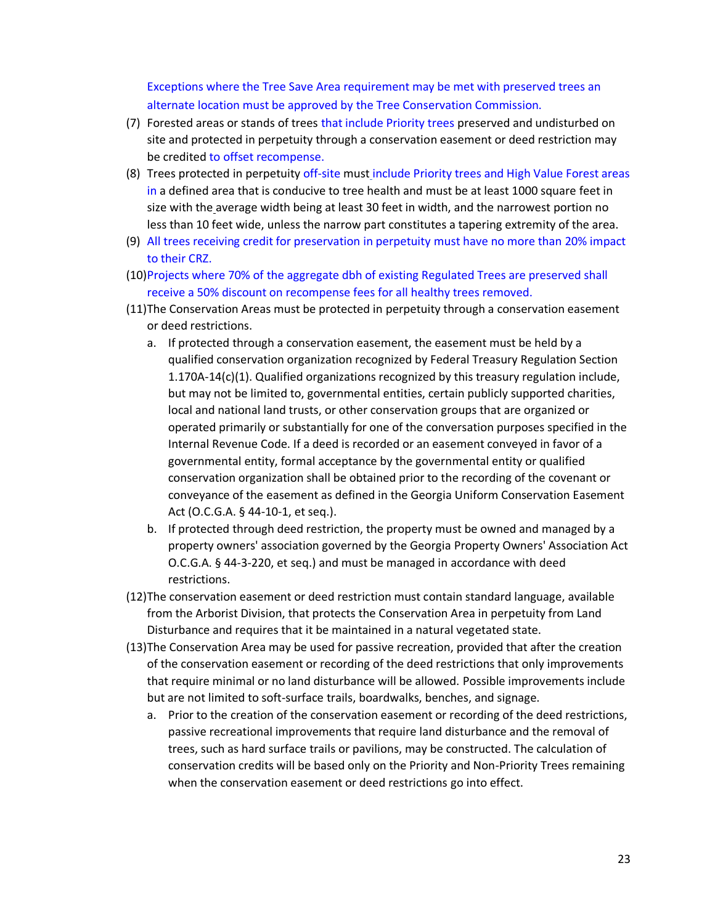Exceptions where the Tree Save Area requirement may be met with preserved trees an alternate location must be approved by the Tree Conservation Commission.

- (7) Forested areas or stands of trees that include Priority trees preserved and undisturbed on site and protected in perpetuity through a conservation easement or deed restriction may be credited to offset recompense.
- (8) Trees protected in perpetuity off-site must include Priority trees and High Value Forest areas in a defined area that is conducive to tree health and must be at least 1000 square feet in size with the average width being at least 30 feet in width, and the narrowest portion no less than 10 feet wide, unless the narrow part constitutes a tapering extremity of the area.
- (9) All trees receiving credit for preservation in perpetuity must have no more than 20% impact to their CRZ.
- (10)Projects where 70% of the aggregate dbh of existing Regulated Trees are preserved shall receive a 50% discount on recompense fees for all healthy trees removed.
- (11)The Conservation Areas must be protected in perpetuity through a conservation easement or deed restrictions.
	- a. If protected through a conservation easement, the easement must be held by a qualified conservation organization recognized by Federal Treasury Regulation Section 1.170A-14(c)(1). Qualified organizations recognized by this treasury regulation include, but may not be limited to, governmental entities, certain publicly supported charities, local and national land trusts, or other conservation groups that are organized or operated primarily or substantially for one of the conversation purposes specified in the Internal Revenue Code. If a deed is recorded or an easement conveyed in favor of a governmental entity, formal acceptance by the governmental entity or qualified conservation organization shall be obtained prior to the recording of the covenant or conveyance of the easement as defined in the Georgia Uniform Conservation Easement Act (O.C.G.A. § 44-10-1, et seq.).
	- b. If protected through deed restriction, the property must be owned and managed by a property owners' association governed by the Georgia Property Owners' Association Act O.C.G.A. § 44-3-220, et seq.) and must be managed in accordance with deed restrictions.
- (12)The conservation easement or deed restriction must contain standard language, available from the Arborist Division, that protects the Conservation Area in perpetuity from Land Disturbance and requires that it be maintained in a natural vegetated state.
- (13)The Conservation Area may be used for passive recreation, provided that after the creation of the conservation easement or recording of the deed restrictions that only improvements that require minimal or no land disturbance will be allowed. Possible improvements include but are not limited to soft-surface trails, boardwalks, benches, and signage.
	- a. Prior to the creation of the conservation easement or recording of the deed restrictions, passive recreational improvements that require land disturbance and the removal of trees, such as hard surface trails or pavilions, may be constructed. The calculation of conservation credits will be based only on the Priority and Non-Priority Trees remaining when the conservation easement or deed restrictions go into effect.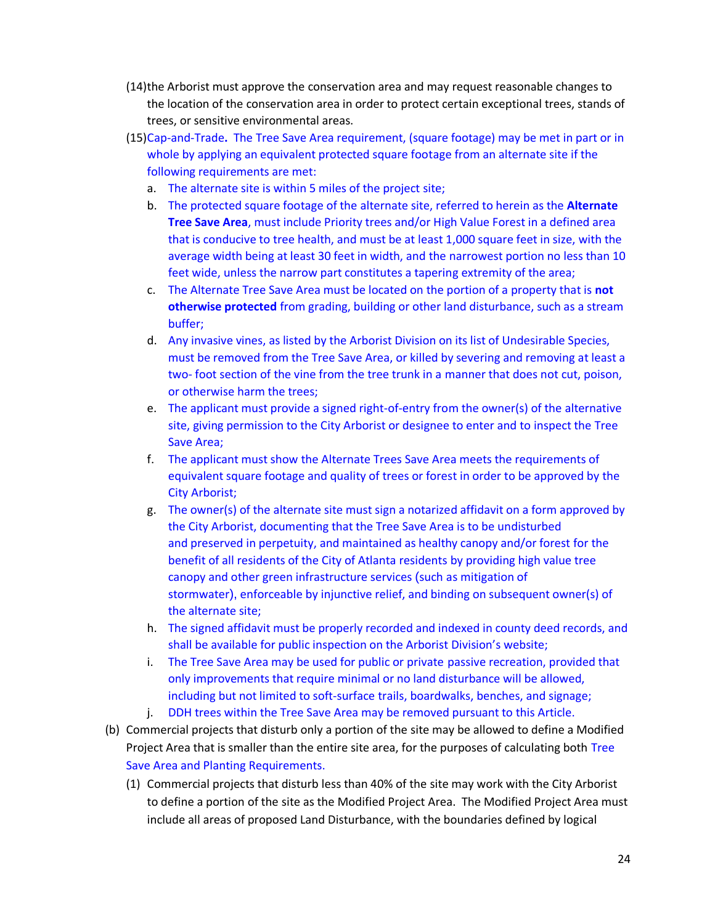- (14)the Arborist must approve the conservation area and may request reasonable changes to the location of the conservation area in order to protect certain exceptional trees, stands of trees, or sensitive environmental areas.
- (15)Cap-and-Trade**.** The Tree Save Area requirement, (square footage) may be met in part or in whole by applying an equivalent protected square footage from an alternate site if the following requirements are met:
	- a. The alternate site is within 5 miles of the project site;
	- b. The protected square footage of the alternate site, referred to herein as the **Alternate Tree Save Area**, must include Priority trees and/or High Value Forest in a defined area that is conducive to tree health, and must be at least 1,000 square feet in size, with the average width being at least 30 feet in width, and the narrowest portion no less than 10 feet wide, unless the narrow part constitutes a tapering extremity of the area;
	- c. The Alternate Tree Save Area must be located on the portion of a property that is **not otherwise protected** from grading, building or other land disturbance, such as a stream buffer;
	- d. Any invasive vines, as listed by the Arborist Division on its list of Undesirable Species, must be removed from the Tree Save Area, or killed by severing and removing at least a two- foot section of the vine from the tree trunk in a manner that does not cut, poison, or otherwise harm the trees;
	- e. The applicant must provide a signed right-of-entry from the owner(s) of the alternative site, giving permission to the City Arborist or designee to enter and to inspect the Tree Save Area;
	- f. The applicant must show the Alternate Trees Save Area meets the requirements of equivalent square footage and quality of trees or forest in order to be approved by the City Arborist;
	- g. The owner(s) of the alternate site must sign a notarized affidavit on a form approved by the City Arborist, documenting that the Tree Save Area is to be undisturbed and preserved in perpetuity, and maintained as healthy canopy and/or forest for the benefit of all residents of the City of Atlanta residents by providing high value tree canopy and other green infrastructure services (such as mitigation of stormwater), enforceable by injunctive relief, and binding on subsequent owner(s) of the alternate site;
	- h. The signed affidavit must be properly recorded and indexed in county deed records, and shall be available for public inspection on the Arborist Division's website;
	- i. The Tree Save Area may be used for public or private passive recreation, provided that only improvements that require minimal or no land disturbance will be allowed, including but not limited to soft-surface trails, boardwalks, benches, and signage;
	- j. DDH trees within the Tree Save Area may be removed pursuant to this Article.
- (b) Commercial projects that disturb only a portion of the site may be allowed to define a Modified Project Area that is smaller than the entire site area, for the purposes of calculating both Tree Save Area and Planting Requirements.
	- (1) Commercial projects that disturb less than 40% of the site may work with the City Arborist to define a portion of the site as the Modified Project Area. The Modified Project Area must include all areas of proposed Land Disturbance, with the boundaries defined by logical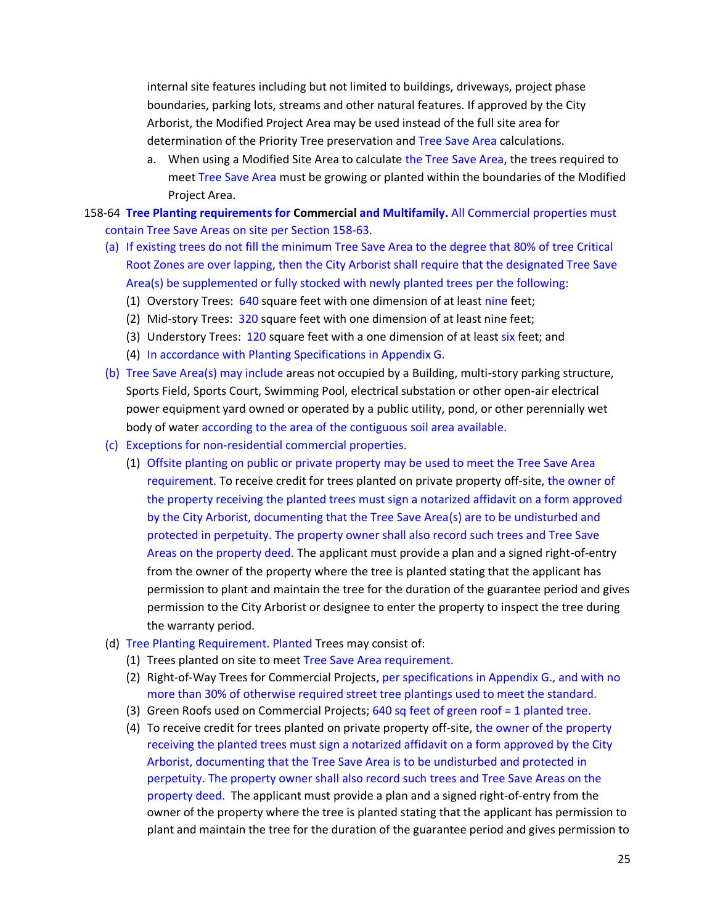internal site features including but not limited to buildings, driveways, project phase boundaries, parking lots, streams and other natural features. If approved by the City Arborist, the Modified Project Area may be used instead of the full site area for determination of the Priority Tree preservation and Tree Save Area calculations.

- a. When using a Modified Site Area to calculate the Tree Save Area, the trees required to meet Tree Save Area must be growing or planted within the boundaries of the Modified Project Area.
- 158-64 **Tree Planting requirements for Commercial and Multifamily.** All Commercial properties must contain Tree Save Areas on site per Section 158-63.
	- (a) If existing trees do not fill the minimum Tree Save Area to the degree that 80% of tree Critical Root Zones are over lapping, then the City Arborist shall require that the designated Tree Save Area(s) be supplemented or fully stocked with newly planted trees per the following:
		- (1) Overstory Trees: 640 square feet with one dimension of at least nine feet;
		- (2) Mid-story Trees: 320 square feet with one dimension of at least nine feet;
		- (3) Understory Trees: 120 square feet with a one dimension of at least six feet; and
		- (4) In accordance with Planting Specifications in Appendix G.
	- (b) Tree Save Area(s) may include areas not occupied by a Building, multi-story parking structure, Sports Field, Sports Court, Swimming Pool, electrical substation or other open-air electrical power equipment yard owned or operated by a public utility, pond, or other perennially wet body of water according to the area of the contiguous soil area available.
	- (c) Exceptions for non-residential commercial properties.
		- (1) Offsite planting on public or private property may be used to meet the Tree Save Area requirement. To receive credit for trees planted on private property off-site, the owner of the property receiving the planted trees must sign a notarized affidavit on a form approved by the City Arborist, documenting that the Tree Save Area(s) are to be undisturbed and protected in perpetuity. The property owner shall also record such trees and Tree Save Areas on the property deed. The applicant must provide a plan and a signed right-of-entry from the owner of the property where the tree is planted stating that the applicant has permission to plant and maintain the tree for the duration of the guarantee period and gives permission to the City Arborist or designee to enter the property to inspect the tree during the warranty period.
	- (d) Tree Planting Requirement. Planted Trees may consist of:
		- (1) Trees planted on site to meet Tree Save Area requirement.
		- (2) Right-of-Way Trees for Commercial Projects, per specifications in Appendix G., and with no more than 30% of otherwise required street tree plantings used to meet the standard.
		- (3) Green Roofs used on Commercial Projects; 640 sq feet of green roof = 1 planted tree.
		- (4) To receive credit for trees planted on private property off-site, the owner of the property receiving the planted trees must sign a notarized affidavit on a form approved by the City Arborist, documenting that the Tree Save Area is to be undisturbed and protected in perpetuity. The property owner shall also record such trees and Tree Save Areas on the property deed. The applicant must provide a plan and a signed right-of-entry from the owner of the property where the tree is planted stating that the applicant has permission to plant and maintain the tree for the duration of the guarantee period and gives permission to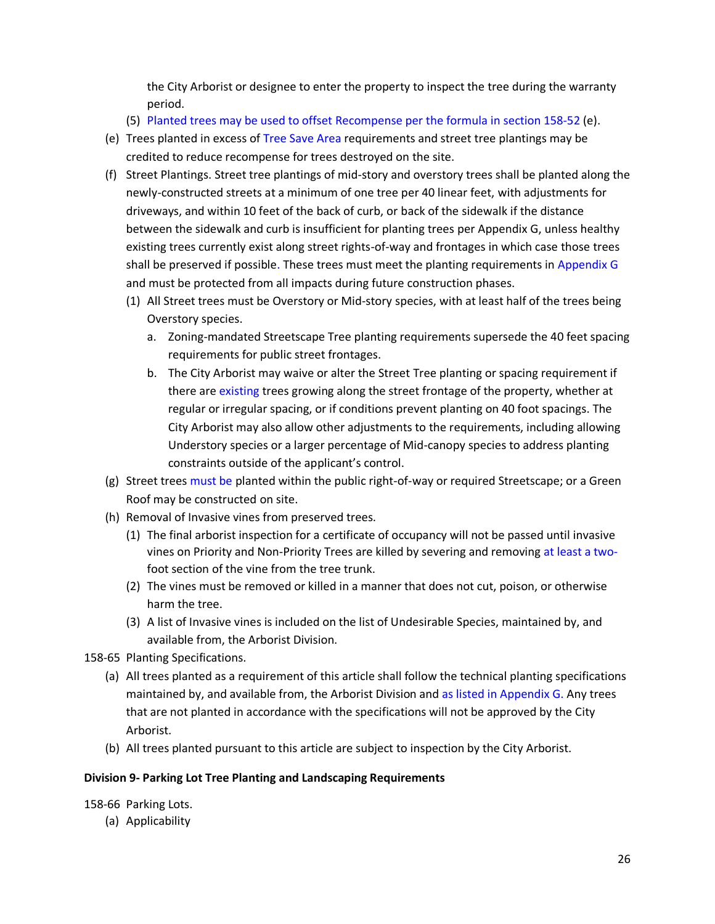the City Arborist or designee to enter the property to inspect the tree during the warranty period.

- (5) Planted trees may be used to offset Recompense per the formula in section 158-52 (e).
- (e) Trees planted in excess of Tree Save Area requirements and street tree plantings may be credited to reduce recompense for trees destroyed on the site.
- (f) Street Plantings. Street tree plantings of mid-story and overstory trees shall be planted along the newly-constructed streets at a minimum of one tree per 40 linear feet, with adjustments for driveways, and within 10 feet of the back of curb, or back of the sidewalk if the distance between the sidewalk and curb is insufficient for planting trees per Appendix G, unless healthy existing trees currently exist along street rights-of-way and frontages in which case those trees shall be preserved if possible. These trees must meet the planting requirements in Appendix G and must be protected from all impacts during future construction phases.
	- (1) All Street trees must be Overstory or Mid-story species, with at least half of the trees being Overstory species.
		- a. Zoning-mandated Streetscape Tree planting requirements supersede the 40 feet spacing requirements for public street frontages.
		- b. The City Arborist may waive or alter the Street Tree planting or spacing requirement if there are existing trees growing along the street frontage of the property, whether at regular or irregular spacing, or if conditions prevent planting on 40 foot spacings. The City Arborist may also allow other adjustments to the requirements, including allowing Understory species or a larger percentage of Mid-canopy species to address planting constraints outside of the applicant's control.
- (g) Street trees must be planted within the public right-of-way or required Streetscape; or a Green Roof may be constructed on site.
- (h) Removal of Invasive vines from preserved trees.
	- (1) The final arborist inspection for a certificate of occupancy will not be passed until invasive vines on Priority and Non-Priority Trees are killed by severing and removing at least a twofoot section of the vine from the tree trunk.
	- (2) The vines must be removed or killed in a manner that does not cut, poison, or otherwise harm the tree.
	- (3) A list of Invasive vines is included on the list of Undesirable Species, maintained by, and available from, the Arborist Division.
- 158-65 Planting Specifications.
	- (a) All trees planted as a requirement of this article shall follow the technical planting specifications maintained by, and available from, the Arborist Division and as listed in Appendix G. Any trees that are not planted in accordance with the specifications will not be approved by the City Arborist.
	- (b) All trees planted pursuant to this article are subject to inspection by the City Arborist.

### **Division 9- Parking Lot Tree Planting and Landscaping Requirements**

158-66 Parking Lots.

(a) Applicability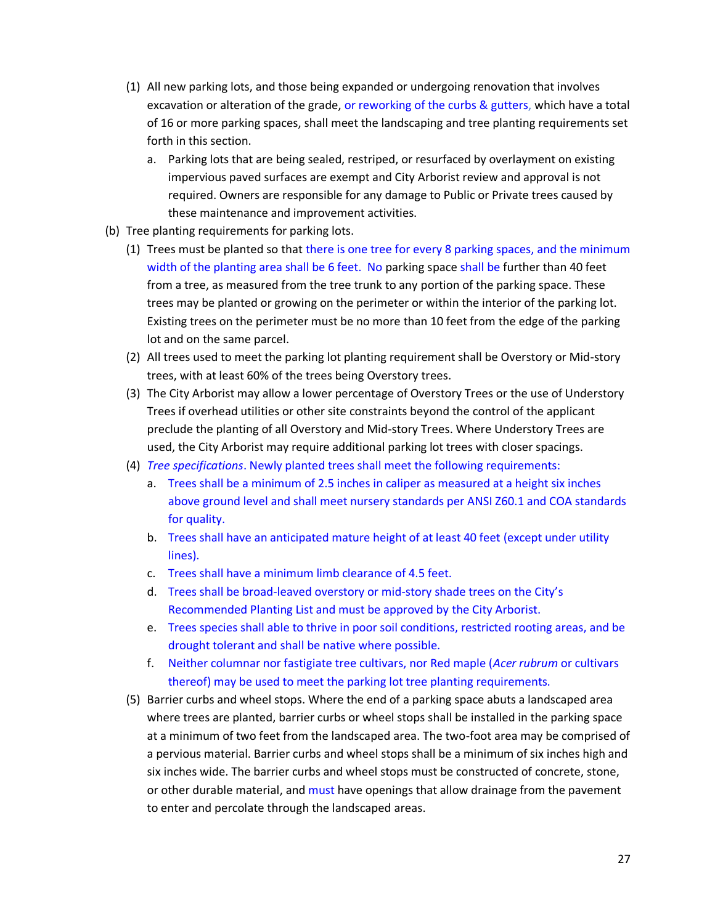- (1) All new parking lots, and those being expanded or undergoing renovation that involves excavation or alteration of the grade, or reworking of the curbs & gutters, which have a total of 16 or more parking spaces, shall meet the landscaping and tree planting requirements set forth in this section.
	- a. Parking lots that are being sealed, restriped, or resurfaced by overlayment on existing impervious paved surfaces are exempt and City Arborist review and approval is not required. Owners are responsible for any damage to Public or Private trees caused by these maintenance and improvement activities.
- (b) Tree planting requirements for parking lots.
	- (1) Trees must be planted so that there is one tree for every 8 parking spaces, and the minimum width of the planting area shall be 6 feet. No parking space shall be further than 40 feet from a tree, as measured from the tree trunk to any portion of the parking space. These trees may be planted or growing on the perimeter or within the interior of the parking lot. Existing trees on the perimeter must be no more than 10 feet from the edge of the parking lot and on the same parcel.
	- (2) All trees used to meet the parking lot planting requirement shall be Overstory or Mid-story trees, with at least 60% of the trees being Overstory trees.
	- (3) The City Arborist may allow a lower percentage of Overstory Trees or the use of Understory Trees if overhead utilities or other site constraints beyond the control of the applicant preclude the planting of all Overstory and Mid-story Trees. Where Understory Trees are used, the City Arborist may require additional parking lot trees with closer spacings.
	- (4) *Tree specifications*. Newly planted trees shall meet the following requirements:
		- a. Trees shall be a minimum of 2.5 inches in caliper as measured at a height six inches above ground level and shall meet nursery standards per ANSI Z60.1 and COA standards for quality.
		- b. Trees shall have an anticipated mature height of at least 40 feet (except under utility lines).
		- c. Trees shall have a minimum limb clearance of 4.5 feet.
		- d. Trees shall be broad-leaved overstory or mid-story shade trees on the City's Recommended Planting List and must be approved by the City Arborist.
		- e. Trees species shall able to thrive in poor soil conditions, restricted rooting areas, and be drought tolerant and shall be native where possible.
		- f. Neither columnar nor fastigiate tree cultivars, nor Red maple (*Acer rubrum* or cultivars thereof) may be used to meet the parking lot tree planting requirements.
	- (5) Barrier curbs and wheel stops. Where the end of a parking space abuts a landscaped area where trees are planted, barrier curbs or wheel stops shall be installed in the parking space at a minimum of two feet from the landscaped area. The two-foot area may be comprised of a pervious material. Barrier curbs and wheel stops shall be a minimum of six inches high and six inches wide. The barrier curbs and wheel stops must be constructed of concrete, stone, or other durable material, and must have openings that allow drainage from the pavement to enter and percolate through the landscaped areas.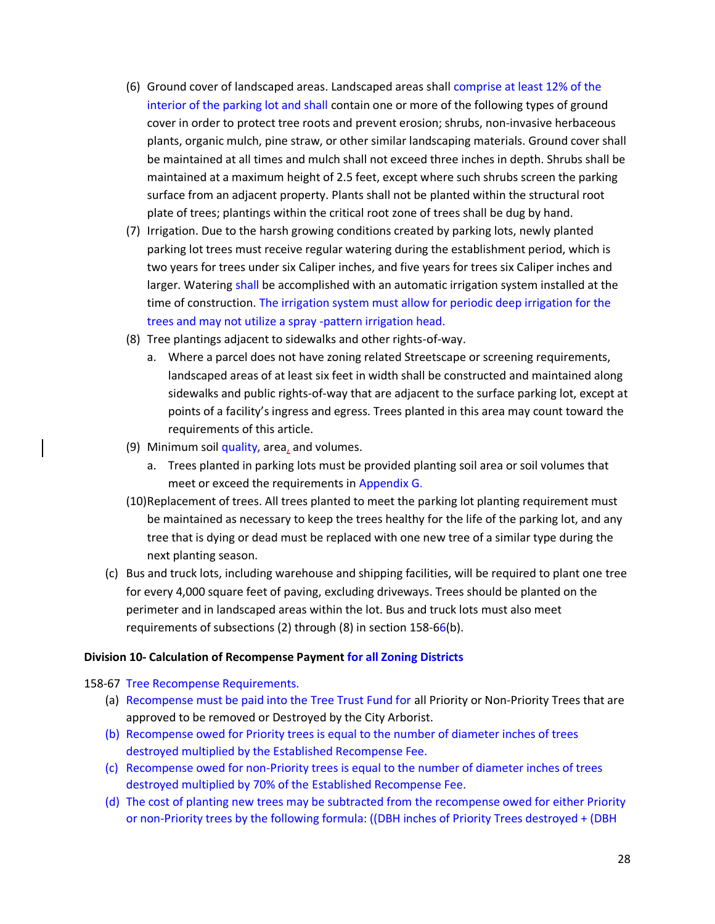- (6) Ground cover of landscaped areas. Landscaped areas shall comprise at least 12% of the interior of the parking lot and shall contain one or more of the following types of ground cover in order to protect tree roots and prevent erosion; shrubs, non-invasive herbaceous plants, organic mulch, pine straw, or other similar landscaping materials. Ground cover shall be maintained at all times and mulch shall not exceed three inches in depth. Shrubs shall be maintained at a maximum height of 2.5 feet, except where such shrubs screen the parking surface from an adjacent property. Plants shall not be planted within the structural root plate of trees; plantings within the critical root zone of trees shall be dug by hand.
- (7) Irrigation. Due to the harsh growing conditions created by parking lots, newly planted parking lot trees must receive regular watering during the establishment period, which is two years for trees under six Caliper inches, and five years for trees six Caliper inches and larger. Watering shall be accomplished with an automatic irrigation system installed at the time of construction. The irrigation system must allow for periodic deep irrigation for the trees and may not utilize a spray -pattern irrigation head.
- (8) Tree plantings adjacent to sidewalks and other rights-of-way.
	- a. Where a parcel does not have zoning related Streetscape or screening requirements, landscaped areas of at least six feet in width shall be constructed and maintained along sidewalks and public rights-of-way that are adjacent to the surface parking lot, except at points of a facility's ingress and egress. Trees planted in this area may count toward the requirements of this article.
- (9) Minimum soil quality, area, and volumes.
	- a. Trees planted in parking lots must be provided planting soil area or soil volumes that meet or exceed the requirements in Appendix G.
- (10)Replacement of trees. All trees planted to meet the parking lot planting requirement must be maintained as necessary to keep the trees healthy for the life of the parking lot, and any tree that is dying or dead must be replaced with one new tree of a similar type during the next planting season.
- (c) Bus and truck lots, including warehouse and shipping facilities, will be required to plant one tree for every 4,000 square feet of paving, excluding driveways. Trees should be planted on the perimeter and in landscaped areas within the lot. Bus and truck lots must also meet requirements of subsections (2) through (8) in section 158-66(b).

#### **Division 10- Calculation of Recompense Payment for all Zoning Districts**

#### 158-67 Tree Recompense Requirements.

- (a) Recompense must be paid into the Tree Trust Fund for all Priority or Non-Priority Trees that are approved to be removed or Destroyed by the City Arborist.
- (b) Recompense owed for Priority trees is equal to the number of diameter inches of trees destroyed multiplied by the Established Recompense Fee.
- (c) Recompense owed for non-Priority trees is equal to the number of diameter inches of trees destroyed multiplied by 70% of the Established Recompense Fee.
- (d) The cost of planting new trees may be subtracted from the recompense owed for either Priority or non-Priority trees by the following formula: ((DBH inches of Priority Trees destroyed + (DBH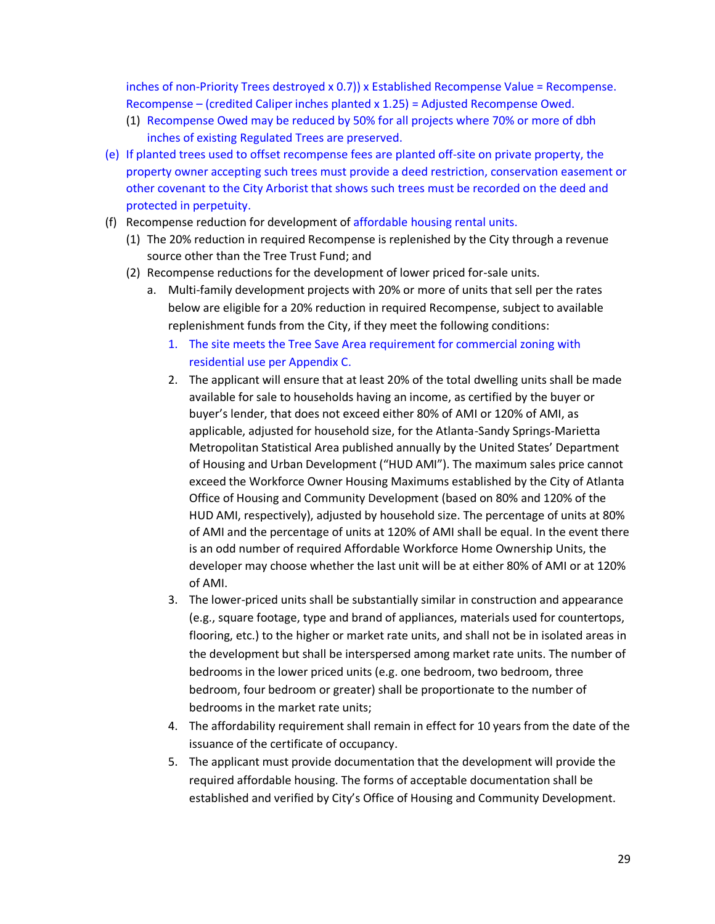inches of non-Priority Trees destroyed x 0.7)) x Established Recompense Value = Recompense. Recompense – (credited Caliper inches planted x 1.25) = Adjusted Recompense Owed.

- (1) Recompense Owed may be reduced by 50% for all projects where 70% or more of dbh inches of existing Regulated Trees are preserved.
- (e) If planted trees used to offset recompense fees are planted off-site on private property, the property owner accepting such trees must provide a deed restriction, conservation easement or other covenant to the City Arborist that shows such trees must be recorded on the deed and protected in perpetuity.
- (f) Recompense reduction for development of affordable housing rental units.
	- (1) The 20% reduction in required Recompense is replenished by the City through a revenue source other than the Tree Trust Fund; and
	- (2) Recompense reductions for the development of lower priced for-sale units.
		- a. Multi-family development projects with 20% or more of units that sell per the rates below are eligible for a 20% reduction in required Recompense, subject to available replenishment funds from the City, if they meet the following conditions:
			- 1. The site meets the Tree Save Area requirement for commercial zoning with residential use per Appendix C.
			- 2. The applicant will ensure that at least 20% of the total dwelling units shall be made available for sale to households having an income, as certified by the buyer or buyer's lender, that does not exceed either 80% of AMI or 120% of AMI, as applicable, adjusted for household size, for the Atlanta-Sandy Springs-Marietta Metropolitan Statistical Area published annually by the United States' Department of Housing and Urban Development ("HUD AMI"). The maximum sales price cannot exceed the Workforce Owner Housing Maximums established by the City of Atlanta Office of Housing and Community Development (based on 80% and 120% of the HUD AMI, respectively), adjusted by household size. The percentage of units at 80% of AMI and the percentage of units at 120% of AMI shall be equal. In the event there is an odd number of required Affordable Workforce Home Ownership Units, the developer may choose whether the last unit will be at either 80% of AMI or at 120% of AMI.
			- 3. The lower-priced units shall be substantially similar in construction and appearance (e.g., square footage, type and brand of appliances, materials used for countertops, flooring, etc.) to the higher or market rate units, and shall not be in isolated areas in the development but shall be interspersed among market rate units. The number of bedrooms in the lower priced units (e.g. one bedroom, two bedroom, three bedroom, four bedroom or greater) shall be proportionate to the number of bedrooms in the market rate units;
			- 4. The affordability requirement shall remain in effect for 10 years from the date of the issuance of the certificate of occupancy.
			- 5. The applicant must provide documentation that the development will provide the required affordable housing. The forms of acceptable documentation shall be established and verified by City's Office of Housing and Community Development.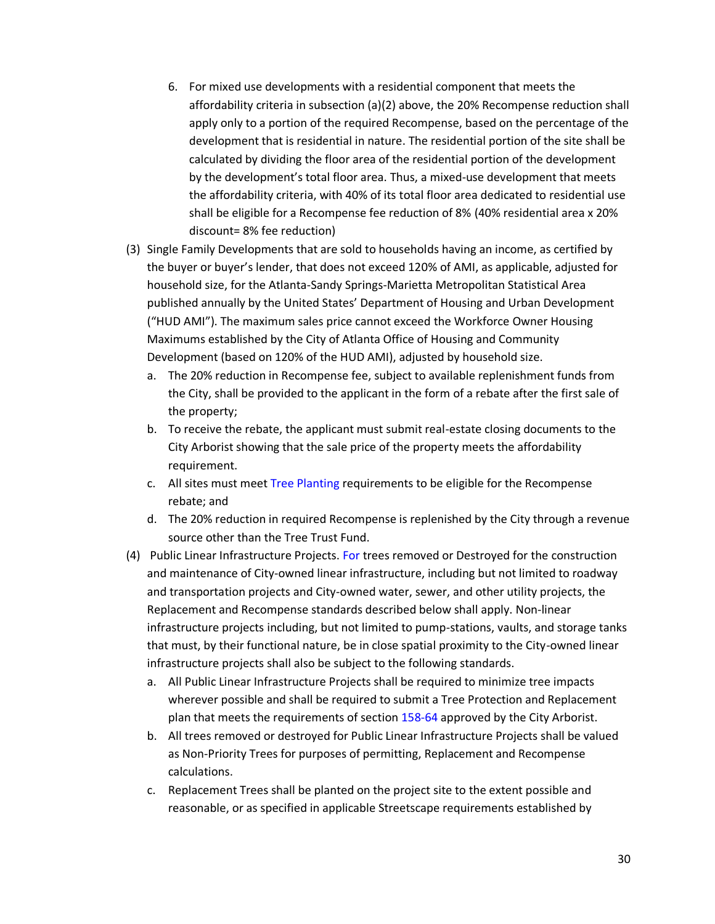- 6. For mixed use developments with a residential component that meets the affordability criteria in subsection (a)(2) above, the 20% Recompense reduction shall apply only to a portion of the required Recompense, based on the percentage of the development that is residential in nature. The residential portion of the site shall be calculated by dividing the floor area of the residential portion of the development by the development's total floor area. Thus, a mixed-use development that meets the affordability criteria, with 40% of its total floor area dedicated to residential use shall be eligible for a Recompense fee reduction of 8% (40% residential area x 20% discount= 8% fee reduction)
- (3) Single Family Developments that are sold to households having an income, as certified by the buyer or buyer's lender, that does not exceed 120% of AMI, as applicable, adjusted for household size, for the Atlanta-Sandy Springs-Marietta Metropolitan Statistical Area published annually by the United States' Department of Housing and Urban Development ("HUD AMI"). The maximum sales price cannot exceed the Workforce Owner Housing Maximums established by the City of Atlanta Office of Housing and Community Development (based on 120% of the HUD AMI), adjusted by household size.
	- a. The 20% reduction in Recompense fee, subject to available replenishment funds from the City, shall be provided to the applicant in the form of a rebate after the first sale of the property;
	- b. To receive the rebate, the applicant must submit real-estate closing documents to the City Arborist showing that the sale price of the property meets the affordability requirement.
	- c. All sites must meet Tree Planting requirements to be eligible for the Recompense rebate; and
	- d. The 20% reduction in required Recompense is replenished by the City through a revenue source other than the Tree Trust Fund.
- (4) Public Linear Infrastructure Projects. For trees removed or Destroyed for the construction and maintenance of City-owned linear infrastructure, including but not limited to roadway and transportation projects and City-owned water, sewer, and other utility projects, the Replacement and Recompense standards described below shall apply. Non-linear infrastructure projects including, but not limited to pump-stations, vaults, and storage tanks that must, by their functional nature, be in close spatial proximity to the City-owned linear infrastructure projects shall also be subject to the following standards.
	- a. All Public Linear Infrastructure Projects shall be required to minimize tree impacts wherever possible and shall be required to submit a Tree Protection and Replacement plan that meets the requirements of section 158-64 approved by the City Arborist.
	- b. All trees removed or destroyed for Public Linear Infrastructure Projects shall be valued as Non-Priority Trees for purposes of permitting, Replacement and Recompense calculations.
	- c. Replacement Trees shall be planted on the project site to the extent possible and reasonable, or as specified in applicable Streetscape requirements established by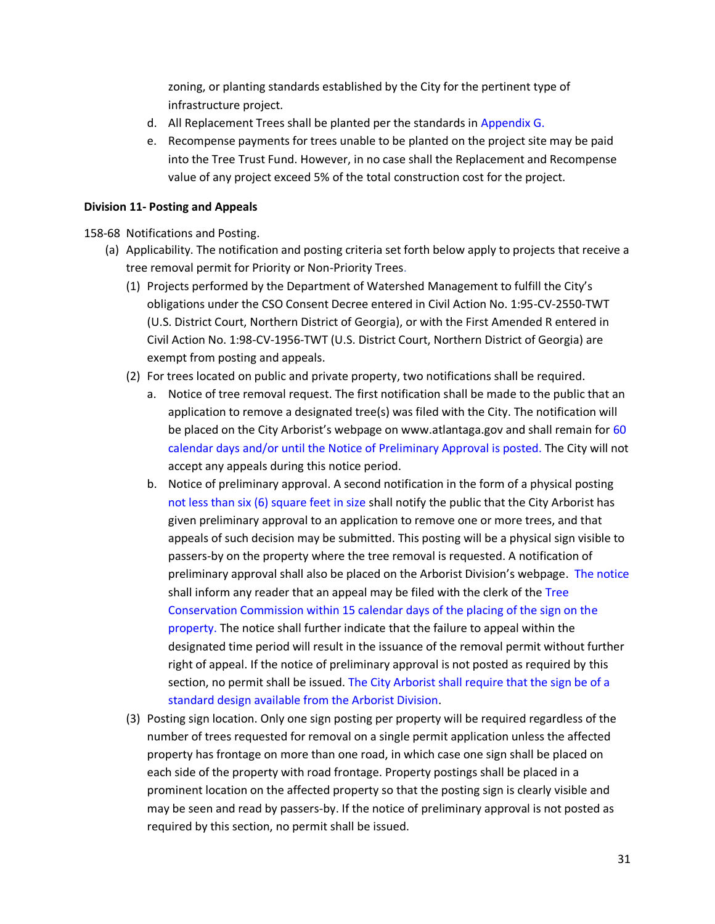zoning, or planting standards established by the City for the pertinent type of infrastructure project.

- d. All Replacement Trees shall be planted per the standards in Appendix G.
- e. Recompense payments for trees unable to be planted on the project site may be paid into the Tree Trust Fund. However, in no case shall the Replacement and Recompense value of any project exceed 5% of the total construction cost for the project.

### **Division 11- Posting and Appeals**

158-68 Notifications and Posting.

- (a) Applicability. The notification and posting criteria set forth below apply to projects that receive a tree removal permit for Priority or Non-Priority Trees.
	- (1) Projects performed by the Department of Watershed Management to fulfill the City's obligations under the CSO Consent Decree entered in Civil Action No. 1:95-CV-2550-TWT (U.S. District Court, Northern District of Georgia), or with the First Amended R entered in Civil Action No. 1:98-CV-1956-TWT (U.S. District Court, Northern District of Georgia) are exempt from posting and appeals.
	- (2) For trees located on public and private property, two notifications shall be required.
		- a. Notice of tree removal request. The first notification shall be made to the public that an application to remove a designated tree(s) was filed with the City. The notification will be placed on the City Arborist's webpage on www.atlantaga.gov and shall remain for 60 calendar days and/or until the Notice of Preliminary Approval is posted. The City will not accept any appeals during this notice period.
		- b. Notice of preliminary approval. A second notification in the form of a physical posting not less than six (6) square feet in size shall notify the public that the City Arborist has given preliminary approval to an application to remove one or more trees, and that appeals of such decision may be submitted. This posting will be a physical sign visible to passers-by on the property where the tree removal is requested. A notification of preliminary approval shall also be placed on the Arborist Division's webpage. The notice shall inform any reader that an appeal may be filed with the clerk of the Tree Conservation Commission within 15 calendar days of the placing of the sign on the property. The notice shall further indicate that the failure to appeal within the designated time period will result in the issuance of the removal permit without further right of appeal. If the notice of preliminary approval is not posted as required by this section, no permit shall be issued. The City Arborist shall require that the sign be of a standard design available from the Arborist Division.
	- (3) Posting sign location. Only one sign posting per property will be required regardless of the number of trees requested for removal on a single permit application unless the affected property has frontage on more than one road, in which case one sign shall be placed on each side of the property with road frontage. Property postings shall be placed in a prominent location on the affected property so that the posting sign is clearly visible and may be seen and read by passers-by. If the notice of preliminary approval is not posted as required by this section, no permit shall be issued.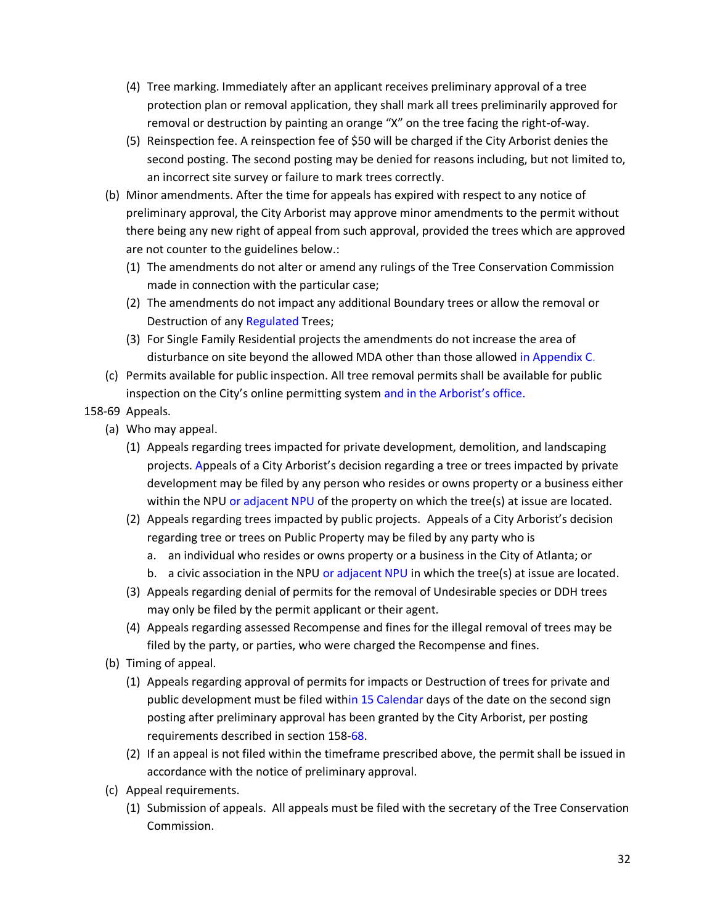- (4) Tree marking. Immediately after an applicant receives preliminary approval of a tree protection plan or removal application, they shall mark all trees preliminarily approved for removal or destruction by painting an orange "X" on the tree facing the right-of-way.
- (5) Reinspection fee. A reinspection fee of \$50 will be charged if the City Arborist denies the second posting. The second posting may be denied for reasons including, but not limited to, an incorrect site survey or failure to mark trees correctly.
- (b) Minor amendments. After the time for appeals has expired with respect to any notice of preliminary approval, the City Arborist may approve minor amendments to the permit without there being any new right of appeal from such approval, provided the trees which are approved are not counter to the guidelines below.:
	- (1) The amendments do not alter or amend any rulings of the Tree Conservation Commission made in connection with the particular case;
	- (2) The amendments do not impact any additional Boundary trees or allow the removal or Destruction of any Regulated Trees;
	- (3) For Single Family Residential projects the amendments do not increase the area of disturbance on site beyond the allowed MDA other than those allowed in Appendix C.
- (c) Permits available for public inspection. All tree removal permits shall be available for public inspection on the City's online permitting system and in the Arborist's office.

## 158-69 Appeals.

- (a) Who may appeal.
	- (1) Appeals regarding trees impacted for private development, demolition, and landscaping projects. Appeals of a City Arborist's decision regarding a tree or trees impacted by private development may be filed by any person who resides or owns property or a business either within the NPU or adjacent NPU of the property on which the tree(s) at issue are located.
	- (2) Appeals regarding trees impacted by public projects. Appeals of a City Arborist's decision regarding tree or trees on Public Property may be filed by any party who is
		- a. an individual who resides or owns property or a business in the City of Atlanta; or
		- b. a civic association in the NPU or adjacent NPU in which the tree(s) at issue are located.
	- (3) Appeals regarding denial of permits for the removal of Undesirable species or DDH trees may only be filed by the permit applicant or their agent.
	- (4) Appeals regarding assessed Recompense and fines for the illegal removal of trees may be filed by the party, or parties, who were charged the Recompense and fines.
- (b) Timing of appeal.
	- (1) Appeals regarding approval of permits for impacts or Destruction of trees for private and public development must be filed within 15 Calendar days of the date on the second sign posting after preliminary approval has been granted by the City Arborist, per posting requirements described in section 158-68.
	- (2) If an appeal is not filed within the timeframe prescribed above, the permit shall be issued in accordance with the notice of preliminary approval.
- (c) Appeal requirements.
	- (1) Submission of appeals. All appeals must be filed with the secretary of the Tree Conservation Commission.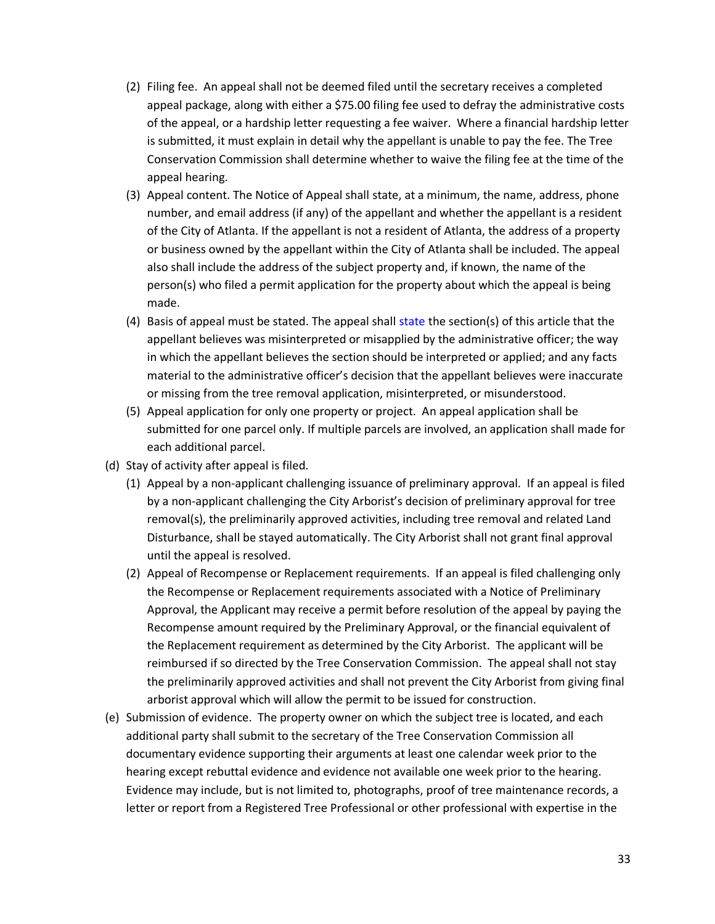- (2) Filing fee. An appeal shall not be deemed filed until the secretary receives a completed appeal package, along with either a \$75.00 filing fee used to defray the administrative costs of the appeal, or a hardship letter requesting a fee waiver. Where a financial hardship letter is submitted, it must explain in detail why the appellant is unable to pay the fee. The Tree Conservation Commission shall determine whether to waive the filing fee at the time of the appeal hearing.
- (3) Appeal content. The Notice of Appeal shall state, at a minimum, the name, address, phone number, and email address (if any) of the appellant and whether the appellant is a resident of the City of Atlanta. If the appellant is not a resident of Atlanta, the address of a property or business owned by the appellant within the City of Atlanta shall be included. The appeal also shall include the address of the subject property and, if known, the name of the person(s) who filed a permit application for the property about which the appeal is being made.
- (4) Basis of appeal must be stated. The appeal shall state the section(s) of this article that the appellant believes was misinterpreted or misapplied by the administrative officer; the way in which the appellant believes the section should be interpreted or applied; and any facts material to the administrative officer's decision that the appellant believes were inaccurate or missing from the tree removal application, misinterpreted, or misunderstood.
- (5) Appeal application for only one property or project. An appeal application shall be submitted for one parcel only. If multiple parcels are involved, an application shall made for each additional parcel.
- (d) Stay of activity after appeal is filed.
	- (1) Appeal by a non-applicant challenging issuance of preliminary approval. If an appeal is filed by a non-applicant challenging the City Arborist's decision of preliminary approval for tree removal(s), the preliminarily approved activities, including tree removal and related Land Disturbance, shall be stayed automatically. The City Arborist shall not grant final approval until the appeal is resolved.
	- (2) Appeal of Recompense or Replacement requirements. If an appeal is filed challenging only the Recompense or Replacement requirements associated with a Notice of Preliminary Approval, the Applicant may receive a permit before resolution of the appeal by paying the Recompense amount required by the Preliminary Approval, or the financial equivalent of the Replacement requirement as determined by the City Arborist. The applicant will be reimbursed if so directed by the Tree Conservation Commission. The appeal shall not stay the preliminarily approved activities and shall not prevent the City Arborist from giving final arborist approval which will allow the permit to be issued for construction.
- (e) Submission of evidence. The property owner on which the subject tree is located, and each additional party shall submit to the secretary of the Tree Conservation Commission all documentary evidence supporting their arguments at least one calendar week prior to the hearing except rebuttal evidence and evidence not available one week prior to the hearing. Evidence may include, but is not limited to, photographs, proof of tree maintenance records, a letter or report from a Registered Tree Professional or other professional with expertise in the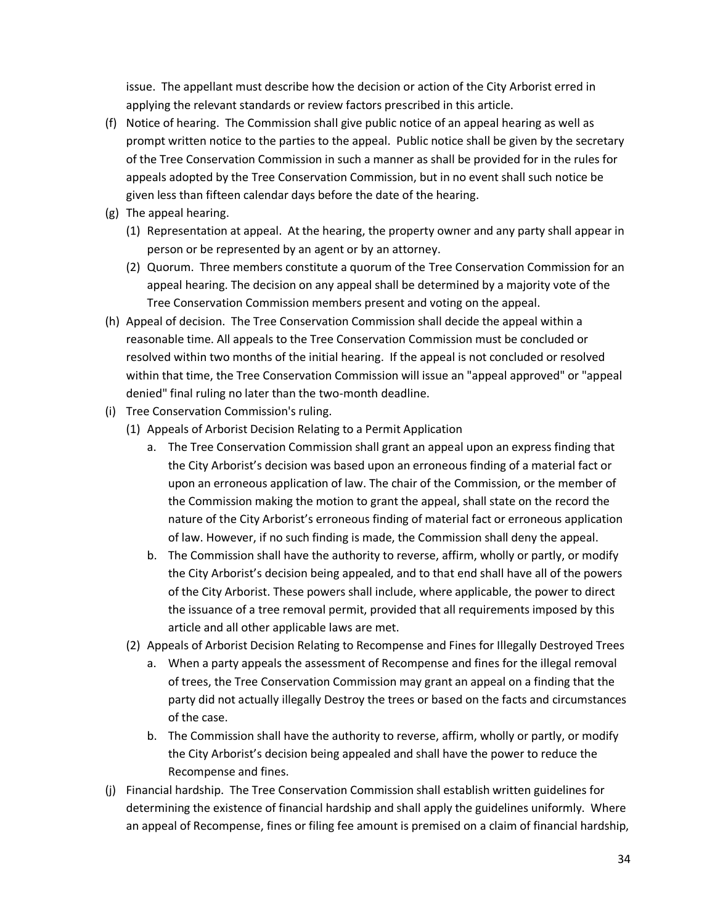issue. The appellant must describe how the decision or action of the City Arborist erred in applying the relevant standards or review factors prescribed in this article.

- (f) Notice of hearing. The Commission shall give public notice of an appeal hearing as well as prompt written notice to the parties to the appeal. Public notice shall be given by the secretary of the Tree Conservation Commission in such a manner as shall be provided for in the rules for appeals adopted by the Tree Conservation Commission, but in no event shall such notice be given less than fifteen calendar days before the date of the hearing.
- (g) The appeal hearing.
	- (1) Representation at appeal. At the hearing, the property owner and any party shall appear in person or be represented by an agent or by an attorney.
	- (2) Quorum. Three members constitute a quorum of the Tree Conservation Commission for an appeal hearing. The decision on any appeal shall be determined by a majority vote of the Tree Conservation Commission members present and voting on the appeal.
- (h) Appeal of decision. The Tree Conservation Commission shall decide the appeal within a reasonable time. All appeals to the Tree Conservation Commission must be concluded or resolved within two months of the initial hearing. If the appeal is not concluded or resolved within that time, the Tree Conservation Commission will issue an "appeal approved" or "appeal denied" final ruling no later than the two-month deadline.
- (i) Tree Conservation Commission's ruling.
	- (1) Appeals of Arborist Decision Relating to a Permit Application
		- a. The Tree Conservation Commission shall grant an appeal upon an express finding that the City Arborist's decision was based upon an erroneous finding of a material fact or upon an erroneous application of law. The chair of the Commission, or the member of the Commission making the motion to grant the appeal, shall state on the record the nature of the City Arborist's erroneous finding of material fact or erroneous application of law. However, if no such finding is made, the Commission shall deny the appeal.
		- b. The Commission shall have the authority to reverse, affirm, wholly or partly, or modify the City Arborist's decision being appealed, and to that end shall have all of the powers of the City Arborist. These powers shall include, where applicable, the power to direct the issuance of a tree removal permit, provided that all requirements imposed by this article and all other applicable laws are met.
	- (2) Appeals of Arborist Decision Relating to Recompense and Fines for Illegally Destroyed Trees
		- a. When a party appeals the assessment of Recompense and fines for the illegal removal of trees, the Tree Conservation Commission may grant an appeal on a finding that the party did not actually illegally Destroy the trees or based on the facts and circumstances of the case.
		- b. The Commission shall have the authority to reverse, affirm, wholly or partly, or modify the City Arborist's decision being appealed and shall have the power to reduce the Recompense and fines.
- (j) Financial hardship. The Tree Conservation Commission shall establish written guidelines for determining the existence of financial hardship and shall apply the guidelines uniformly. Where an appeal of Recompense, fines or filing fee amount is premised on a claim of financial hardship,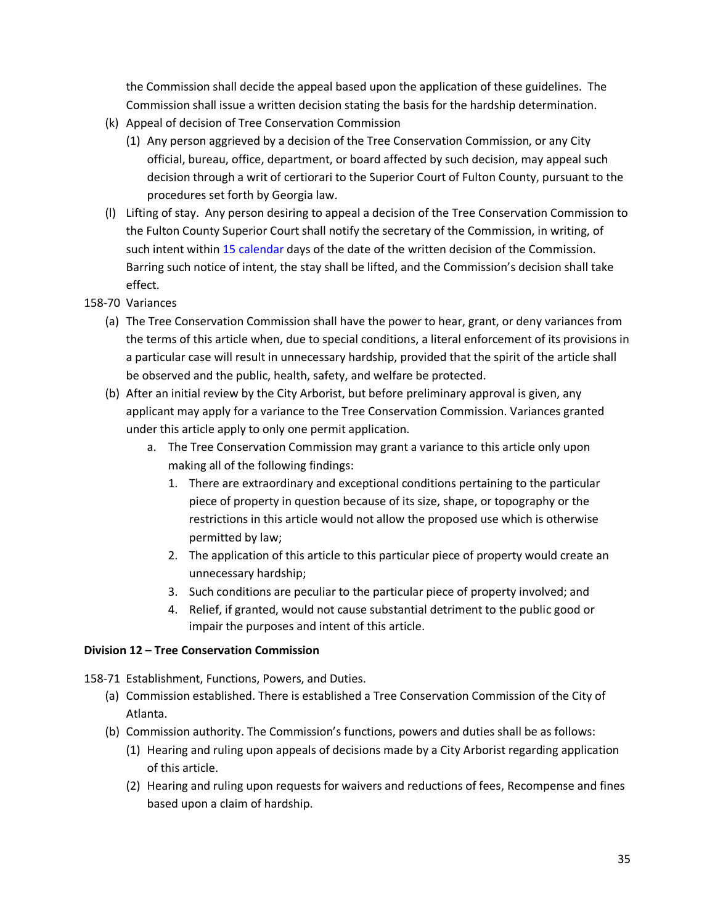the Commission shall decide the appeal based upon the application of these guidelines. The Commission shall issue a written decision stating the basis for the hardship determination.

- (k) Appeal of decision of Tree Conservation Commission
	- (1) Any person aggrieved by a decision of the Tree Conservation Commission, or any City official, bureau, office, department, or board affected by such decision, may appeal such decision through a writ of certiorari to the Superior Court of Fulton County, pursuant to the procedures set forth by Georgia law.
- (l) Lifting of stay. Any person desiring to appeal a decision of the Tree Conservation Commission to the Fulton County Superior Court shall notify the secretary of the Commission, in writing, of such intent within 15 calendar days of the date of the written decision of the Commission. Barring such notice of intent, the stay shall be lifted, and the Commission's decision shall take effect.
- 158-70 Variances
	- (a) The Tree Conservation Commission shall have the power to hear, grant, or deny variances from the terms of this article when, due to special conditions, a literal enforcement of its provisions in a particular case will result in unnecessary hardship, provided that the spirit of the article shall be observed and the public, health, safety, and welfare be protected.
	- (b) After an initial review by the City Arborist, but before preliminary approval is given, any applicant may apply for a variance to the Tree Conservation Commission. Variances granted under this article apply to only one permit application.
		- a. The Tree Conservation Commission may grant a variance to this article only upon making all of the following findings:
			- 1. There are extraordinary and exceptional conditions pertaining to the particular piece of property in question because of its size, shape, or topography or the restrictions in this article would not allow the proposed use which is otherwise permitted by law;
			- 2. The application of this article to this particular piece of property would create an unnecessary hardship;
			- 3. Such conditions are peculiar to the particular piece of property involved; and
			- 4. Relief, if granted, would not cause substantial detriment to the public good or impair the purposes and intent of this article.

### **Division 12 – Tree Conservation Commission**

158-71 Establishment, Functions, Powers, and Duties.

- (a) Commission established. There is established a Tree Conservation Commission of the City of Atlanta.
- (b) Commission authority. The Commission's functions, powers and duties shall be as follows:
	- (1) Hearing and ruling upon appeals of decisions made by a City Arborist regarding application of this article.
	- (2) Hearing and ruling upon requests for waivers and reductions of fees, Recompense and fines based upon a claim of hardship.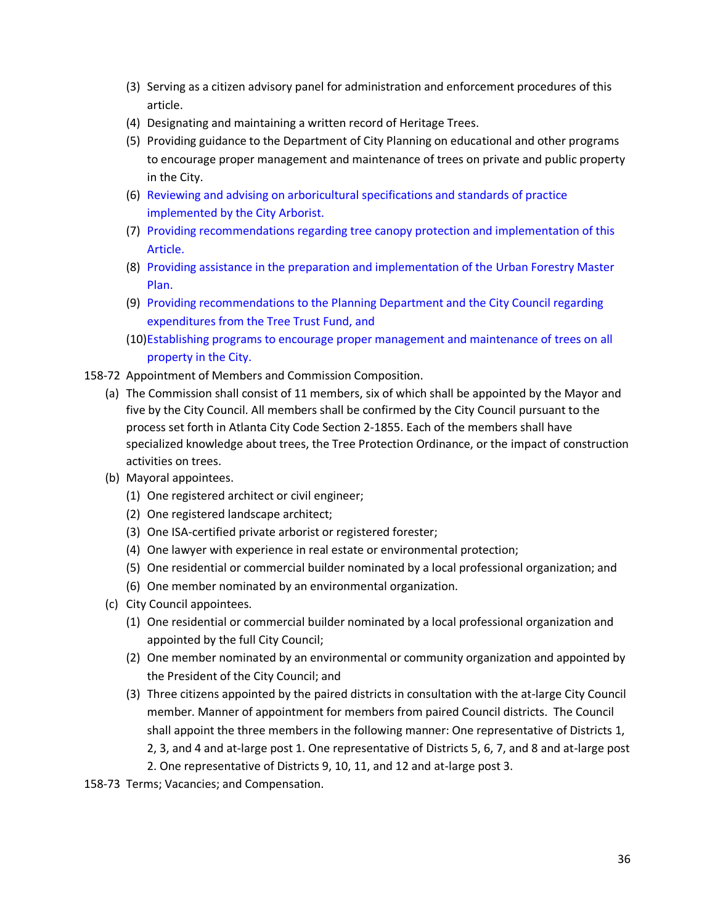- (3) Serving as a citizen advisory panel for administration and enforcement procedures of this article.
- (4) Designating and maintaining a written record of Heritage Trees.
- (5) Providing guidance to the Department of City Planning on educational and other programs to encourage proper management and maintenance of trees on private and public property in the City.
- (6) Reviewing and advising on arboricultural specifications and standards of practice implemented by the City Arborist.
- (7) Providing recommendations regarding tree canopy protection and implementation of this Article.
- (8) Providing assistance in the preparation and implementation of the Urban Forestry Master Plan.
- (9) Providing recommendations to the Planning Department and the City Council regarding expenditures from the Tree Trust Fund, and
- (10)Establishing programs to encourage proper management and maintenance of trees on all property in the City.
- 158-72 Appointment of Members and Commission Composition.
	- (a) The Commission shall consist of 11 members, six of which shall be appointed by the Mayor and five by the City Council. All members shall be confirmed by the City Council pursuant to the process set forth in Atlanta City Code Section 2-1855. Each of the members shall have specialized knowledge about trees, the Tree Protection Ordinance, or the impact of construction activities on trees.
	- (b) Mayoral appointees.
		- (1) One registered architect or civil engineer;
		- (2) One registered landscape architect;
		- (3) One ISA-certified private arborist or registered forester;
		- (4) One lawyer with experience in real estate or environmental protection;
		- (5) One residential or commercial builder nominated by a local professional organization; and
		- (6) One member nominated by an environmental organization.
	- (c) City Council appointees.
		- (1) One residential or commercial builder nominated by a local professional organization and appointed by the full City Council;
		- (2) One member nominated by an environmental or community organization and appointed by the President of the City Council; and
		- (3) Three citizens appointed by the paired districts in consultation with the at-large City Council member. Manner of appointment for members from paired Council districts. The Council shall appoint the three members in the following manner: One representative of Districts 1, 2, 3, and 4 and at-large post 1. One representative of Districts 5, 6, 7, and 8 and at-large post 2. One representative of Districts 9, 10, 11, and 12 and at-large post 3.
- 158-73 Terms; Vacancies; and Compensation.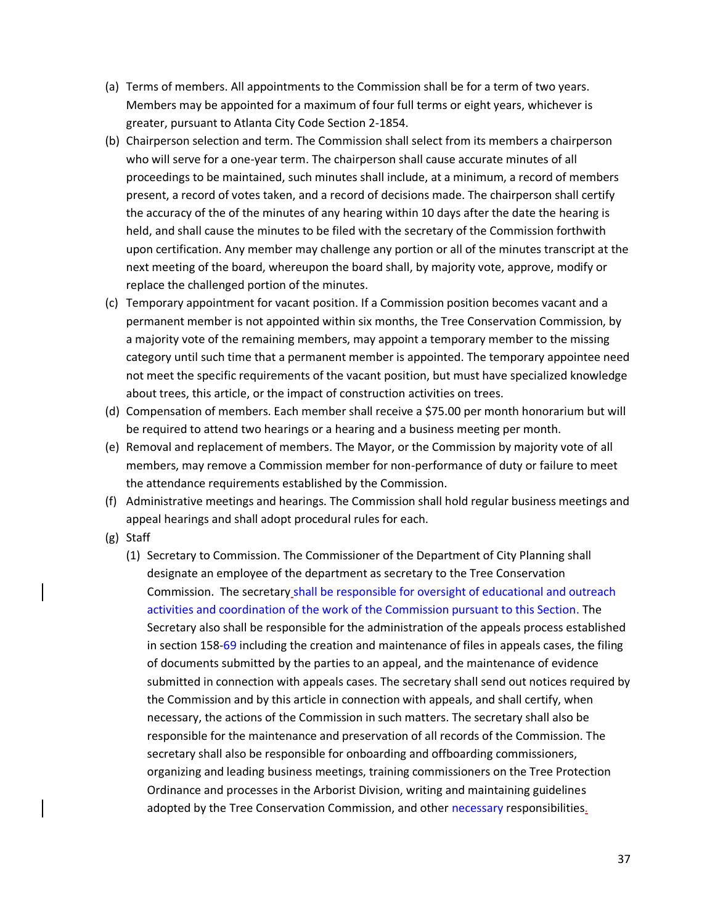- (a) Terms of members. All appointments to the Commission shall be for a term of two years. Members may be appointed for a maximum of four full terms or eight years, whichever is greater, pursuant to Atlanta City Code Section 2-1854.
- (b) Chairperson selection and term. The Commission shall select from its members a chairperson who will serve for a one-year term. The chairperson shall cause accurate minutes of all proceedings to be maintained, such minutes shall include, at a minimum, a record of members present, a record of votes taken, and a record of decisions made. The chairperson shall certify the accuracy of the of the minutes of any hearing within 10 days after the date the hearing is held, and shall cause the minutes to be filed with the secretary of the Commission forthwith upon certification. Any member may challenge any portion or all of the minutes transcript at the next meeting of the board, whereupon the board shall, by majority vote, approve, modify or replace the challenged portion of the minutes.
- (c) Temporary appointment for vacant position. If a Commission position becomes vacant and a permanent member is not appointed within six months, the Tree Conservation Commission, by a majority vote of the remaining members, may appoint a temporary member to the missing category until such time that a permanent member is appointed. The temporary appointee need not meet the specific requirements of the vacant position, but must have specialized knowledge about trees, this article, or the impact of construction activities on trees.
- (d) Compensation of members. Each member shall receive a \$75.00 per month honorarium but will be required to attend two hearings or a hearing and a business meeting per month.
- (e) Removal and replacement of members. The Mayor, or the Commission by majority vote of all members, may remove a Commission member for non-performance of duty or failure to meet the attendance requirements established by the Commission.
- (f) Administrative meetings and hearings. The Commission shall hold regular business meetings and appeal hearings and shall adopt procedural rules for each.
- (g) Staff
	- (1) Secretary to Commission. The Commissioner of the Department of City Planning shall designate an employee of the department as secretary to the Tree Conservation Commission. The secretary shall be responsible for oversight of educational and outreach activities and coordination of the work of the Commission pursuant to this Section. The Secretary also shall be responsible for the administration of the appeals process established in section 158-69 including the creation and maintenance of files in appeals cases, the filing of documents submitted by the parties to an appeal, and the maintenance of evidence submitted in connection with appeals cases. The secretary shall send out notices required by the Commission and by this article in connection with appeals, and shall certify, when necessary, the actions of the Commission in such matters. The secretary shall also be responsible for the maintenance and preservation of all records of the Commission. The secretary shall also be responsible for onboarding and offboarding commissioners, organizing and leading business meetings, training commissioners on the Tree Protection Ordinance and processes in the Arborist Division, writing and maintaining guidelines adopted by the Tree Conservation Commission, and other necessary responsibilities.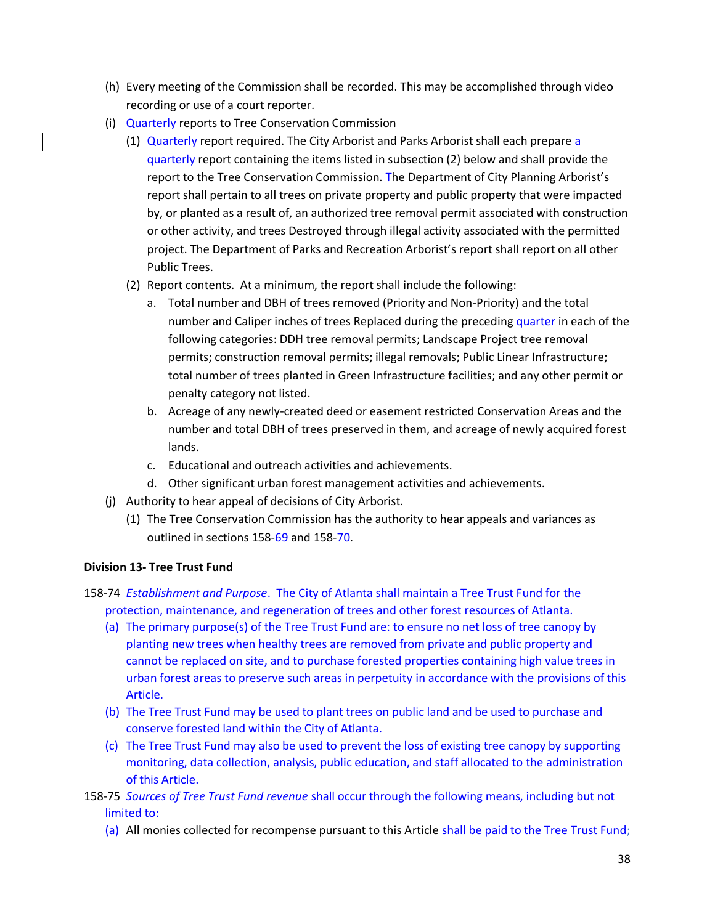- (h) Every meeting of the Commission shall be recorded. This may be accomplished through video recording or use of a court reporter.
- (i) Quarterly reports to Tree Conservation Commission
	- (1) Quarterly report required. The City Arborist and Parks Arborist shall each prepare a quarterly report containing the items listed in subsection (2) below and shall provide the report to the Tree Conservation Commission. The Department of City Planning Arborist's report shall pertain to all trees on private property and public property that were impacted by, or planted as a result of, an authorized tree removal permit associated with construction or other activity, and trees Destroyed through illegal activity associated with the permitted project. The Department of Parks and Recreation Arborist's report shall report on all other Public Trees.
	- (2) Report contents. At a minimum, the report shall include the following:
		- a. Total number and DBH of trees removed (Priority and Non-Priority) and the total number and Caliper inches of trees Replaced during the preceding quarter in each of the following categories: DDH tree removal permits; Landscape Project tree removal permits; construction removal permits; illegal removals; Public Linear Infrastructure; total number of trees planted in Green Infrastructure facilities; and any other permit or penalty category not listed.
		- b. Acreage of any newly-created deed or easement restricted Conservation Areas and the number and total DBH of trees preserved in them, and acreage of newly acquired forest lands.
		- c. Educational and outreach activities and achievements.
		- d. Other significant urban forest management activities and achievements.
- (j) Authority to hear appeal of decisions of City Arborist.
	- (1) The Tree Conservation Commission has the authority to hear appeals and variances as outlined in sections 158-69 and 158-70.

# **Division 13- Tree Trust Fund**

- 158-74 *Establishment and Purpose*. The City of Atlanta shall maintain a Tree Trust Fund for the protection, maintenance, and regeneration of trees and other forest resources of Atlanta.
	- (a) The primary purpose(s) of the Tree Trust Fund are: to ensure no net loss of tree canopy by planting new trees when healthy trees are removed from private and public property and cannot be replaced on site, and to purchase forested properties containing high value trees in urban forest areas to preserve such areas in perpetuity in accordance with the provisions of this Article.
	- (b) The Tree Trust Fund may be used to plant trees on public land and be used to purchase and conserve forested land within the City of Atlanta.
	- (c) The Tree Trust Fund may also be used to prevent the loss of existing tree canopy by supporting monitoring, data collection, analysis, public education, and staff allocated to the administration of this Article.
- 158-75 *Sources of Tree Trust Fund revenue* shall occur through the following means, including but not limited to:
	- (a) All monies collected for recompense pursuant to this Article shall be paid to the Tree Trust Fund;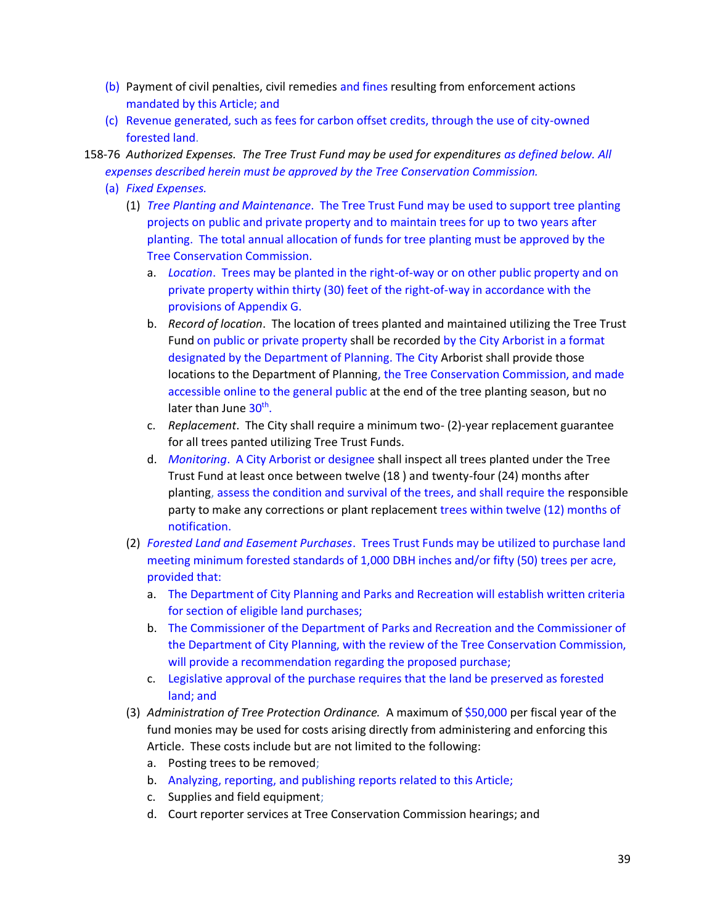- (b) Payment of civil penalties, civil remedies and fines resulting from enforcement actions mandated by this Article; and
- (c) Revenue generated, such as fees for carbon offset credits, through the use of city-owned forested land.

158-76 *Authorized Expenses. The Tree Trust Fund may be used for expenditures as defined below. All expenses described herein must be approved by the Tree Conservation Commission.*

- (a) *Fixed Expenses.*
	- (1) *Tree Planting and Maintenance*. The Tree Trust Fund may be used to support tree planting projects on public and private property and to maintain trees for up to two years after planting. The total annual allocation of funds for tree planting must be approved by the Tree Conservation Commission.
		- a. *Location*. Trees may be planted in the right-of-way or on other public property and on private property within thirty (30) feet of the right-of-way in accordance with the provisions of Appendix G.
		- b. *Record of location*. The location of trees planted and maintained utilizing the Tree Trust Fund on public or private property shall be recorded by the City Arborist in a format designated by the Department of Planning. The City Arborist shall provide those locations to the Department of Planning, the Tree Conservation Commission, and made accessible online to the general public at the end of the tree planting season, but no later than June 30<sup>th</sup>.
		- c. *Replacement*. The City shall require a minimum two- (2)-year replacement guarantee for all trees panted utilizing Tree Trust Funds.
		- d. *Monitoring*. A City Arborist or designee shall inspect all trees planted under the Tree Trust Fund at least once between twelve (18 ) and twenty-four (24) months after planting, assess the condition and survival of the trees, and shall require the responsible party to make any corrections or plant replacement trees within twelve (12) months of notification.
	- (2) *Forested Land and Easement Purchases*. Trees Trust Funds may be utilized to purchase land meeting minimum forested standards of 1,000 DBH inches and/or fifty (50) trees per acre, provided that:
		- a. The Department of City Planning and Parks and Recreation will establish written criteria for section of eligible land purchases;
		- b. The Commissioner of the Department of Parks and Recreation and the Commissioner of the Department of City Planning, with the review of the Tree Conservation Commission, will provide a recommendation regarding the proposed purchase;
		- c. Legislative approval of the purchase requires that the land be preserved as forested land; and
	- (3) *Administration of Tree Protection Ordinance.* A maximum of \$50,000 per fiscal year of the fund monies may be used for costs arising directly from administering and enforcing this Article. These costs include but are not limited to the following:
		- a. Posting trees to be removed;
		- b. Analyzing, reporting, and publishing reports related to this Article;
		- c. Supplies and field equipment;
		- d. Court reporter services at Tree Conservation Commission hearings; and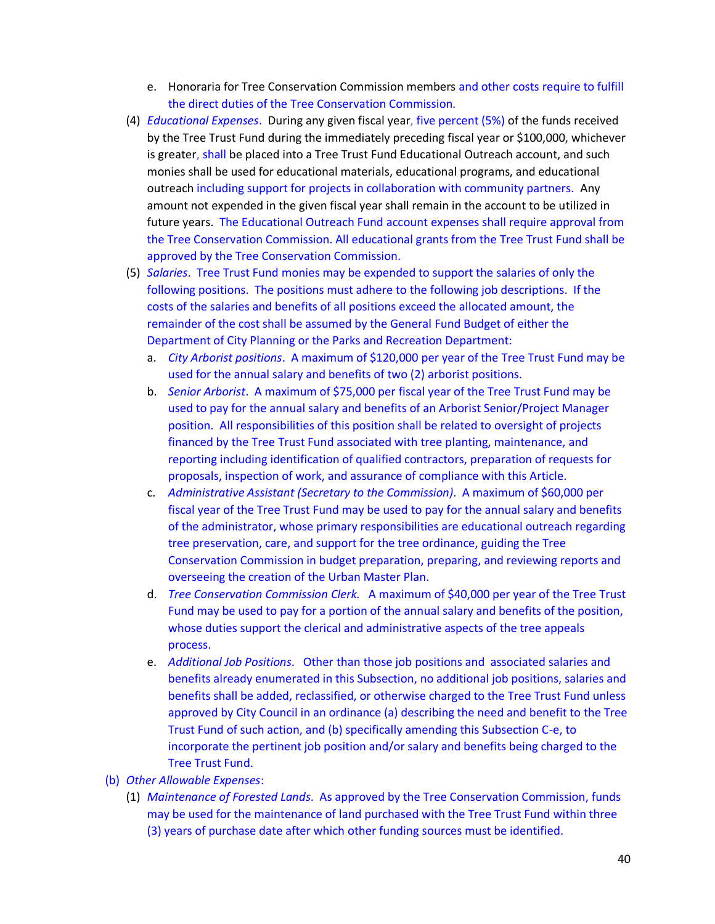- e. Honoraria for Tree Conservation Commission members and other costs require to fulfill the direct duties of the Tree Conservation Commission.
- (4) *Educational Expenses*. During any given fiscal year, five percent (5%) of the funds received by the Tree Trust Fund during the immediately preceding fiscal year or \$100,000, whichever is greater, shall be placed into a Tree Trust Fund Educational Outreach account, and such monies shall be used for educational materials, educational programs, and educational outreach including support for projects in collaboration with community partners. Any amount not expended in the given fiscal year shall remain in the account to be utilized in future years. The Educational Outreach Fund account expenses shall require approval from the Tree Conservation Commission. All educational grants from the Tree Trust Fund shall be approved by the Tree Conservation Commission.
- (5) *Salaries*. Tree Trust Fund monies may be expended to support the salaries of only the following positions. The positions must adhere to the following job descriptions. If the costs of the salaries and benefits of all positions exceed the allocated amount, the remainder of the cost shall be assumed by the General Fund Budget of either the Department of City Planning or the Parks and Recreation Department:
	- a. *City Arborist positions*. A maximum of \$120,000 per year of the Tree Trust Fund may be used for the annual salary and benefits of two (2) arborist positions.
	- b. *Senior Arborist*. A maximum of \$75,000 per fiscal year of the Tree Trust Fund may be used to pay for the annual salary and benefits of an Arborist Senior/Project Manager position. All responsibilities of this position shall be related to oversight of projects financed by the Tree Trust Fund associated with tree planting, maintenance, and reporting including identification of qualified contractors, preparation of requests for proposals, inspection of work, and assurance of compliance with this Article.
	- c. *Administrative Assistant (Secretary to the Commission)*. A maximum of \$60,000 per fiscal year of the Tree Trust Fund may be used to pay for the annual salary and benefits of the administrator, whose primary responsibilities are educational outreach regarding tree preservation, care, and support for the tree ordinance, guiding the Tree Conservation Commission in budget preparation, preparing, and reviewing reports and overseeing the creation of the Urban Master Plan.
	- d. *Tree Conservation Commission Clerk.* A maximum of \$40,000 per year of the Tree Trust Fund may be used to pay for a portion of the annual salary and benefits of the position, whose duties support the clerical and administrative aspects of the tree appeals process.
	- e. *Additional Job Positions*. Other than those job positions and associated salaries and benefits already enumerated in this Subsection, no additional job positions, salaries and benefits shall be added, reclassified, or otherwise charged to the Tree Trust Fund unless approved by City Council in an ordinance (a) describing the need and benefit to the Tree Trust Fund of such action, and (b) specifically amending this Subsection C-e, to incorporate the pertinent job position and/or salary and benefits being charged to the Tree Trust Fund.
- (b) *Other Allowable Expenses*:
	- (1) *Maintenance of Forested Lands*. As approved by the Tree Conservation Commission, funds may be used for the maintenance of land purchased with the Tree Trust Fund within three (3) years of purchase date after which other funding sources must be identified.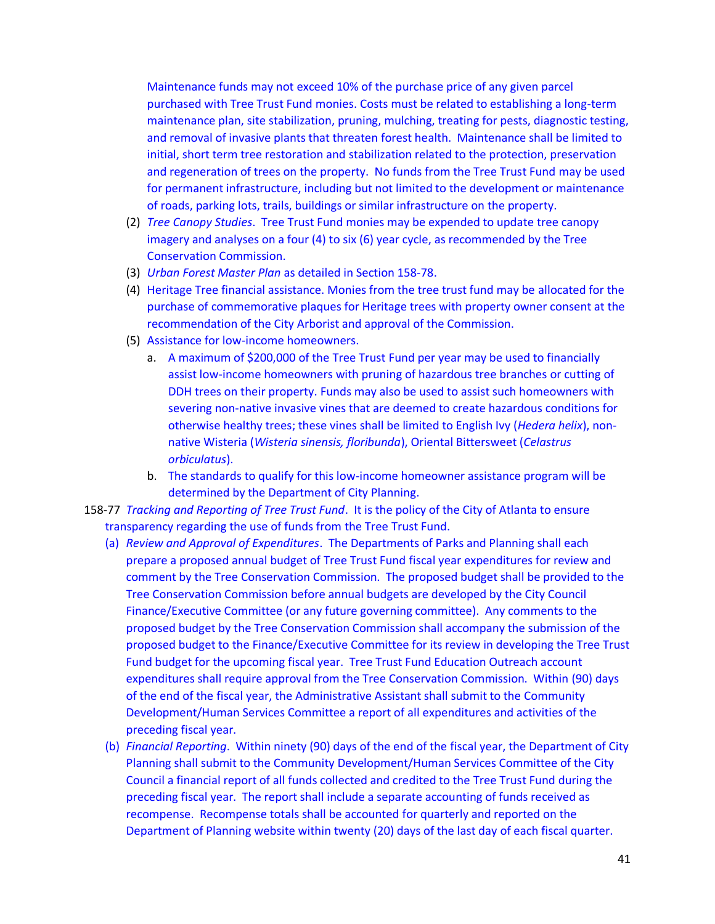Maintenance funds may not exceed 10% of the purchase price of any given parcel purchased with Tree Trust Fund monies. Costs must be related to establishing a long-term maintenance plan, site stabilization, pruning, mulching, treating for pests, diagnostic testing, and removal of invasive plants that threaten forest health. Maintenance shall be limited to initial, short term tree restoration and stabilization related to the protection, preservation and regeneration of trees on the property. No funds from the Tree Trust Fund may be used for permanent infrastructure, including but not limited to the development or maintenance of roads, parking lots, trails, buildings or similar infrastructure on the property.

- (2) *Tree Canopy Studies*. Tree Trust Fund monies may be expended to update tree canopy imagery and analyses on a four (4) to six (6) year cycle, as recommended by the Tree Conservation Commission.
- (3) *Urban Forest Master Plan* as detailed in Section 158-78.
- (4) Heritage Tree financial assistance. Monies from the tree trust fund may be allocated for the purchase of commemorative plaques for Heritage trees with property owner consent at the recommendation of the City Arborist and approval of the Commission.
- (5) Assistance for low-income homeowners.
	- a. A maximum of \$200,000 of the Tree Trust Fund per year may be used to financially assist low-income homeowners with pruning of hazardous tree branches or cutting of DDH trees on their property. Funds may also be used to assist such homeowners with severing non-native invasive vines that are deemed to create hazardous conditions for otherwise healthy trees; these vines shall be limited to English Ivy (*Hedera helix*), nonnative Wisteria (*Wisteria sinensis, floribunda*), Oriental Bittersweet (*Celastrus orbiculatus*).
	- b. The standards to qualify for this low-income homeowner assistance program will be determined by the Department of City Planning.
- 158-77 *Tracking and Reporting of Tree Trust Fund*. It is the policy of the City of Atlanta to ensure transparency regarding the use of funds from the Tree Trust Fund.
	- (a) *Review and Approval of Expenditures*. The Departments of Parks and Planning shall each prepare a proposed annual budget of Tree Trust Fund fiscal year expenditures for review and comment by the Tree Conservation Commission. The proposed budget shall be provided to the Tree Conservation Commission before annual budgets are developed by the City Council Finance/Executive Committee (or any future governing committee). Any comments to the proposed budget by the Tree Conservation Commission shall accompany the submission of the proposed budget to the Finance/Executive Committee for its review in developing the Tree Trust Fund budget for the upcoming fiscal year. Tree Trust Fund Education Outreach account expenditures shall require approval from the Tree Conservation Commission. Within (90) days of the end of the fiscal year, the Administrative Assistant shall submit to the Community Development/Human Services Committee a report of all expenditures and activities of the preceding fiscal year.
	- (b) *Financial Reporting*. Within ninety (90) days of the end of the fiscal year, the Department of City Planning shall submit to the Community Development/Human Services Committee of the City Council a financial report of all funds collected and credited to the Tree Trust Fund during the preceding fiscal year. The report shall include a separate accounting of funds received as recompense. Recompense totals shall be accounted for quarterly and reported on the Department of Planning website within twenty (20) days of the last day of each fiscal quarter.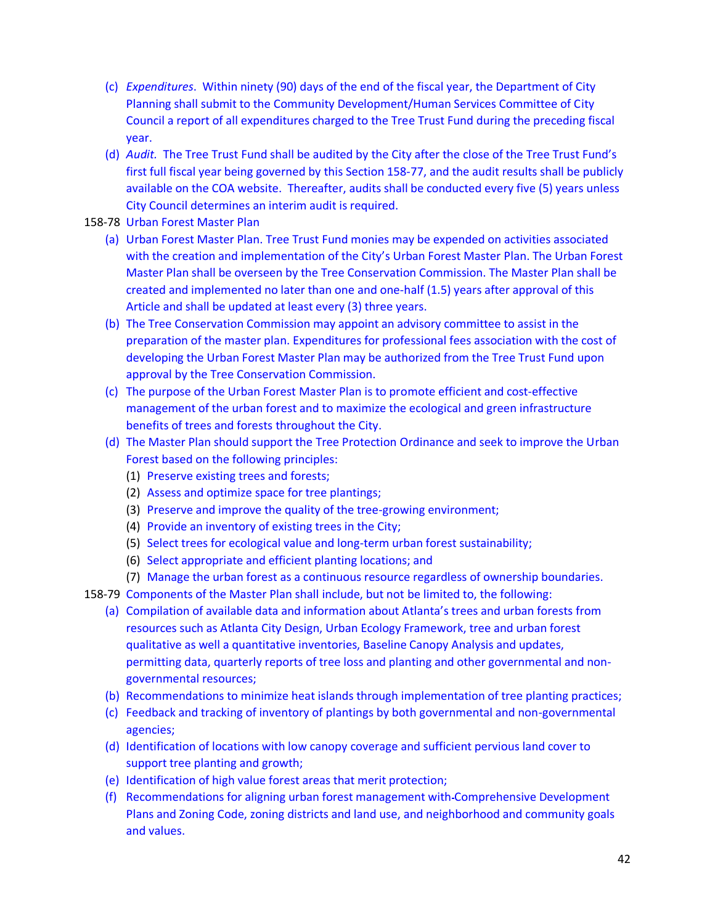- (c) *Expenditures*. Within ninety (90) days of the end of the fiscal year, the Department of City Planning shall submit to the Community Development/Human Services Committee of City Council a report of all expenditures charged to the Tree Trust Fund during the preceding fiscal year.
- (d) *Audit.* The Tree Trust Fund shall be audited by the City after the close of the Tree Trust Fund's first full fiscal year being governed by this Section 158-77, and the audit results shall be publicly available on the COA website. Thereafter, audits shall be conducted every five (5) years unless City Council determines an interim audit is required.
- 158-78 Urban Forest Master Plan
	- (a) Urban Forest Master Plan. Tree Trust Fund monies may be expended on activities associated with the creation and implementation of the City's Urban Forest Master Plan. The Urban Forest Master Plan shall be overseen by the Tree Conservation Commission. The Master Plan shall be created and implemented no later than one and one-half (1.5) years after approval of this Article and shall be updated at least every (3) three years.
	- (b) The Tree Conservation Commission may appoint an advisory committee to assist in the preparation of the master plan. Expenditures for professional fees association with the cost of developing the Urban Forest Master Plan may be authorized from the Tree Trust Fund upon approval by the Tree Conservation Commission.
	- (c) The purpose of the Urban Forest Master Plan is to promote efficient and cost-effective management of the urban forest and to maximize the ecological and green infrastructure benefits of trees and forests throughout the City.
	- (d) The Master Plan should support the Tree Protection Ordinance and seek to improve the Urban Forest based on the following principles:
		- (1) Preserve existing trees and forests;
		- (2) Assess and optimize space for tree plantings;
		- (3) Preserve and improve the quality of the tree-growing environment;
		- (4) Provide an inventory of existing trees in the City;
		- (5) Select trees for ecological value and long-term urban forest sustainability;
		- (6) Select appropriate and efficient planting locations; and
		- (7) Manage the urban forest as a continuous resource regardless of ownership boundaries.
- 158-79 Components of the Master Plan shall include, but not be limited to, the following:
	- (a) Compilation of available data and information about Atlanta's trees and urban forests from resources such as Atlanta City Design, Urban Ecology Framework, tree and urban forest qualitative as well a quantitative inventories, Baseline Canopy Analysis and updates, permitting data, quarterly reports of tree loss and planting and other governmental and nongovernmental resources;
	- (b) Recommendations to minimize heat islands through implementation of tree planting practices;
	- (c) Feedback and tracking of inventory of plantings by both governmental and non-governmental agencies;
	- (d) Identification of locations with low canopy coverage and sufficient pervious land cover to support tree planting and growth;
	- (e) Identification of high value forest areas that merit protection;
	- (f) Recommendations for aligning urban forest management with Comprehensive Development Plans and Zoning Code, zoning districts and land use, and neighborhood and community goals and values.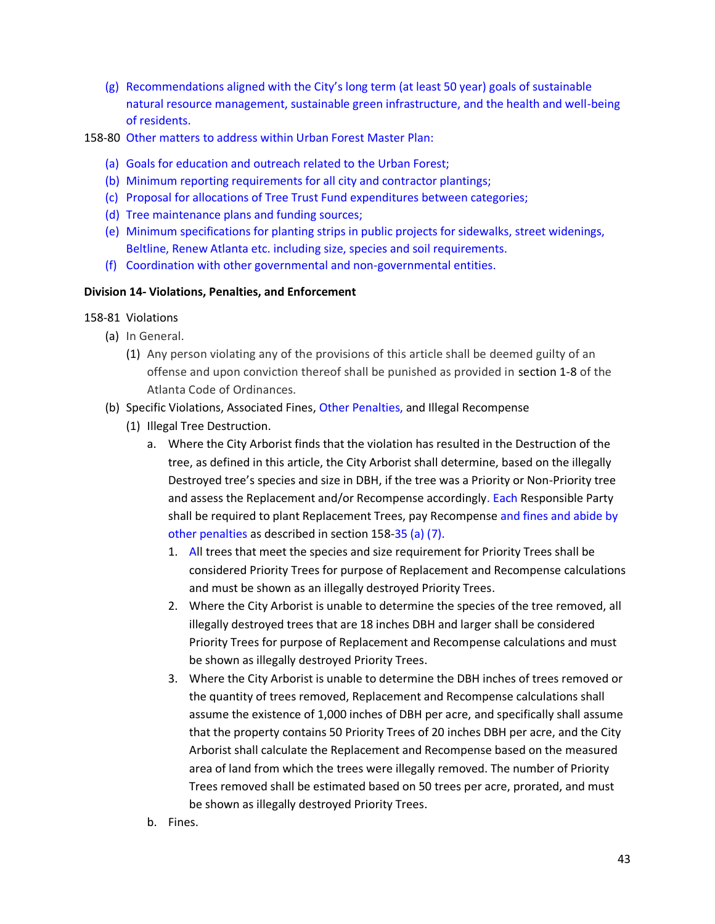- (g) Recommendations aligned with the City's long term (at least 50 year) goals of sustainable natural resource management, sustainable green infrastructure, and the health and well-being of residents.
- 158-80 Other matters to address within Urban Forest Master Plan:
	- (a) Goals for education and outreach related to the Urban Forest;
	- (b) Minimum reporting requirements for all city and contractor plantings;
	- (c) Proposal for allocations of Tree Trust Fund expenditures between categories;
	- (d) Tree maintenance plans and funding sources;
	- (e) Minimum specifications for planting strips in public projects for sidewalks, street widenings, Beltline, Renew Atlanta etc. including size, species and soil requirements.
	- (f) Coordination with other governmental and non-governmental entities.

# **Division 14- Violations, Penalties, and Enforcement**

- 158-81 Violations
	- (a) In General.
		- (1) Any person violating any of the provisions of this article shall be deemed guilty of an offense and upon conviction thereof shall be punished as provided in section 1-8 of the Atlanta Code of Ordinances.
	- (b) Specific Violations, Associated Fines, Other Penalties, and Illegal Recompense
		- (1) Illegal Tree Destruction.
			- a. Where the City Arborist finds that the violation has resulted in the Destruction of the tree, as defined in this article, the City Arborist shall determine, based on the illegally Destroyed tree's species and size in DBH, if the tree was a Priority or Non-Priority tree and assess the Replacement and/or Recompense accordingly. Each Responsible Party shall be required to plant Replacement Trees, pay Recompense and fines and abide by other penalties as described in section 158-35 (a) (7).
				- 1. All trees that meet the species and size requirement for Priority Trees shall be considered Priority Trees for purpose of Replacement and Recompense calculations and must be shown as an illegally destroyed Priority Trees.
				- 2. Where the City Arborist is unable to determine the species of the tree removed, all illegally destroyed trees that are 18 inches DBH and larger shall be considered Priority Trees for purpose of Replacement and Recompense calculations and must be shown as illegally destroyed Priority Trees.
				- 3. Where the City Arborist is unable to determine the DBH inches of trees removed or the quantity of trees removed, Replacement and Recompense calculations shall assume the existence of 1,000 inches of DBH per acre, and specifically shall assume that the property contains 50 Priority Trees of 20 inches DBH per acre, and the City Arborist shall calculate the Replacement and Recompense based on the measured area of land from which the trees were illegally removed. The number of Priority Trees removed shall be estimated based on 50 trees per acre, prorated, and must be shown as illegally destroyed Priority Trees.
			- b. Fines.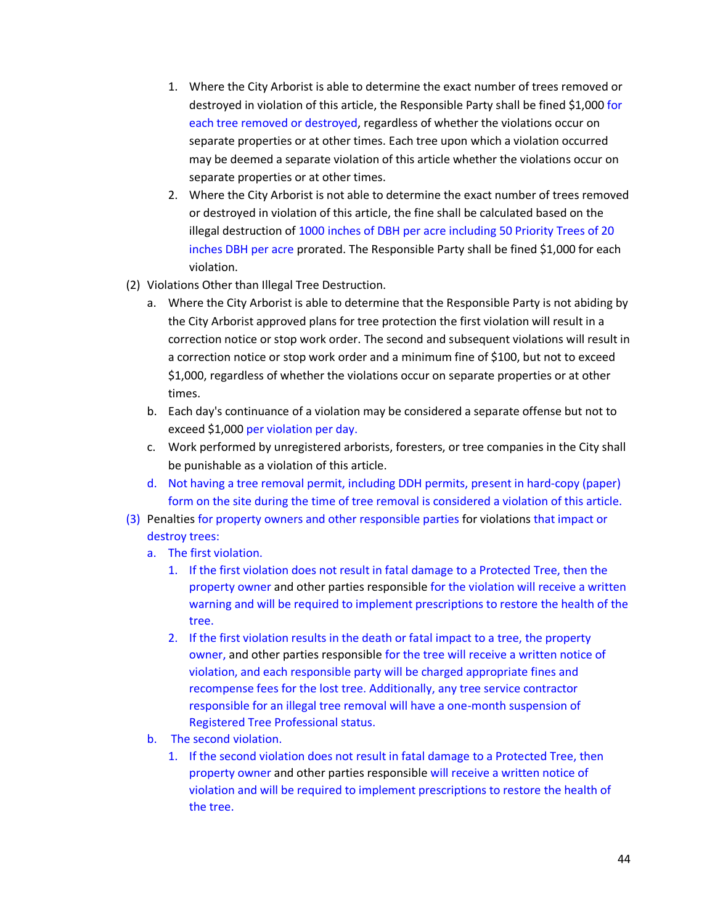- 1. Where the City Arborist is able to determine the exact number of trees removed or destroyed in violation of this article, the Responsible Party shall be fined \$1,000 for each tree removed or destroyed, regardless of whether the violations occur on separate properties or at other times. Each tree upon which a violation occurred may be deemed a separate violation of this article whether the violations occur on separate properties or at other times.
- 2. Where the City Arborist is not able to determine the exact number of trees removed or destroyed in violation of this article, the fine shall be calculated based on the illegal destruction of 1000 inches of DBH per acre including 50 Priority Trees of 20 inches DBH per acre prorated. The Responsible Party shall be fined \$1,000 for each violation.
- (2) Violations Other than Illegal Tree Destruction.
	- a. Where the City Arborist is able to determine that the Responsible Party is not abiding by the City Arborist approved plans for tree protection the first violation will result in a correction notice or stop work order. The second and subsequent violations will result in a correction notice or stop work order and a minimum fine of \$100, but not to exceed \$1,000, regardless of whether the violations occur on separate properties or at other times.
	- b. Each day's continuance of a violation may be considered a separate offense but not to exceed \$1,000 per violation per day.
	- c. Work performed by unregistered arborists, foresters, or tree companies in the City shall be punishable as a violation of this article.
	- d. Not having a tree removal permit, including DDH permits, present in hard-copy (paper) form on the site during the time of tree removal is considered a violation of this article.
- (3) Penalties for property owners and other responsible parties for violations that impact or destroy trees:
	- a. The first violation.
		- 1. If the first violation does not result in fatal damage to a Protected Tree, then the property owner and other parties responsible for the violation will receive a written warning and will be required to implement prescriptions to restore the health of the tree.
		- 2. If the first violation results in the death or fatal impact to a tree, the property owner, and other parties responsible for the tree will receive a written notice of violation, and each responsible party will be charged appropriate fines and recompense fees for the lost tree. Additionally, any tree service contractor responsible for an illegal tree removal will have a one-month suspension of Registered Tree Professional status.
	- b. The second violation.
		- 1. If the second violation does not result in fatal damage to a Protected Tree, then property owner and other parties responsible will receive a written notice of violation and will be required to implement prescriptions to restore the health of the tree.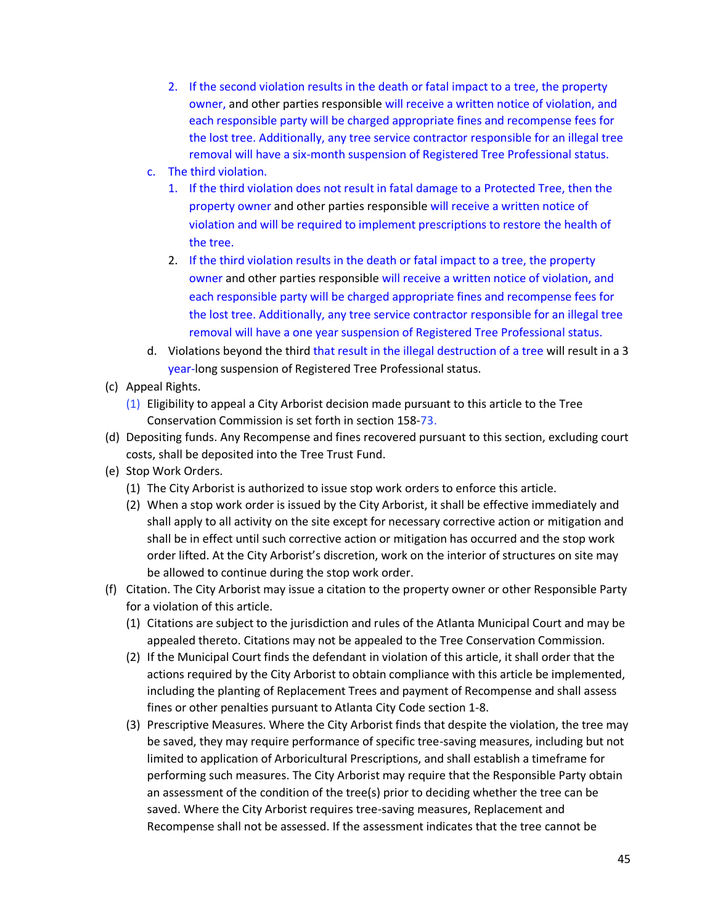- 2. If the second violation results in the death or fatal impact to a tree, the property owner, and other parties responsible will receive a written notice of violation, and each responsible party will be charged appropriate fines and recompense fees for the lost tree. Additionally, any tree service contractor responsible for an illegal tree removal will have a six-month suspension of Registered Tree Professional status.
- c. The third violation.
	- 1. If the third violation does not result in fatal damage to a Protected Tree, then the property owner and other parties responsible will receive a written notice of violation and will be required to implement prescriptions to restore the health of the tree.
	- 2. If the third violation results in the death or fatal impact to a tree, the property owner and other parties responsible will receive a written notice of violation, and each responsible party will be charged appropriate fines and recompense fees for the lost tree. Additionally, any tree service contractor responsible for an illegal tree removal will have a one year suspension of Registered Tree Professional status.
- d. Violations beyond the third that result in the illegal destruction of a tree will result in a 3 year-long suspension of Registered Tree Professional status.
- (c) Appeal Rights.
	- (1) Eligibility to appeal a City Arborist decision made pursuant to this article to the Tree Conservation Commission is set forth in section 158-73.
- (d) Depositing funds. Any Recompense and fines recovered pursuant to this section, excluding court costs, shall be deposited into the Tree Trust Fund.
- (e) Stop Work Orders.
	- (1) The City Arborist is authorized to issue stop work orders to enforce this article.
	- (2) When a stop work order is issued by the City Arborist, it shall be effective immediately and shall apply to all activity on the site except for necessary corrective action or mitigation and shall be in effect until such corrective action or mitigation has occurred and the stop work order lifted. At the City Arborist's discretion, work on the interior of structures on site may be allowed to continue during the stop work order.
- (f) Citation. The City Arborist may issue a citation to the property owner or other Responsible Party for a violation of this article.
	- (1) Citations are subject to the jurisdiction and rules of the Atlanta Municipal Court and may be appealed thereto. Citations may not be appealed to the Tree Conservation Commission.
	- (2) If the Municipal Court finds the defendant in violation of this article, it shall order that the actions required by the City Arborist to obtain compliance with this article be implemented, including the planting of Replacement Trees and payment of Recompense and shall assess fines or other penalties pursuant to Atlanta City Code section 1-8.
	- (3) Prescriptive Measures. Where the City Arborist finds that despite the violation, the tree may be saved, they may require performance of specific tree-saving measures, including but not limited to application of Arboricultural Prescriptions, and shall establish a timeframe for performing such measures. The City Arborist may require that the Responsible Party obtain an assessment of the condition of the tree(s) prior to deciding whether the tree can be saved. Where the City Arborist requires tree-saving measures, Replacement and Recompense shall not be assessed. If the assessment indicates that the tree cannot be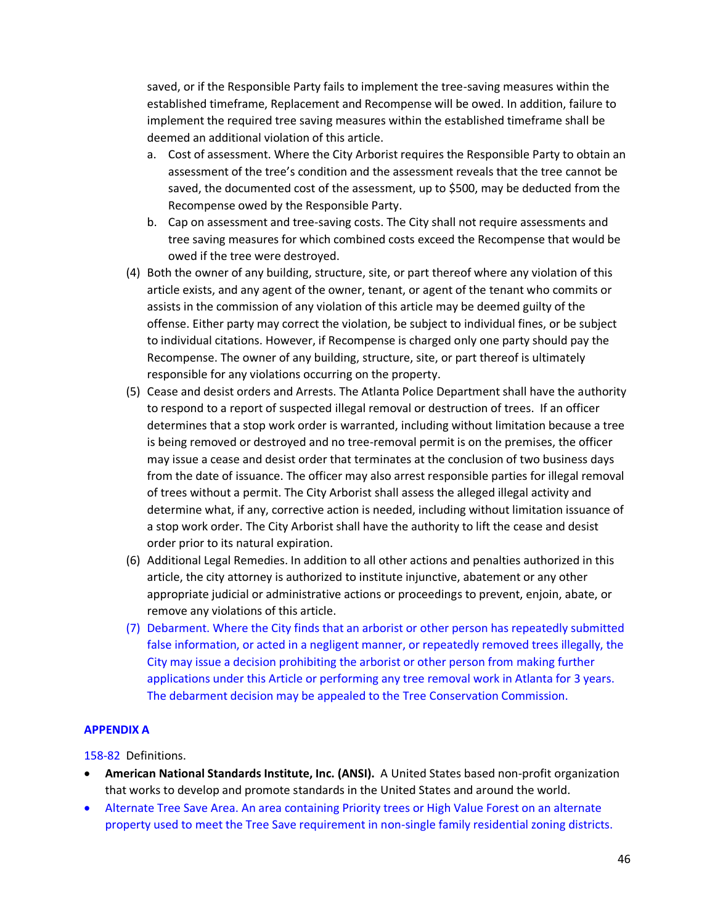saved, or if the Responsible Party fails to implement the tree-saving measures within the established timeframe, Replacement and Recompense will be owed. In addition, failure to implement the required tree saving measures within the established timeframe shall be deemed an additional violation of this article.

- a. Cost of assessment. Where the City Arborist requires the Responsible Party to obtain an assessment of the tree's condition and the assessment reveals that the tree cannot be saved, the documented cost of the assessment, up to \$500, may be deducted from the Recompense owed by the Responsible Party.
- b. Cap on assessment and tree-saving costs. The City shall not require assessments and tree saving measures for which combined costs exceed the Recompense that would be owed if the tree were destroyed.
- (4) Both the owner of any building, structure, site, or part thereof where any violation of this article exists, and any agent of the owner, tenant, or agent of the tenant who commits or assists in the commission of any violation of this article may be deemed guilty of the offense. Either party may correct the violation, be subject to individual fines, or be subject to individual citations. However, if Recompense is charged only one party should pay the Recompense. The owner of any building, structure, site, or part thereof is ultimately responsible for any violations occurring on the property.
- (5) Cease and desist orders and Arrests. The Atlanta Police Department shall have the authority to respond to a report of suspected illegal removal or destruction of trees. If an officer determines that a stop work order is warranted, including without limitation because a tree is being removed or destroyed and no tree-removal permit is on the premises, the officer may issue a cease and desist order that terminates at the conclusion of two business days from the date of issuance. The officer may also arrest responsible parties for illegal removal of trees without a permit. The City Arborist shall assess the alleged illegal activity and determine what, if any, corrective action is needed, including without limitation issuance of a stop work order. The City Arborist shall have the authority to lift the cease and desist order prior to its natural expiration.
- (6) Additional Legal Remedies. In addition to all other actions and penalties authorized in this article, the city attorney is authorized to institute injunctive, abatement or any other appropriate judicial or administrative actions or proceedings to prevent, enjoin, abate, or remove any violations of this article.
- (7) Debarment. Where the City finds that an arborist or other person has repeatedly submitted false information, or acted in a negligent manner, or repeatedly removed trees illegally, the City may issue a decision prohibiting the arborist or other person from making further applications under this Article or performing any tree removal work in Atlanta for 3 years. The debarment decision may be appealed to the Tree Conservation Commission.

#### **APPENDIX A**

158-82 Definitions.

- **American National Standards Institute, Inc. (ANSI).** A United States based non-profit organization that works to develop and promote standards in the United States and around the world.
- Alternate Tree Save Area. An area containing Priority trees or High Value Forest on an alternate property used to meet the Tree Save requirement in non-single family residential zoning districts.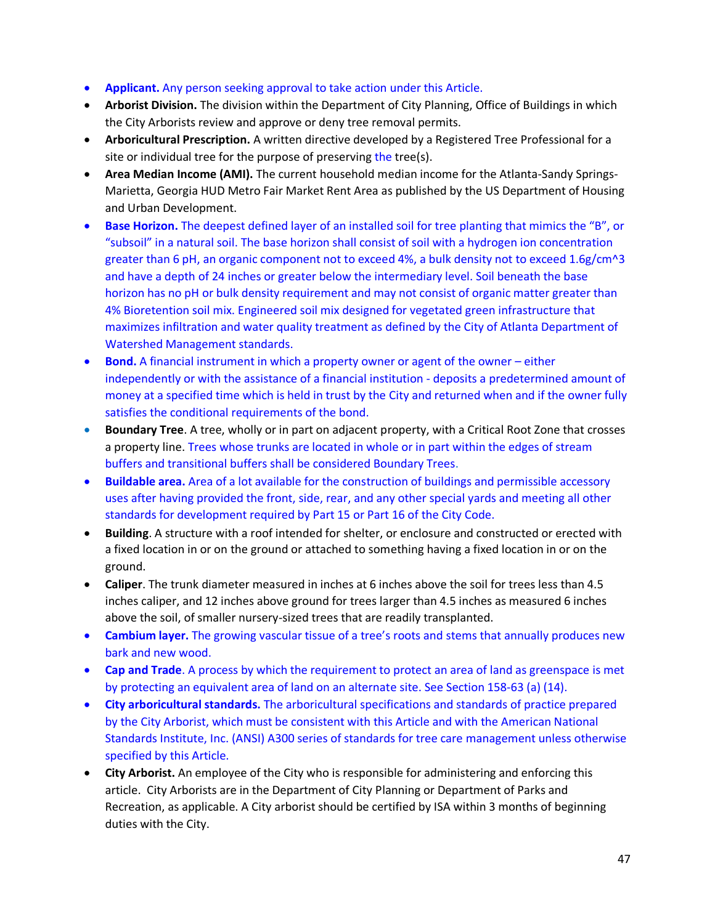- **Applicant.** Any person seeking approval to take action under this Article.
- **Arborist Division.** The division within the Department of City Planning, Office of Buildings in which the City Arborists review and approve or deny tree removal permits.
- **Arboricultural Prescription.** A written directive developed by a Registered Tree Professional for a site or individual tree for the purpose of preserving the tree(s).
- **Area Median Income (AMI).** The current household median income for the Atlanta-Sandy Springs-Marietta, Georgia HUD Metro Fair Market Rent Area as published by the US Department of Housing and Urban Development.
- **Base Horizon.** The deepest defined layer of an installed soil for tree planting that mimics the "B", or "subsoil" in a natural soil. The base horizon shall consist of soil with a hydrogen ion concentration greater than 6 pH, an organic component not to exceed 4%, a bulk density not to exceed 1.6g/cm^3 and have a depth of 24 inches or greater below the intermediary level. Soil beneath the base horizon has no pH or bulk density requirement and may not consist of organic matter greater than 4% Bioretention soil mix. Engineered soil mix designed for vegetated green infrastructure that maximizes infiltration and water quality treatment as defined by the City of Atlanta Department of Watershed Management standards.
- **Bond.** A financial instrument in which a property owner or agent of the owner either independently or with the assistance of a financial institution - deposits a predetermined amount of money at a specified time which is held in trust by the City and returned when and if the owner fully satisfies the conditional requirements of the bond.
- **Boundary Tree**. A tree, wholly or in part on adjacent property, with a Critical Root Zone that crosses a property line. Trees whose trunks are located in whole or in part within the edges of stream buffers and transitional buffers shall be considered Boundary Trees.
- **Buildable area.** Area of a lot available for the construction of buildings and permissible accessory uses after having provided the front, side, rear, and any other special yards and meeting all other standards for development required by Part 15 or Part 16 of the City Code.
- **Building**. A structure with a roof intended for shelter, or enclosure and constructed or erected with a fixed location in or on the ground or attached to something having a fixed location in or on the ground.
- **Caliper**. The trunk diameter measured in inches at 6 inches above the soil for trees less than 4.5 inches caliper, and 12 inches above ground for trees larger than 4.5 inches as measured 6 inches above the soil, of smaller nursery-sized trees that are readily transplanted.
- **Cambium layer.** The growing vascular tissue of a tree's roots and stems that annually produces new bark and new wood.
- **Cap and Trade**. A process by which the requirement to protect an area of land as greenspace is met by protecting an equivalent area of land on an alternate site. See Section 158-63 (a) (14).
- **City arboricultural standards.** The arboricultural specifications and standards of practice prepared by the City Arborist, which must be consistent with this Article and with the American National Standards Institute, Inc. (ANSI) A300 series of standards for tree care management unless otherwise specified by this Article.
- **City Arborist.** An employee of the City who is responsible for administering and enforcing this article. City Arborists are in the Department of City Planning or Department of Parks and Recreation, as applicable. A City arborist should be certified by ISA within 3 months of beginning duties with the City.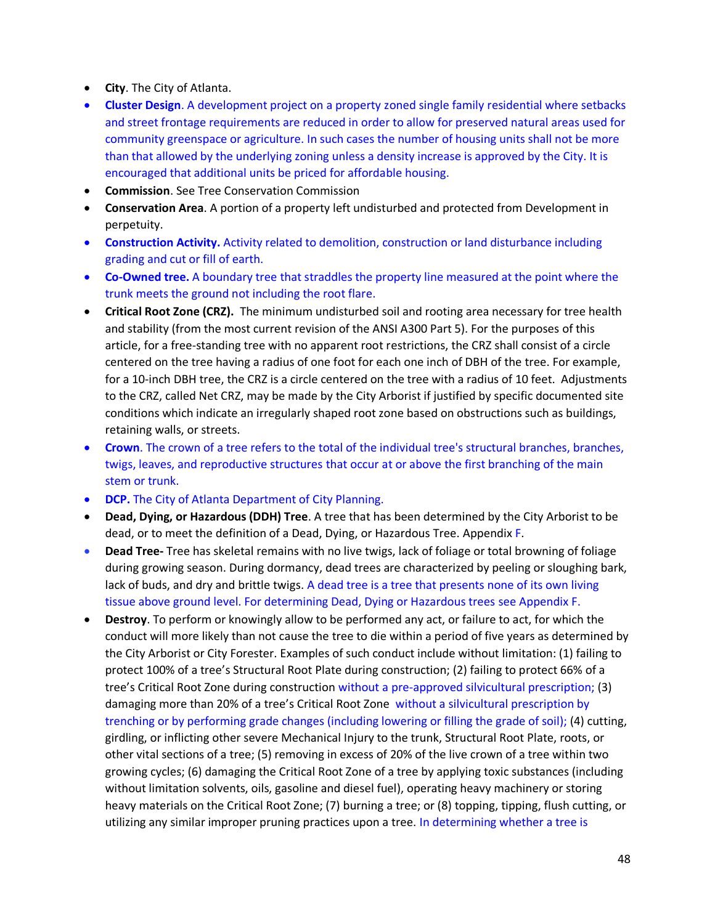- **City**. The City of Atlanta.
- **Cluster Design**. A development project on a property zoned single family residential where setbacks and street frontage requirements are reduced in order to allow for preserved natural areas used for community greenspace or agriculture. In such cases the number of housing units shall not be more than that allowed by the underlying zoning unless a density increase is approved by the City. It is encouraged that additional units be priced for affordable housing.
- **Commission**. See Tree Conservation Commission
- **Conservation Area**. A portion of a property left undisturbed and protected from Development in perpetuity.
- **Construction Activity.** Activity related to demolition, construction or land disturbance including grading and cut or fill of earth.
- **Co-Owned tree.** A boundary tree that straddles the property line measured at the point where the trunk meets the ground not including the root flare.
- **Critical Root Zone (CRZ).** The minimum undisturbed soil and rooting area necessary for tree health and stability (from the most current revision of the ANSI A300 Part 5). For the purposes of this article, for a free-standing tree with no apparent root restrictions, the CRZ shall consist of a circle centered on the tree having a radius of one foot for each one inch of DBH of the tree. For example, for a 10-inch DBH tree, the CRZ is a circle centered on the tree with a radius of 10 feet. Adjustments to the CRZ, called Net CRZ, may be made by the City Arborist if justified by specific documented site conditions which indicate an irregularly shaped root zone based on obstructions such as buildings, retaining walls, or streets.
- **Crown**. The crown of a tree refers to the total of the individual tree's structural branches, branches, twigs, leaves, and reproductive structures that occur at or above the first branching of the main stem or trunk.
- **DCP.** The City of Atlanta Department of City Planning.
- **Dead, Dying, or Hazardous (DDH) Tree**. A tree that has been determined by the City Arborist to be dead, or to meet the definition of a Dead, Dying, or Hazardous Tree. Appendix F.
- **Dead Tree-** Tree has skeletal remains with no live twigs, lack of foliage or total browning of foliage during growing season. During dormancy, dead trees are characterized by peeling or sloughing bark, lack of buds, and dry and brittle twigs. A dead tree is a tree that presents none of its own living tissue above ground level. For determining Dead, Dying or Hazardous trees see Appendix F.
- **Destroy**. To perform or knowingly allow to be performed any act, or failure to act, for which the conduct will more likely than not cause the tree to die within a period of five years as determined by the City Arborist or City Forester. Examples of such conduct include without limitation: (1) failing to protect 100% of a tree's Structural Root Plate during construction; (2) failing to protect 66% of a tree's Critical Root Zone during construction without a pre-approved silvicultural prescription; (3) damaging more than 20% of a tree's Critical Root Zone without a silvicultural prescription by trenching or by performing grade changes (including lowering or filling the grade of soil); (4) cutting, girdling, or inflicting other severe Mechanical Injury to the trunk, Structural Root Plate, roots, or other vital sections of a tree; (5) removing in excess of 20% of the live crown of a tree within two growing cycles; (6) damaging the Critical Root Zone of a tree by applying toxic substances (including without limitation solvents, oils, gasoline and diesel fuel), operating heavy machinery or storing heavy materials on the Critical Root Zone; (7) burning a tree; or (8) topping, tipping, flush cutting, or utilizing any similar improper pruning practices upon a tree. In determining whether a tree is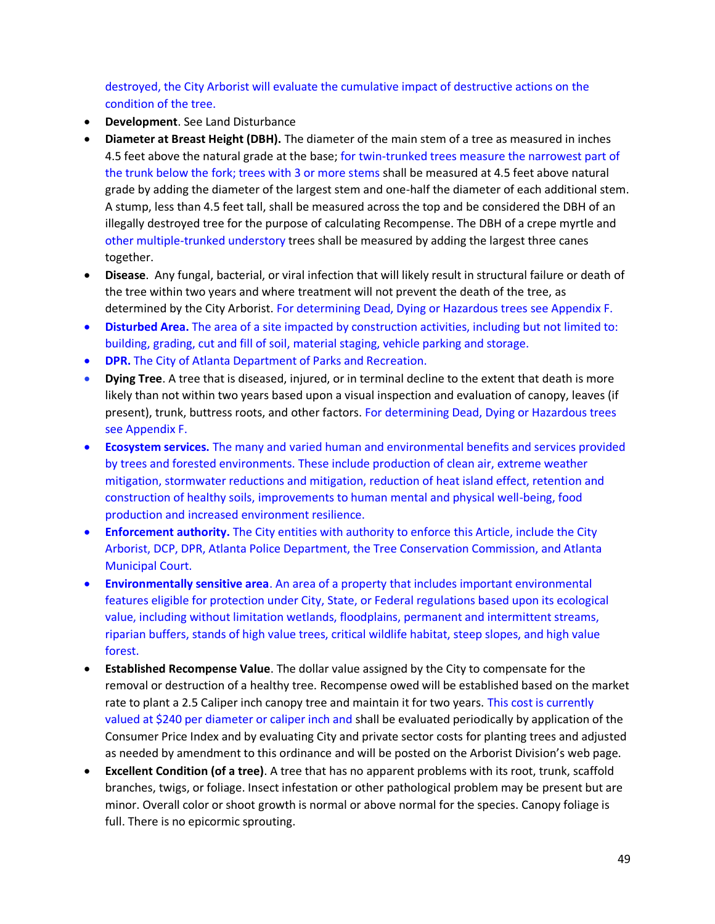destroyed, the City Arborist will evaluate the cumulative impact of destructive actions on the condition of the tree.

- **Development**. See Land Disturbance
- **Diameter at Breast Height (DBH).** The diameter of the main stem of a tree as measured in inches 4.5 feet above the natural grade at the base; for twin-trunked trees measure the narrowest part of the trunk below the fork; trees with 3 or more stems shall be measured at 4.5 feet above natural grade by adding the diameter of the largest stem and one-half the diameter of each additional stem. A stump, less than 4.5 feet tall, shall be measured across the top and be considered the DBH of an illegally destroyed tree for the purpose of calculating Recompense. The DBH of a crepe myrtle and other multiple-trunked understory trees shall be measured by adding the largest three canes together.
- **Disease**. Any fungal, bacterial, or viral infection that will likely result in structural failure or death of the tree within two years and where treatment will not prevent the death of the tree, as determined by the City Arborist. For determining Dead, Dying or Hazardous trees see Appendix F.
- **Disturbed Area.** The area of a site impacted by construction activities, including but not limited to: building, grading, cut and fill of soil, material staging, vehicle parking and storage.
- **DPR.** The City of Atlanta Department of Parks and Recreation.
- **Dying Tree**. A tree that is diseased, injured, or in terminal decline to the extent that death is more likely than not within two years based upon a visual inspection and evaluation of canopy, leaves (if present), trunk, buttress roots, and other factors. For determining Dead, Dying or Hazardous trees see Appendix F.
- **Ecosystem services.** The many and varied human and environmental benefits and services provided by trees and forested environments. These include production of clean air, extreme weather mitigation, stormwater reductions and mitigation, reduction of heat island effect, retention and construction of healthy soils, improvements to human mental and physical well-being, food production and increased environment resilience.
- **Enforcement authority.** The City entities with authority to enforce this Article, include the City Arborist, DCP, DPR, Atlanta Police Department, the Tree Conservation Commission, and Atlanta Municipal Court.
- **Environmentally sensitive area**. An area of a property that includes important environmental features eligible for protection under City, State, or Federal regulations based upon its ecological value, including without limitation wetlands, floodplains, permanent and intermittent streams, riparian buffers, stands of high value trees, critical wildlife habitat, steep slopes, and high value forest.
- **Established Recompense Value**. The dollar value assigned by the City to compensate for the removal or destruction of a healthy tree. Recompense owed will be established based on the market rate to plant a 2.5 Caliper inch canopy tree and maintain it for two years. This cost is currently valued at \$240 per diameter or caliper inch and shall be evaluated periodically by application of the Consumer Price Index and by evaluating City and private sector costs for planting trees and adjusted as needed by amendment to this ordinance and will be posted on the Arborist Division's web page.
- **Excellent Condition (of a tree)**. A tree that has no apparent problems with its root, trunk, scaffold branches, twigs, or foliage. Insect infestation or other pathological problem may be present but are minor. Overall color or shoot growth is normal or above normal for the species. Canopy foliage is full. There is no epicormic sprouting.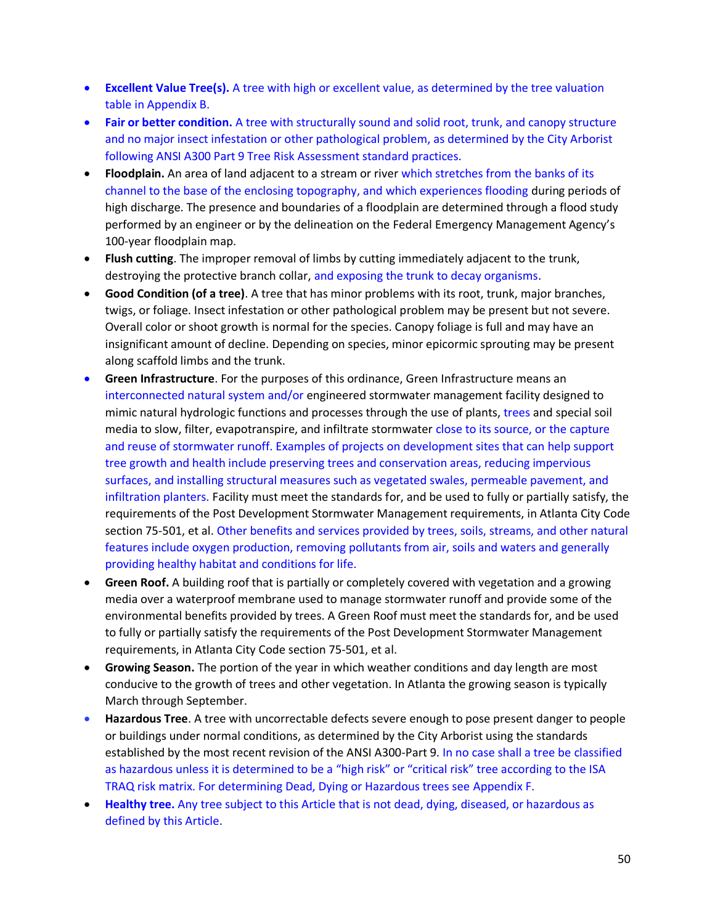- **Excellent Value Tree(s).** A tree with high or excellent value, as determined by the tree valuation table in Appendix B.
- **Fair or better condition.** A tree with structurally sound and solid root, trunk, and canopy structure and no major insect infestation or other pathological problem, as determined by the City Arborist following ANSI A300 Part 9 Tree Risk Assessment standard practices.
- **Floodplain.** An area of land adjacent to a stream or river which stretches from the banks of its channel to the base of the enclosing topography, and which experiences flooding during periods of high discharge. The presence and boundaries of a floodplain are determined through a flood study performed by an engineer or by the delineation on the Federal Emergency Management Agency's 100-year floodplain map.
- **Flush cutting**. The improper removal of limbs by cutting immediately adjacent to the trunk, destroying the protective branch collar, and exposing the trunk to decay organisms.
- **Good Condition (of a tree)**. A tree that has minor problems with its root, trunk, major branches, twigs, or foliage. Insect infestation or other pathological problem may be present but not severe. Overall color or shoot growth is normal for the species. Canopy foliage is full and may have an insignificant amount of decline. Depending on species, minor epicormic sprouting may be present along scaffold limbs and the trunk.
- **Green Infrastructure**. For the purposes of this ordinance, Green Infrastructure means an interconnected natural system and/or engineered stormwater management facility designed to mimic natural hydrologic functions and processes through the use of plants, trees and special soil media to slow, filter, evapotranspire, and infiltrate stormwater close to its source, or the capture and reuse of stormwater runoff. Examples of projects on development sites that can help support tree growth and health include preserving trees and conservation areas, reducing impervious surfaces, and installing structural measures such as vegetated swales, permeable pavement, and infiltration planters. Facility must meet the standards for, and be used to fully or partially satisfy, the requirements of the Post Development Stormwater Management requirements, in Atlanta City Code section 75-501, et al. Other benefits and services provided by trees, soils, streams, and other natural features include oxygen production, removing pollutants from air, soils and waters and generally providing healthy habitat and conditions for life.
- **Green Roof.** A building roof that is partially or completely covered with vegetation and a growing media over a waterproof membrane used to manage stormwater runoff and provide some of the environmental benefits provided by trees. A Green Roof must meet the standards for, and be used to fully or partially satisfy the requirements of the Post Development Stormwater Management requirements, in Atlanta City Code section 75-501, et al.
- **Growing Season.** The portion of the year in which weather conditions and day length are most conducive to the growth of trees and other vegetation. In Atlanta the growing season is typically March through September.
- **Hazardous Tree**. A tree with uncorrectable defects severe enough to pose present danger to people or buildings under normal conditions, as determined by the City Arborist using the standards established by the most recent revision of the ANSI A300-Part 9. In no case shall a tree be classified as hazardous unless it is determined to be a "high risk" or "critical risk" tree according to the ISA TRAQ risk matrix. For determining Dead, Dying or Hazardous trees see Appendix F.
- **Healthy tree.** Any tree subject to this Article that is not dead, dying, diseased, or hazardous as defined by this Article.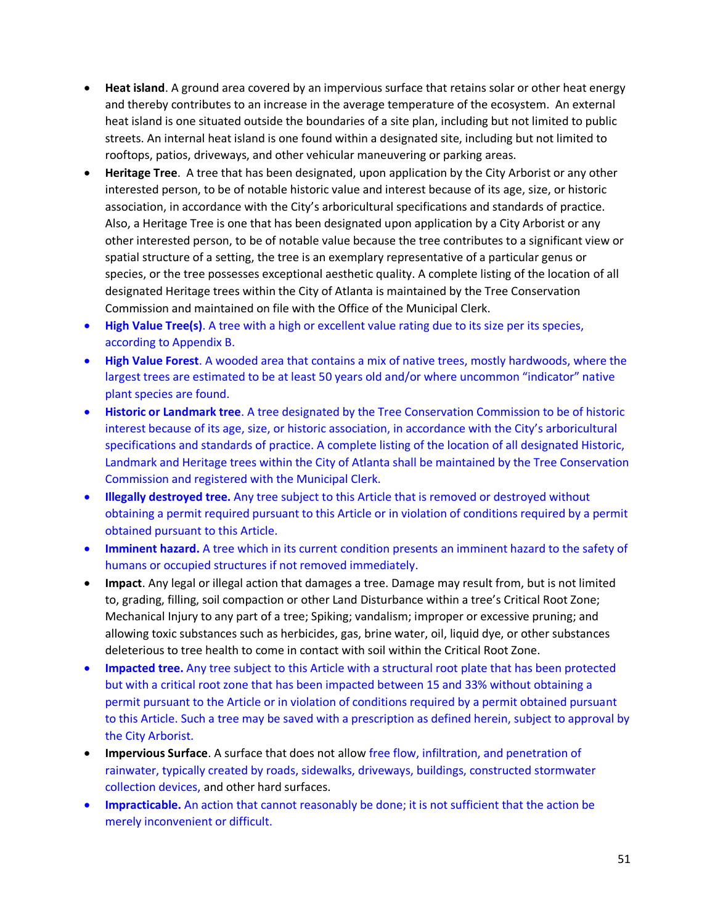- **Heat island**. A ground area covered by an impervious surface that retains solar or other heat energy and thereby contributes to an increase in the average temperature of the ecosystem. An external heat island is one situated outside the boundaries of a site plan, including but not limited to public streets. An internal heat island is one found within a designated site, including but not limited to rooftops, patios, driveways, and other vehicular maneuvering or parking areas.
- **Heritage Tree**. A tree that has been designated, upon application by the City Arborist or any other interested person, to be of notable historic value and interest because of its age, size, or historic association, in accordance with the City's arboricultural specifications and standards of practice. Also, a Heritage Tree is one that has been designated upon application by a City Arborist or any other interested person, to be of notable value because the tree contributes to a significant view or spatial structure of a setting, the tree is an exemplary representative of a particular genus or species, or the tree possesses exceptional aesthetic quality. A complete listing of the location of all designated Heritage trees within the City of Atlanta is maintained by the Tree Conservation Commission and maintained on file with the Office of the Municipal Clerk.
- **High Value Tree(s)**. A tree with a high or excellent value rating due to its size per its species, according to Appendix B.
- **High Value Forest**. A wooded area that contains a mix of native trees, mostly hardwoods, where the largest trees are estimated to be at least 50 years old and/or where uncommon "indicator" native plant species are found.
- **Historic or Landmark tree**. A tree designated by the Tree Conservation Commission to be of historic interest because of its age, size, or historic association, in accordance with the City's arboricultural specifications and standards of practice. A complete listing of the location of all designated Historic, Landmark and Heritage trees within the City of Atlanta shall be maintained by the Tree Conservation Commission and registered with the Municipal Clerk.
- **Illegally destroyed tree.** Any tree subject to this Article that is removed or destroyed without obtaining a permit required pursuant to this Article or in violation of conditions required by a permit obtained pursuant to this Article.
- **Imminent hazard.** A tree which in its current condition presents an imminent hazard to the safety of humans or occupied structures if not removed immediately.
- **Impact**. Any legal or illegal action that damages a tree. Damage may result from, but is not limited to, grading, filling, soil compaction or other Land Disturbance within a tree's Critical Root Zone; Mechanical Injury to any part of a tree; Spiking; vandalism; improper or excessive pruning; and allowing toxic substances such as herbicides, gas, brine water, oil, liquid dye, or other substances deleterious to tree health to come in contact with soil within the Critical Root Zone.
- **Impacted tree.** Any tree subject to this Article with a structural root plate that has been protected but with a critical root zone that has been impacted between 15 and 33% without obtaining a permit pursuant to the Article or in violation of conditions required by a permit obtained pursuant to this Article. Such a tree may be saved with a prescription as defined herein, subject to approval by the City Arborist.
- **Impervious Surface**. A surface that does not allow free flow, infiltration, and penetration of rainwater, typically created by roads, sidewalks, driveways, buildings, constructed stormwater collection devices, and other hard surfaces.
- **Impracticable.** An action that cannot reasonably be done; it is not sufficient that the action be merely inconvenient or difficult.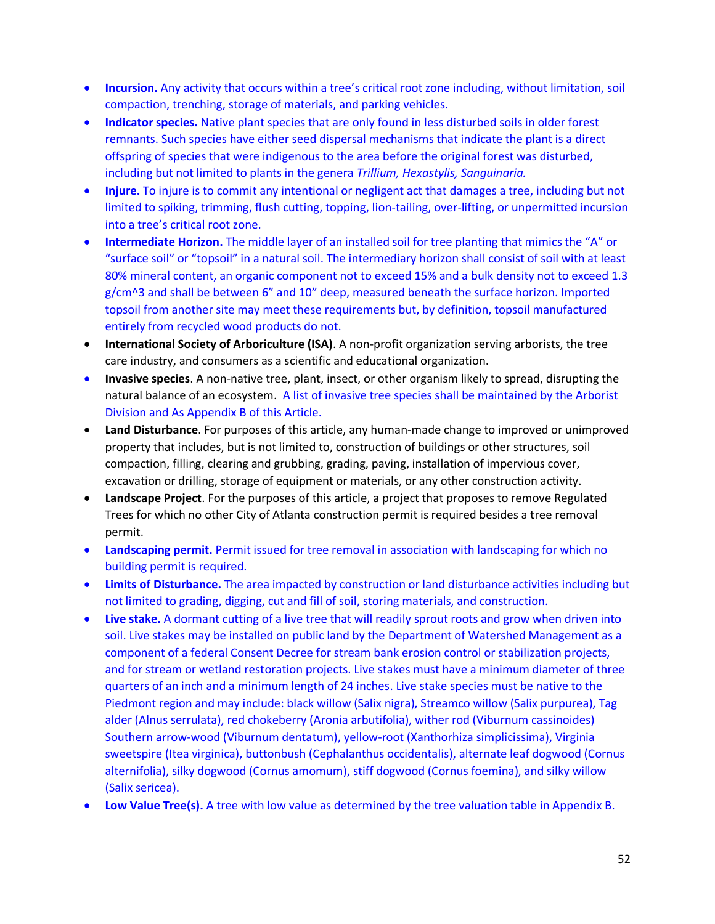- **Incursion.** Any activity that occurs within a tree's critical root zone including, without limitation, soil compaction, trenching, storage of materials, and parking vehicles.
- **Indicator species.** Native plant species that are only found in less disturbed soils in older forest remnants. Such species have either seed dispersal mechanisms that indicate the plant is a direct offspring of species that were indigenous to the area before the original forest was disturbed, including but not limited to plants in the genera *Trillium, Hexastylis, Sanguinaria.*
- **Injure.** To injure is to commit any intentional or negligent act that damages a tree, including but not limited to spiking, trimming, flush cutting, topping, lion-tailing, over-lifting, or unpermitted incursion into a tree's critical root zone.
- **Intermediate Horizon.** The middle layer of an installed soil for tree planting that mimics the "A" or "surface soil" or "topsoil" in a natural soil. The intermediary horizon shall consist of soil with at least 80% mineral content, an organic component not to exceed 15% and a bulk density not to exceed 1.3 g/cm^3 and shall be between 6" and 10" deep, measured beneath the surface horizon. Imported topsoil from another site may meet these requirements but, by definition, topsoil manufactured entirely from recycled wood products do not.
- **International Society of Arboriculture (ISA)**. A non-profit organization serving arborists, the tree care industry, and consumers as a scientific and educational organization.
- **Invasive species**. A non-native tree, plant, insect, or other organism likely to spread, disrupting the natural balance of an ecosystem. A list of invasive tree species shall be maintained by the Arborist Division and As Appendix B of this Article.
- **Land Disturbance**. For purposes of this article, any human-made change to improved or unimproved property that includes, but is not limited to, construction of buildings or other structures, soil compaction, filling, clearing and grubbing, grading, paving, installation of impervious cover, excavation or drilling, storage of equipment or materials, or any other construction activity.
- **Landscape Project**. For the purposes of this article, a project that proposes to remove Regulated Trees for which no other City of Atlanta construction permit is required besides a tree removal permit.
- **Landscaping permit.** Permit issued for tree removal in association with landscaping for which no building permit is required.
- **Limits of Disturbance.** The area impacted by construction or land disturbance activities including but not limited to grading, digging, cut and fill of soil, storing materials, and construction.
- **Live stake.** A dormant cutting of a live tree that will readily sprout roots and grow when driven into soil. Live stakes may be installed on public land by the Department of Watershed Management as a component of a federal Consent Decree for stream bank erosion control or stabilization projects, and for stream or wetland restoration projects. Live stakes must have a minimum diameter of three quarters of an inch and a minimum length of 24 inches. Live stake species must be native to the Piedmont region and may include: black willow (Salix nigra), Streamco willow (Salix purpurea), Tag alder (Alnus serrulata), red chokeberry (Aronia arbutifolia), wither rod (Viburnum cassinoides) Southern arrow-wood (Viburnum dentatum), yellow-root (Xanthorhiza simplicissima), Virginia sweetspire (Itea virginica), buttonbush (Cephalanthus occidentalis), alternate leaf dogwood (Cornus alternifolia), silky dogwood (Cornus amomum), stiff dogwood (Cornus foemina), and silky willow (Salix sericea).
- **Low Value Tree(s).** A tree with low value as determined by the tree valuation table in Appendix B.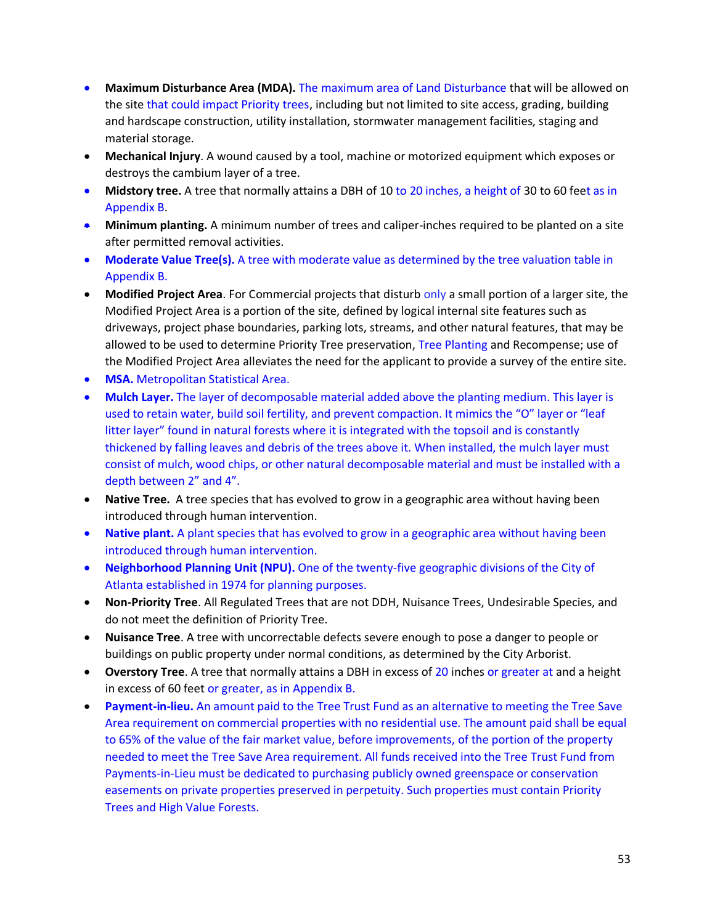- **Maximum Disturbance Area (MDA).** The maximum area of Land Disturbance that will be allowed on the site that could impact Priority trees, including but not limited to site access, grading, building and hardscape construction, utility installation, stormwater management facilities, staging and material storage.
- **Mechanical Injury**. A wound caused by a tool, machine or motorized equipment which exposes or destroys the cambium layer of a tree.
- **Midstory tree.** A tree that normally attains a DBH of 10 to 20 inches, a height of 30 to 60 feet as in Appendix B.
- **Minimum planting.** A minimum number of trees and caliper-inches required to be planted on a site after permitted removal activities.
- Moderate Value Tree(s). A tree with moderate value as determined by the tree valuation table in Appendix B.
- **Modified Project Area**. For Commercial projects that disturb only a small portion of a larger site, the Modified Project Area is a portion of the site, defined by logical internal site features such as driveways, project phase boundaries, parking lots, streams, and other natural features, that may be allowed to be used to determine Priority Tree preservation, Tree Planting and Recompense; use of the Modified Project Area alleviates the need for the applicant to provide a survey of the entire site.
- **MSA.** Metropolitan Statistical Area.
- **Mulch Layer.** The layer of decomposable material added above the planting medium. This layer is used to retain water, build soil fertility, and prevent compaction. It mimics the "O" layer or "leaf litter layer" found in natural forests where it is integrated with the topsoil and is constantly thickened by falling leaves and debris of the trees above it. When installed, the mulch layer must consist of mulch, wood chips, or other natural decomposable material and must be installed with a depth between 2" and 4".
- **Native Tree.** A tree species that has evolved to grow in a geographic area without having been introduced through human intervention.
- **Native plant.** A plant species that has evolved to grow in a geographic area without having been introduced through human intervention.
- **Neighborhood Planning Unit (NPU).** One of the twenty-five geographic divisions of the City of Atlanta established in 1974 for planning purposes.
- **Non-Priority Tree**. All Regulated Trees that are not DDH, Nuisance Trees, Undesirable Species, and do not meet the definition of Priority Tree.
- **Nuisance Tree**. A tree with uncorrectable defects severe enough to pose a danger to people or buildings on public property under normal conditions, as determined by the City Arborist.
- **Overstory Tree**. A tree that normally attains a DBH in excess of 20 inches or greater at and a height in excess of 60 feet or greater, as in Appendix B.
- **Payment-in-lieu.** An amount paid to the Tree Trust Fund as an alternative to meeting the Tree Save Area requirement on commercial properties with no residential use. The amount paid shall be equal to 65% of the value of the fair market value, before improvements, of the portion of the property needed to meet the Tree Save Area requirement. All funds received into the Tree Trust Fund from Payments-in-Lieu must be dedicated to purchasing publicly owned greenspace or conservation easements on private properties preserved in perpetuity. Such properties must contain Priority Trees and High Value Forests.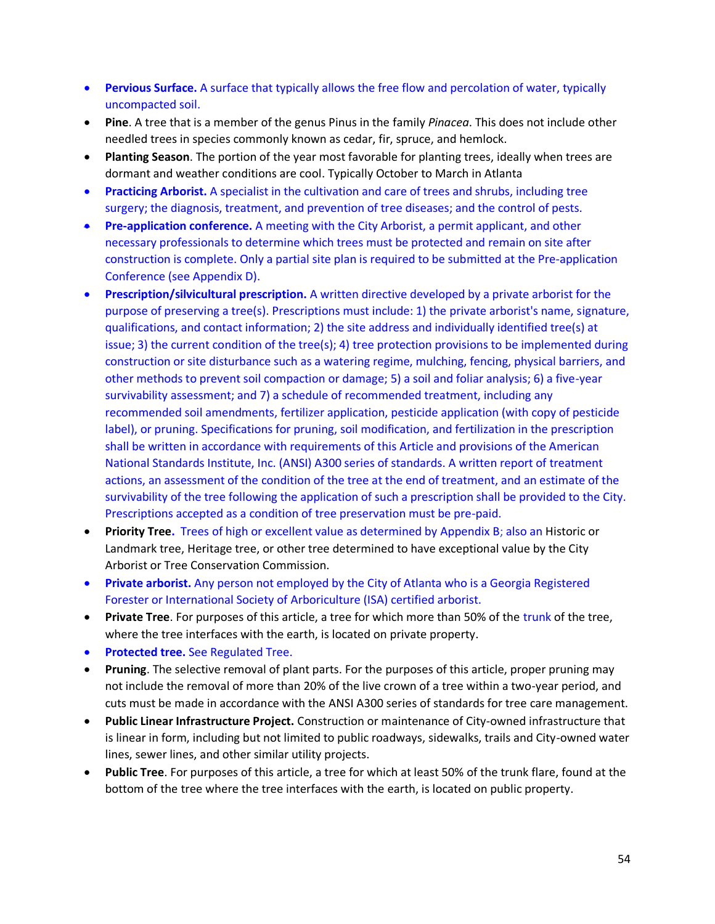- **Pervious Surface.** A surface that typically allows the free flow and percolation of water, typically uncompacted soil.
- **Pine**. A tree that is a member of the genus Pinus in the family *Pinacea*. This does not include other needled trees in species commonly known as cedar, fir, spruce, and hemlock.
- **Planting Season**. The portion of the year most favorable for planting trees, ideally when trees are dormant and weather conditions are cool. Typically October to March in Atlanta
- **Practicing Arborist.** A specialist in the cultivation and care of trees and shrubs, including tree surgery; the diagnosis, treatment, and prevention of tree diseases; and the control of pests.
- **Pre-application conference.** A meeting with the City Arborist, a permit applicant, and other necessary professionals to determine which trees must be protected and remain on site after construction is complete. Only a partial site plan is required to be submitted at the Pre-application Conference (see Appendix D).
- **Prescription/silvicultural prescription.** A written directive developed by a private arborist for the purpose of preserving a tree(s). Prescriptions must include: 1) the private arborist's name, signature, qualifications, and contact information; 2) the site address and individually identified tree(s) at issue; 3) the current condition of the tree(s); 4) tree protection provisions to be implemented during construction or site disturbance such as a watering regime, mulching, fencing, physical barriers, and other methods to prevent soil compaction or damage; 5) a soil and foliar analysis; 6) a five-year survivability assessment; and 7) a schedule of recommended treatment, including any recommended soil amendments, fertilizer application, pesticide application (with copy of pesticide label), or pruning. Specifications for pruning, soil modification, and fertilization in the prescription shall be written in accordance with requirements of this Article and provisions of the American National Standards Institute, Inc. (ANSI) A300 series of standards. A written report of treatment actions, an assessment of the condition of the tree at the end of treatment, and an estimate of the survivability of the tree following the application of such a prescription shall be provided to the City. Prescriptions accepted as a condition of tree preservation must be pre-paid.
- **Priority Tree.** Trees of high or excellent value as determined by Appendix B; also an Historic or Landmark tree, Heritage tree, or other tree determined to have exceptional value by the City Arborist or Tree Conservation Commission.
- **Private arborist.** Any person not employed by the City of Atlanta who is a Georgia Registered Forester or International Society of Arboriculture (ISA) certified arborist.
- **Private Tree**. For purposes of this article, a tree for which more than 50% of the trunk of the tree, where the tree interfaces with the earth, is located on private property.
- **Protected tree.** See Regulated Tree.
- **Pruning**. The selective removal of plant parts. For the purposes of this article, proper pruning may not include the removal of more than 20% of the live crown of a tree within a two-year period, and cuts must be made in accordance with the ANSI A300 series of standards for tree care management.
- **Public Linear Infrastructure Project.** Construction or maintenance of City-owned infrastructure that is linear in form, including but not limited to public roadways, sidewalks, trails and City-owned water lines, sewer lines, and other similar utility projects.
- **Public Tree**. For purposes of this article, a tree for which at least 50% of the trunk flare, found at the bottom of the tree where the tree interfaces with the earth, is located on public property.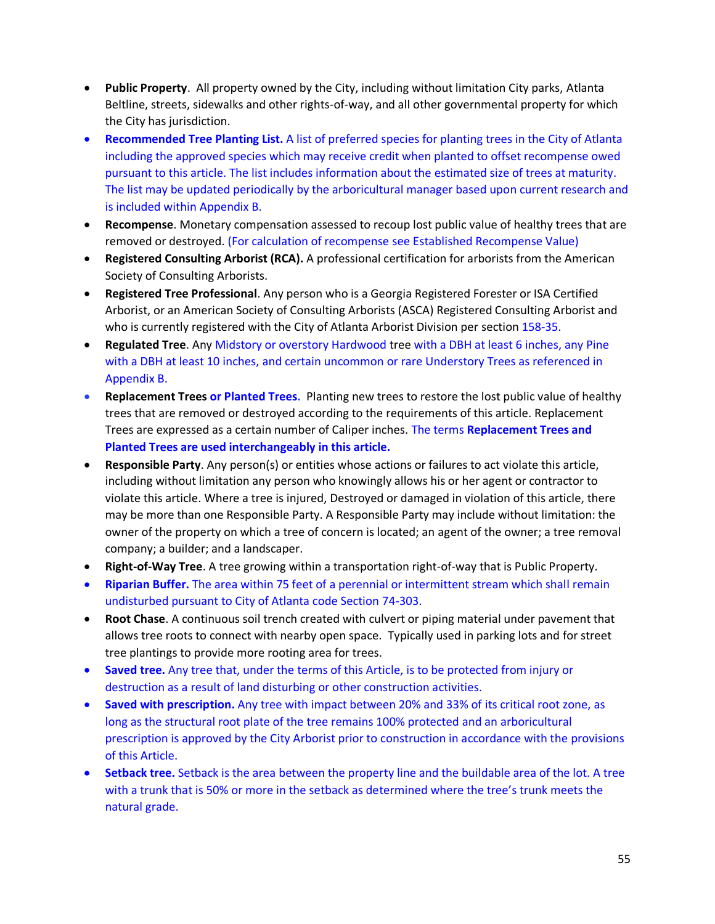- **Public Property**. All property owned by the City, including without limitation City parks, Atlanta Beltline, streets, sidewalks and other rights-of-way, and all other governmental property for which the City has jurisdiction.
- **Recommended Tree Planting List.** A list of preferred species for planting trees in the City of Atlanta including the approved species which may receive credit when planted to offset recompense owed pursuant to this article. The list includes information about the estimated size of trees at maturity. The list may be updated periodically by the arboricultural manager based upon current research and is included within Appendix B.
- **Recompense**. Monetary compensation assessed to recoup lost public value of healthy trees that are removed or destroyed. (For calculation of recompense see Established Recompense Value)
- **Registered Consulting Arborist (RCA).** A professional certification for arborists from the American Society of Consulting Arborists.
- **Registered Tree Professional**. Any person who is a Georgia Registered Forester or ISA Certified Arborist, or an American Society of Consulting Arborists (ASCA) Registered Consulting Arborist and who is currently registered with the City of Atlanta Arborist Division per section 158-35.
- **Regulated Tree**. Any Midstory or overstory Hardwood tree with a DBH at least 6 inches, any Pine with a DBH at least 10 inches, and certain uncommon or rare Understory Trees as referenced in Appendix B.
- **Replacement Trees or Planted Trees.** Planting new trees to restore the lost public value of healthy trees that are removed or destroyed according to the requirements of this article. Replacement Trees are expressed as a certain number of Caliper inches. The terms **Replacement Trees and Planted Trees are used interchangeably in this article.**
- **Responsible Party**. Any person(s) or entities whose actions or failures to act violate this article, including without limitation any person who knowingly allows his or her agent or contractor to violate this article. Where a tree is injured, Destroyed or damaged in violation of this article, there may be more than one Responsible Party. A Responsible Party may include without limitation: the owner of the property on which a tree of concern is located; an agent of the owner; a tree removal company; a builder; and a landscaper.
- **Right-of-Way Tree**. A tree growing within a transportation right-of-way that is Public Property.
- **Riparian Buffer.** The area within 75 feet of a perennial or intermittent stream which shall remain undisturbed pursuant to City of Atlanta code Section 74-303.
- **Root Chase**. A continuous soil trench created with culvert or piping material under pavement that allows tree roots to connect with nearby open space. Typically used in parking lots and for street tree plantings to provide more rooting area for trees.
- **Saved tree.** Any tree that, under the terms of this Article, is to be protected from injury or destruction as a result of land disturbing or other construction activities.
- **Saved with prescription.** Any tree with impact between 20% and 33% of its critical root zone, as long as the structural root plate of the tree remains 100% protected and an arboricultural prescription is approved by the City Arborist prior to construction in accordance with the provisions of this Article.
- **Setback tree.** Setback is the area between the property line and the buildable area of the lot. A tree with a trunk that is 50% or more in the setback as determined where the tree's trunk meets the natural grade.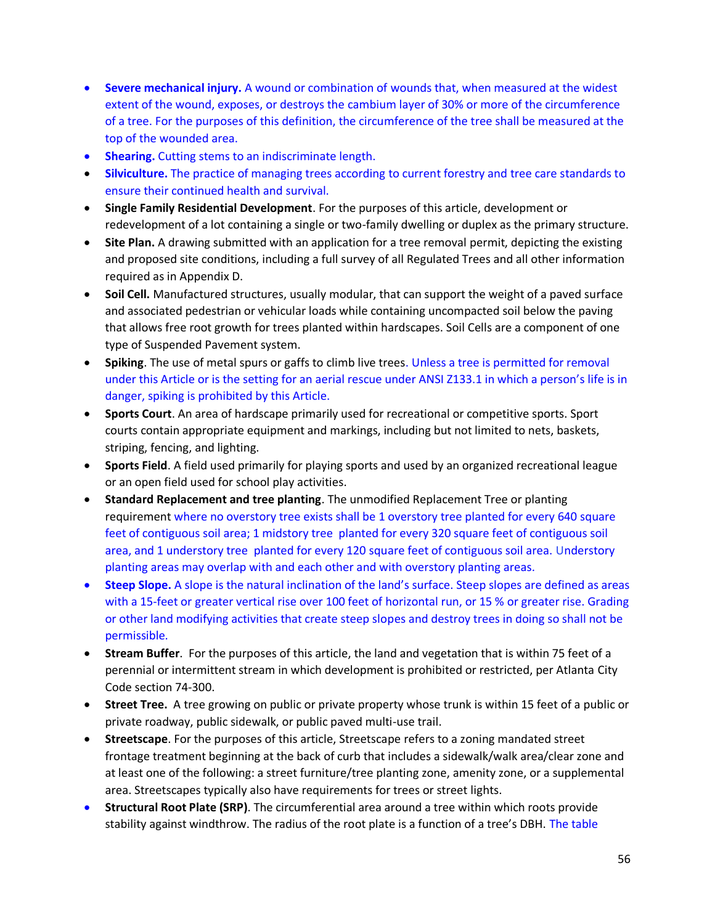- **Severe mechanical injury.** A wound or combination of wounds that, when measured at the widest extent of the wound, exposes, or destroys the cambium layer of 30% or more of the circumference of a tree. For the purposes of this definition, the circumference of the tree shall be measured at the top of the wounded area.
- **Shearing.** Cutting stems to an indiscriminate length.
- **Silviculture.** The practice of managing trees according to current forestry and tree care standards to ensure their continued health and survival.
- **Single Family Residential Development**. For the purposes of this article, development or redevelopment of a lot containing a single or two-family dwelling or duplex as the primary structure.
- Site Plan. A drawing submitted with an application for a tree removal permit, depicting the existing and proposed site conditions, including a full survey of all Regulated Trees and all other information required as in Appendix D.
- **Soil Cell.** Manufactured structures, usually modular, that can support the weight of a paved surface and associated pedestrian or vehicular loads while containing uncompacted soil below the paving that allows free root growth for trees planted within hardscapes. Soil Cells are a component of one type of Suspended Pavement system.
- **Spiking**. The use of metal spurs or gaffs to climb live trees. Unless a tree is permitted for removal under this Article or is the setting for an aerial rescue under ANSI Z133.1 in which a person's life is in danger, spiking is prohibited by this Article.
- **Sports Court**. An area of hardscape primarily used for recreational or competitive sports. Sport courts contain appropriate equipment and markings, including but not limited to nets, baskets, striping, fencing, and lighting.
- **Sports Field**. A field used primarily for playing sports and used by an organized recreational league or an open field used for school play activities.
- **Standard Replacement and tree planting**. The unmodified Replacement Tree or planting requirement where no overstory tree exists shall be 1 overstory tree planted for every 640 square feet of contiguous soil area; 1 midstory tree planted for every 320 square feet of contiguous soil area, and 1 understory tree planted for every 120 square feet of contiguous soil area. Understory planting areas may overlap with and each other and with overstory planting areas.
- **Steep Slope.** A slope is the natural inclination of the land's surface. Steep slopes are defined as areas with a 15-feet or greater vertical rise over 100 feet of horizontal run, or 15 % or greater rise. Grading or other land modifying activities that create steep slopes and destroy trees in doing so shall not be permissible.
- **Stream Buffer**. For the purposes of this article, the land and vegetation that is within 75 feet of a perennial or intermittent stream in which development is prohibited or restricted, per Atlanta City Code section 74-300.
- **Street Tree.** A tree growing on public or private property whose trunk is within 15 feet of a public or private roadway, public sidewalk, or public paved multi-use trail.
- **Streetscape**. For the purposes of this article, Streetscape refers to a zoning mandated street frontage treatment beginning at the back of curb that includes a sidewalk/walk area/clear zone and at least one of the following: a street furniture/tree planting zone, amenity zone, or a supplemental area. Streetscapes typically also have requirements for trees or street lights.
- **Structural Root Plate (SRP)**. The circumferential area around a tree within which roots provide stability against windthrow. The radius of the root plate is a function of a tree's DBH. The table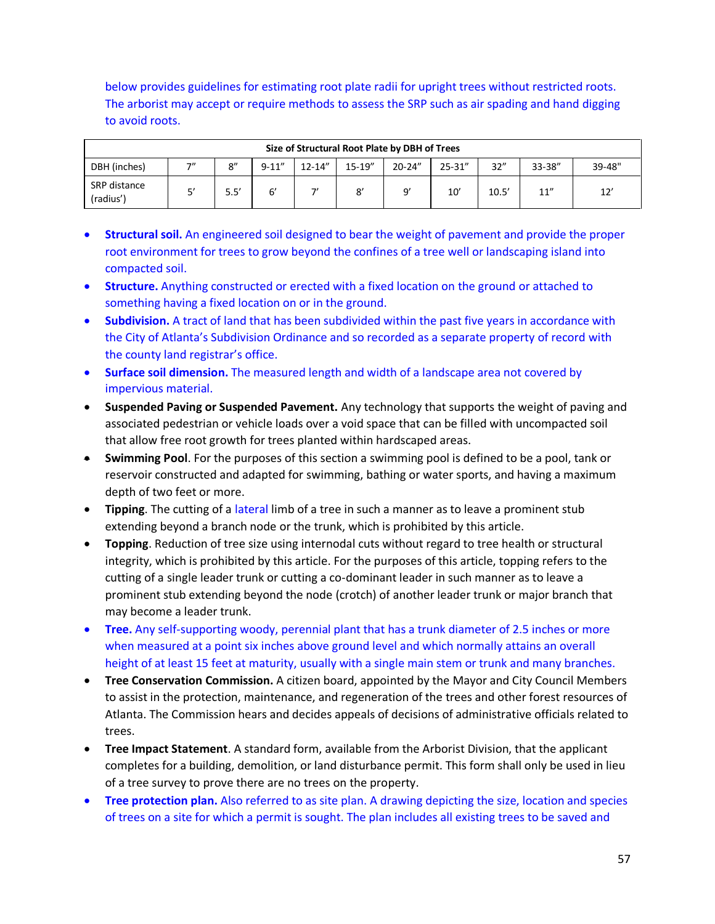below provides guidelines for estimating root plate radii for upright trees without restricted roots. The arborist may accept or require methods to assess the SRP such as air spading and hand digging to avoid roots.

|                           | Size of Structural Root Plate by DBH of Trees |      |           |             |           |            |            |       |        |        |  |  |
|---------------------------|-----------------------------------------------|------|-----------|-------------|-----------|------------|------------|-------|--------|--------|--|--|
| DBH (inches)              | $\overline{\phantom{a}}$                      | 8''  | $9 - 11"$ | $12 - 14''$ | $15-19''$ | $20 - 24"$ | $25 - 31"$ | 32"   | 33-38" | 39-48" |  |  |
| SRP distance<br>(radius') | c,                                            | 5.5' |           | -,,         |           | $\Omega'$  | 10'        | 10.5' | 11''   | 12'    |  |  |

- **Structural soil.** An engineered soil designed to bear the weight of pavement and provide the proper root environment for trees to grow beyond the confines of a tree well or landscaping island into compacted soil.
- **Structure.** Anything constructed or erected with a fixed location on the ground or attached to something having a fixed location on or in the ground.
- **Subdivision.** A tract of land that has been subdivided within the past five years in accordance with the City of Atlanta's Subdivision Ordinance and so recorded as a separate property of record with the county land registrar's office.
- **Surface soil dimension.** The measured length and width of a landscape area not covered by impervious material.
- **Suspended Paving or Suspended Pavement.** Any technology that supports the weight of paving and associated pedestrian or vehicle loads over a void space that can be filled with uncompacted soil that allow free root growth for trees planted within hardscaped areas.
- **Swimming Pool**. For the purposes of this section a swimming pool is defined to be a pool, tank or reservoir constructed and adapted for swimming, bathing or water sports, and having a maximum depth of two feet or more.
- **Tipping**. The cutting of a lateral limb of a tree in such a manner as to leave a prominent stub extending beyond a branch node or the trunk, which is prohibited by this article.
- **Topping**. Reduction of tree size using internodal cuts without regard to tree health or structural integrity, which is prohibited by this article. For the purposes of this article, topping refers to the cutting of a single leader trunk or cutting a co-dominant leader in such manner as to leave a prominent stub extending beyond the node (crotch) of another leader trunk or major branch that may become a leader trunk.
- **Tree.** Any self-supporting woody, perennial plant that has a trunk diameter of 2.5 inches or more when measured at a point six inches above ground level and which normally attains an overall height of at least 15 feet at maturity, usually with a single main stem or trunk and many branches.
- **Tree Conservation Commission.** A citizen board, appointed by the Mayor and City Council Members to assist in the protection, maintenance, and regeneration of the trees and other forest resources of Atlanta. The Commission hears and decides appeals of decisions of administrative officials related to trees.
- **Tree Impact Statement**. A standard form, available from the Arborist Division, that the applicant completes for a building, demolition, or land disturbance permit. This form shall only be used in lieu of a tree survey to prove there are no trees on the property.
- **Tree protection plan.** Also referred to as site plan. A drawing depicting the size, location and species of trees on a site for which a permit is sought. The plan includes all existing trees to be saved and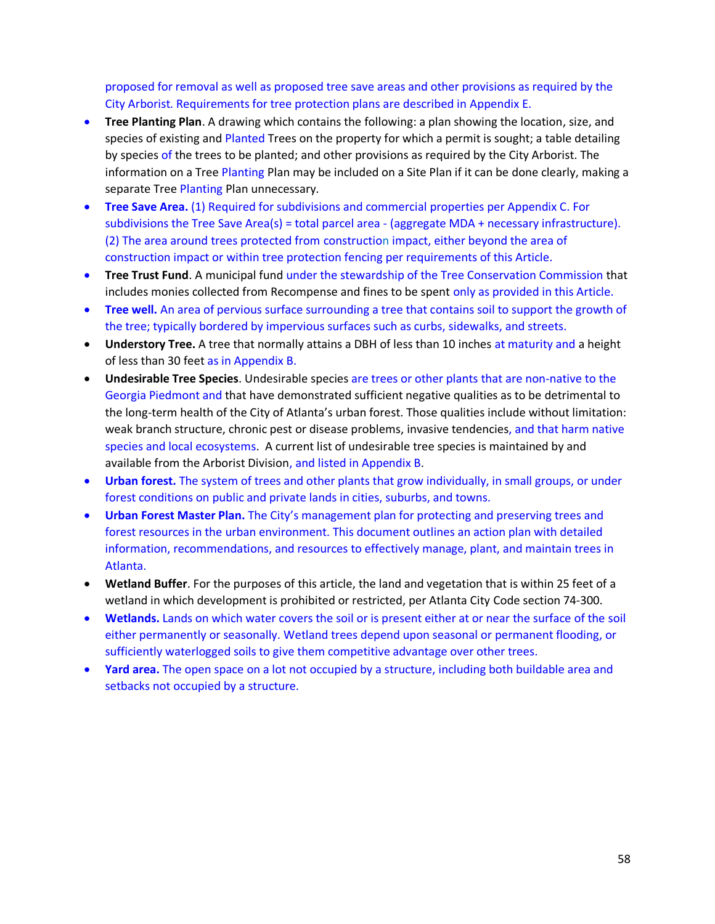proposed for removal as well as proposed tree save areas and other provisions as required by the City Arborist. Requirements for tree protection plans are described in Appendix E.

- **Tree Planting Plan**. A drawing which contains the following: a plan showing the location, size, and species of existing and Planted Trees on the property for which a permit is sought; a table detailing by species of the trees to be planted; and other provisions as required by the City Arborist. The information on a Tree Planting Plan may be included on a Site Plan if it can be done clearly, making a separate Tree Planting Plan unnecessary.
- **Tree Save Area.** (1) Required for subdivisions and commercial properties per Appendix C. For subdivisions the Tree Save Area(s) = total parcel area - (aggregate MDA + necessary infrastructure). (2) The area around trees protected from construction impact, either beyond the area of construction impact or within tree protection fencing per requirements of this Article.
- **Tree Trust Fund**. A municipal fund under the stewardship of the Tree Conservation Commission that includes monies collected from Recompense and fines to be spent only as provided in this Article.
- **Tree well.** An area of pervious surface surrounding a tree that contains soil to support the growth of the tree; typically bordered by impervious surfaces such as curbs, sidewalks, and streets.
- **Understory Tree.** A tree that normally attains a DBH of less than 10 inches at maturity and a height of less than 30 feet as in Appendix B.
- **Undesirable Tree Species**. Undesirable species are trees or other plants that are non-native to the Georgia Piedmont and that have demonstrated sufficient negative qualities as to be detrimental to the long-term health of the City of Atlanta's urban forest. Those qualities include without limitation: weak branch structure, chronic pest or disease problems, invasive tendencies, and that harm native species and local ecosystems. A current list of undesirable tree species is maintained by and available from the Arborist Division, and listed in Appendix B.
- **Urban forest.** The system of trees and other plants that grow individually, in small groups, or under forest conditions on public and private lands in cities, suburbs, and towns.
- **Urban Forest Master Plan.** The City's management plan for protecting and preserving trees and forest resources in the urban environment. This document outlines an action plan with detailed information, recommendations, and resources to effectively manage, plant, and maintain trees in Atlanta.
- **Wetland Buffer**. For the purposes of this article, the land and vegetation that is within 25 feet of a wetland in which development is prohibited or restricted, per Atlanta City Code section 74-300.
- **Wetlands.** Lands on which water covers the soil or is present either at or near the surface of the soil either permanently or seasonally. Wetland trees depend upon seasonal or permanent flooding, or sufficiently waterlogged soils to give them competitive advantage over other trees.
- **Yard area.** The open space on a lot not occupied by a structure, including both buildable area and setbacks not occupied by a structure.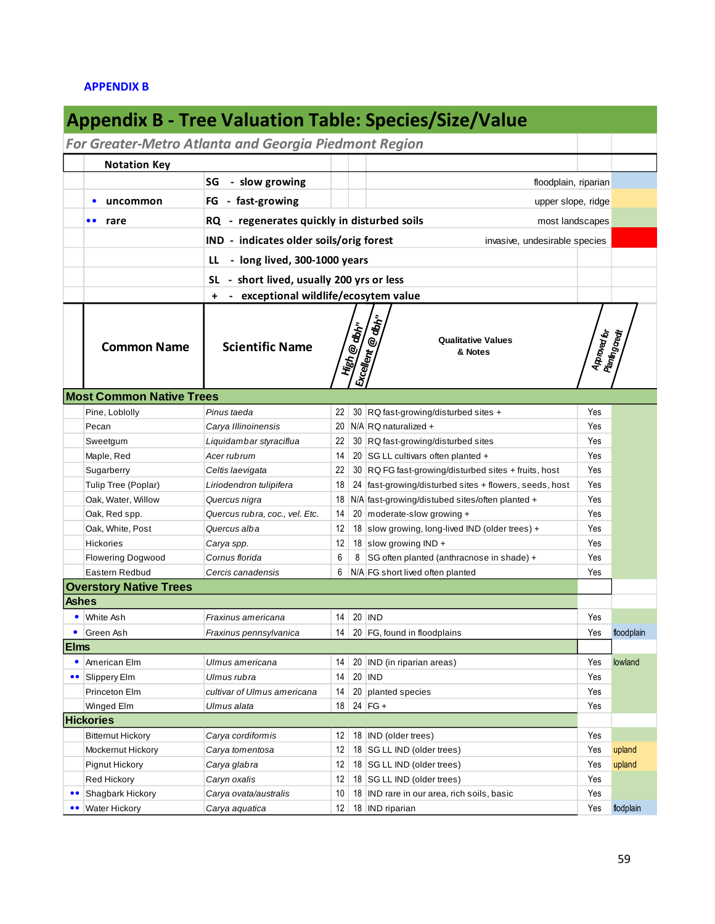# **APPENDIX B**

| <b>Appendix B - Tree Valuation Table: Species/Size/Value</b> |                                               |                                                 |                                                                          |              |                                                                                      |                                 |            |  |  |  |
|--------------------------------------------------------------|-----------------------------------------------|-------------------------------------------------|--------------------------------------------------------------------------|--------------|--------------------------------------------------------------------------------------|---------------------------------|------------|--|--|--|
| For Greater-Metro Atlanta and Georgia Piedmont Region        |                                               |                                                 |                                                                          |              |                                                                                      |                                 |            |  |  |  |
|                                                              | <b>Notation Key</b>                           |                                                 |                                                                          |              |                                                                                      |                                 |            |  |  |  |
|                                                              |                                               | - slow growing<br>SG                            | floodplain, riparian                                                     |              |                                                                                      |                                 |            |  |  |  |
|                                                              | uncommon<br>$\bullet$                         | - fast-growing<br>FG                            |                                                                          |              | upper slope, ridge                                                                   |                                 |            |  |  |  |
|                                                              | $\bullet\bullet$<br>rare                      | - regenerates quickly in disturbed soils<br>RQ. |                                                                          |              | most landscapes                                                                      |                                 |            |  |  |  |
|                                                              |                                               |                                                 | IND - indicates older soils/orig forest<br>invasive, undesirable species |              |                                                                                      |                                 |            |  |  |  |
|                                                              |                                               | - long lived, 300-1000 years                    |                                                                          |              |                                                                                      |                                 |            |  |  |  |
|                                                              |                                               | LL                                              |                                                                          |              |                                                                                      |                                 |            |  |  |  |
|                                                              |                                               | SL - short lived, usually 200 yrs or less       |                                                                          |              |                                                                                      |                                 |            |  |  |  |
|                                                              |                                               | + - exceptional wildlife/ecosytem value         |                                                                          |              |                                                                                      |                                 |            |  |  |  |
|                                                              | <b>Common Name</b>                            | <b>Scientific Name</b>                          |                                                                          | High @ albh" | Excellent @ db <sub>h"</sub><br><b>Qualitative Values</b><br>& Notes                 | Approved for<br>Planting credit |            |  |  |  |
|                                                              | <b>Most Common Native Trees</b>               |                                                 |                                                                          |              |                                                                                      |                                 |            |  |  |  |
|                                                              | Pine, Loblolly                                | Pinus taeda                                     | 22                                                                       |              | 30 RQ fast-growing/disturbed sites +                                                 | Yes                             |            |  |  |  |
|                                                              | Pecan                                         | Carya Illinoinensis                             |                                                                          |              | 20   N/A   RQ naturalized +                                                          | Yes                             |            |  |  |  |
|                                                              | Sweetgum                                      | Liquidambar styraciflua                         | 22                                                                       |              | 30 RQ fast-growing/disturbed sites                                                   | Yes                             |            |  |  |  |
|                                                              | Maple, Red                                    | Acer rub rum                                    | 14                                                                       |              | 20   SG LL cultivars often planted +                                                 | Yes                             |            |  |  |  |
|                                                              | Sugarberry                                    | Celtis laevigata                                | 22                                                                       |              | 30 RQ FG fast-growing/disturbed sites + fruits, host                                 | Yes                             |            |  |  |  |
|                                                              | Tulip Tree (Poplar)                           | Liriodendron tulipifera                         | 18                                                                       |              | 24 fast-growing/disturbed sites + flowers, seeds, host                               | Yes<br>Yes                      |            |  |  |  |
|                                                              | Oak, Water, Willow<br>Oak, Red spp.           | Quercus nigra<br>Quercus rubra, coc., vel. Etc. | 14                                                                       |              | 18   N/A   fast-growing/distubed sites/often planted +<br>20 moderate-slow growing + | Yes                             |            |  |  |  |
|                                                              | Oak, White, Post                              | Quercus alba                                    | 12                                                                       |              | 18 slow growing, long-lived IND (older trees) +                                      | Yes                             |            |  |  |  |
|                                                              | <b>Hickories</b>                              | Carya spp.                                      | 12                                                                       |              | 18 slow growing IND +                                                                | Yes                             |            |  |  |  |
|                                                              | <b>Flowering Dogwood</b>                      | Cornus florida                                  | 6                                                                        |              | 8 SG often planted (anthracnose in shade) +                                          | Yes                             |            |  |  |  |
|                                                              | Eastern Redbud                                | Cercis canadensis                               | 6                                                                        |              | N/A FG short lived often planted                                                     | Yes                             |            |  |  |  |
|                                                              | <b>Overstory Native Trees</b>                 |                                                 |                                                                          |              |                                                                                      |                                 |            |  |  |  |
| <b>Ashes</b>                                                 |                                               |                                                 |                                                                          |              |                                                                                      |                                 |            |  |  |  |
|                                                              | White Ash                                     | Fraxinus americana                              | 14                                                                       |              | $20$ IND                                                                             | Yes                             |            |  |  |  |
| ٠                                                            | Green Ash                                     | Fraxinus pennsylvanica                          | 14                                                                       |              | 20   FG, found in floodplains                                                        | Yes                             | floodplain |  |  |  |
| <b>Elms</b>                                                  |                                               |                                                 |                                                                          |              |                                                                                      |                                 |            |  |  |  |
|                                                              | American Elm                                  | Ulmus americana                                 | 14                                                                       |              | 20 IND (in riparian areas)                                                           | Yes                             | lowland    |  |  |  |
| $\bullet\bullet$                                             | Slippery Elm                                  | Ulmus rubra                                     | 14                                                                       |              | $20$ IND                                                                             | Yes                             |            |  |  |  |
|                                                              | Princeton Elm                                 | cultivar of Ulmus americana                     | 14                                                                       |              | 20 planted species                                                                   | Yes                             |            |  |  |  |
|                                                              | Winged Elm                                    | Ulmus alata                                     | 18                                                                       |              | 24 $FG +$                                                                            | Yes                             |            |  |  |  |
|                                                              | <b>Hickories</b>                              |                                                 |                                                                          |              |                                                                                      |                                 |            |  |  |  |
|                                                              | <b>Bitternut Hickory</b><br>Mockernut Hickory | Carya cordiformis                               | 12<br>12                                                                 |              | 18 IND (older trees)                                                                 | Yes<br>Yes                      | upland     |  |  |  |
|                                                              | <b>Pignut Hickory</b>                         | Carya tomentosa<br>Carya glabra                 | 12                                                                       |              | 18   SG LL IND (older trees)<br>18   SG LL IND (older trees)                         | Yes                             | upland     |  |  |  |
|                                                              | Red Hickory                                   | Caryn oxalis                                    | 12                                                                       |              | 18   SG LL IND (older trees)                                                         | Yes                             |            |  |  |  |
| $\bullet\bullet$                                             | Shagbark Hickory                              | Carya ovata/australis                           | 10                                                                       |              | 18 IND rare in our area, rich soils, basic                                           | Yes                             |            |  |  |  |
| $\bullet\bullet$                                             | <b>Water Hickory</b>                          | Carya aquatica                                  | 12 <sup>2</sup>                                                          |              | 18 IND riparian                                                                      | Yes                             | flodplain  |  |  |  |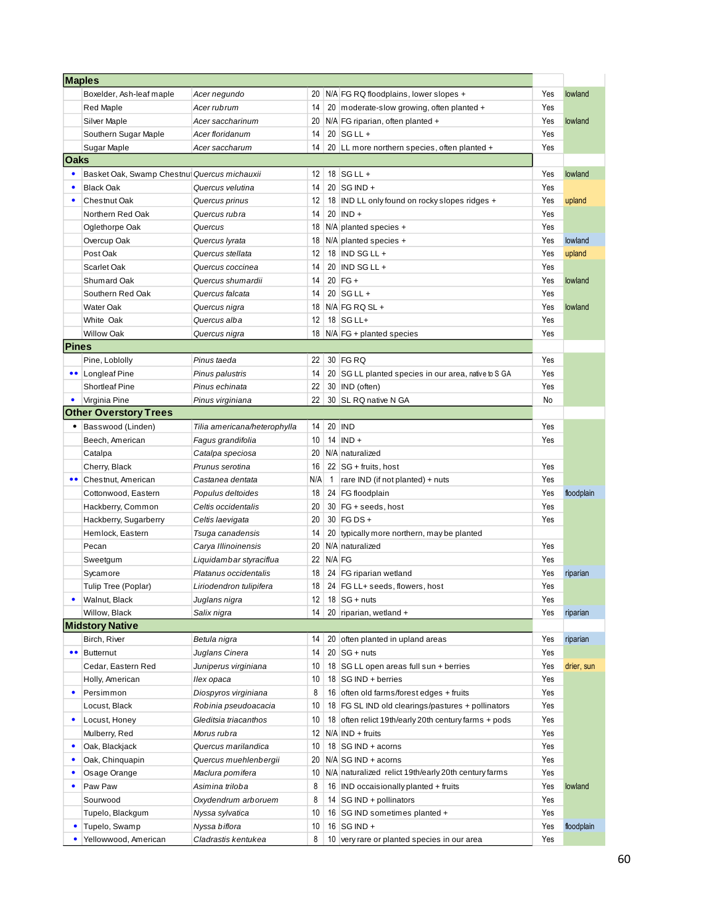|                  | <b>Maples</b>                                |                              |     |                 |                                                      |     |            |
|------------------|----------------------------------------------|------------------------------|-----|-----------------|------------------------------------------------------|-----|------------|
|                  | Boxelder, Ash-leaf maple                     | Acer negundo                 | 20  |                 | N/A FG RQ floodplains, lower slopes +                | Yes | lowland    |
|                  | Red Maple                                    | Acer rubrum                  | 14  |                 | 20 moderate-slow growing, often planted +            | Yes |            |
|                  | Silver Maple                                 | Acer saccharinum             | 20  |                 | N/A FG riparian, often planted +                     | Yes | lowland    |
|                  | Southern Sugar Maple                         | Acer floridanum              | 14  |                 | $20$ SG LL +                                         | Yes |            |
|                  | Sugar Maple                                  | Acer saccharum               | 14  |                 | 20 LL more northern species, often planted +         | Yes |            |
| <b>Oaks</b>      |                                              |                              |     |                 |                                                      |     |            |
| ٠                | Basket Oak, Swamp Chestnul Quercus michauxii |                              | 12  |                 | $18$ SG LL +                                         | Yes | lowland    |
| ٠                | <b>Black Oak</b>                             | Quercus velutina             | 14  |                 | $20$ SG IND +                                        | Yes |            |
| $\bullet$        | Chestnut Oak                                 | Quercus prinus               | 12  |                 | 18 IND LL only found on rocky slopes ridges +        | Yes | upland     |
|                  | Northern Red Oak                             | Quercus rubra                | 14  |                 | $20$ IND +                                           | Yes |            |
|                  | Oglethorpe Oak                               | Quercus                      | 18  |                 | N/A planted species +                                | Yes |            |
|                  | Overcup Oak                                  | Quercus Iyrata               | 18  |                 | $N/A$ planted species $+$                            | Yes | lowland    |
|                  | Post Oak                                     | Quercus stellata             | 12  |                 | 18 $\overline{IND}$ SG LL +                          | Yes | upland     |
|                  | Scarlet Oak                                  | Quercus coccinea             | 14  |                 | 20 IND SG LL +                                       | Yes |            |
|                  | Shumard Oak                                  | Quercus shumardii            | 14  |                 | $20$ FG +                                            | Yes | lowland    |
|                  | Southern Red Oak                             | Quercus falcata              | 14  |                 | $20$ SG LL +                                         | Yes |            |
|                  | Water Oak                                    | Quercus nigra                | 18  |                 | $N/A$ FG RQ SL +                                     | Yes | lowland    |
|                  | White Oak                                    | Quercus alba                 | 12  |                 | $18$ SG LL+                                          | Yes |            |
|                  | <b>Willow Oak</b>                            | Quercus nigra                | 18  |                 | $N/A$ FG + planted species                           | Yes |            |
| <b>Pines</b>     |                                              |                              |     |                 |                                                      |     |            |
|                  | Pine, Loblolly                               | Pinus taeda                  | 22  |                 | 30 FG RQ                                             | Yes |            |
| $\bullet\bullet$ | Longleaf Pine                                | Pinus palustris              | 14  |                 | 20 SG LL planted species in our area, native to S GA | Yes |            |
|                  | <b>Shortleaf Pine</b>                        | Pinus echinata               | 22  |                 | 30 IND (often)                                       | Yes |            |
| $\bullet$        | Virginia Pine                                | Pinus virginiana             | 22  |                 | 30 SL RQ native N GA                                 | No  |            |
|                  | <b>Other Overstory Trees</b>                 |                              |     |                 |                                                      |     |            |
| ٠                | Basswood (Linden)                            | Tilia americana/heterophylla | 14  |                 | 20 IND                                               | Yes |            |
|                  | Beech, American                              | Fagus grandifolia            | 10  |                 | $14$ IND +                                           | Yes |            |
|                  | Catalpa                                      | Catalpa speciosa             | 20  |                 | N/A naturalized                                      |     |            |
|                  | Cherry, Black                                | Prunus serotina              | 16  |                 | $22   SG + fruits, host$                             | Yes |            |
|                  | Chestnut, American                           | Castanea dentata             | N/A | 1               | rare IND (if not planted) + nuts                     | Yes |            |
|                  | Cottonwood, Eastern                          | Populus deltoides            | 18  |                 | 24   FG floodplain                                   | Yes | floodplain |
|                  | Hackberry, Common                            | Celtis occidentalis          | 20  |                 | $30 \mid FG + seeds, host$                           | Yes |            |
|                  | Hackberry, Sugarberry                        | Celtis laevigata             | 20  |                 | $30$ FG DS +                                         | Yes |            |
|                  | Hemlock, Eastern                             | Tsuga canadensis             | 14  |                 | 20 typically more northern, may be planted           |     |            |
|                  | Pecan                                        | Carya Illinoinensis          | 20  |                 | N/A naturalized                                      | Yes |            |
|                  | Sweetgum                                     | Liquidambar styraciflua      | 22  |                 | N/A FG                                               | Yes |            |
|                  | Sycamore                                     | Platanus occidentalis        | 18  |                 | 24 FG riparian wetland                               | Yes | riparian   |
|                  | Tulip Tree (Poplar)                          | Liriodendron tulipifera      | 18  |                 | 24 FG LL+ seeds, flowers, host                       | Yes |            |
| ٠                | Walnut, Black                                | Juglans nigra                | 12  |                 | $18$ SG + nuts                                       | Yes |            |
|                  | Willow, Black                                | Salix nigra                  | 14  |                 | 20 riparian, wetland +                               | Yes | riparian   |
|                  | <b>Midstory Native</b>                       |                              |     |                 |                                                      |     |            |
|                  | Birch, River                                 | Betula nigra                 | 14  | 20 <sub>1</sub> | often planted in upland areas                        | Yes | riparian   |
| $\bullet\bullet$ | <b>Butternut</b>                             | Juglans Cinera               | 14  |                 | $20$ SG + nuts                                       | Yes |            |
|                  | Cedar, Eastern Red                           | Juniperus virginiana         | 10  |                 | 18 SG LL open areas full sun + berries               | Yes | drier, sun |
|                  | Holly, American                              | llex opaca                   | 10  |                 | 18 $ SG \, IND + berries$                            | Yes |            |
| ٠                | Persimmon                                    | Diospyros virginiana         | 8   |                 | 16 often old farms/forest edges + fruits             | Yes |            |
|                  | Locust, Black                                | Robinia pseudoacacia         | 10  |                 | 18   FG SL IND old clearings/pastures + pollinators  | Yes |            |
| ٠                | Locust, Honey                                | Gleditsia triacanthos        | 10  |                 | 18 often relict 19th/early 20th century farms + pods | Yes |            |
|                  | Mulberry, Red                                | Morus rubra                  | 12  |                 | N/A IND + fruits                                     | Yes |            |
| $\bullet$        | Oak, Blackjack                               | Quercus marilandica          | 10  |                 | 18 $ SG \, IND + a \cdot \cdot \cdot$                | Yes |            |
| ٠                | Oak, Chinguapin                              | Quercus muehlenbergii        | 20  |                 | N/A SG IND + acorns                                  | Yes |            |
| ٠                | Osage Orange                                 | Maclura pomifera             | 10  |                 | N/A naturalized relict 19th/early 20th century farms | Yes |            |
| ٠                | Paw Paw                                      | Asimina triloba              | 8   |                 | 16 IND occaisionally planted + fruits                | Yes | lowland    |
|                  | Sourwood                                     | Oxydendrum arboruem          | 8   | 14              | SG IND + pollinators                                 | Yes |            |
|                  | Tupelo, Blackgum                             | Nyssa sylvatica              | 10  |                 | 16 SG IND sometimes planted +                        | Yes |            |
|                  | Tupelo, Swamp                                | Nyssa biflora                | 10  |                 | 16 $ SGIND +$                                        | Yes | floodplain |
| ٠                | Yellowwood, American                         | Cladrastis kentukea          | 8   |                 | 10 very rare or planted species in our area          | Yes |            |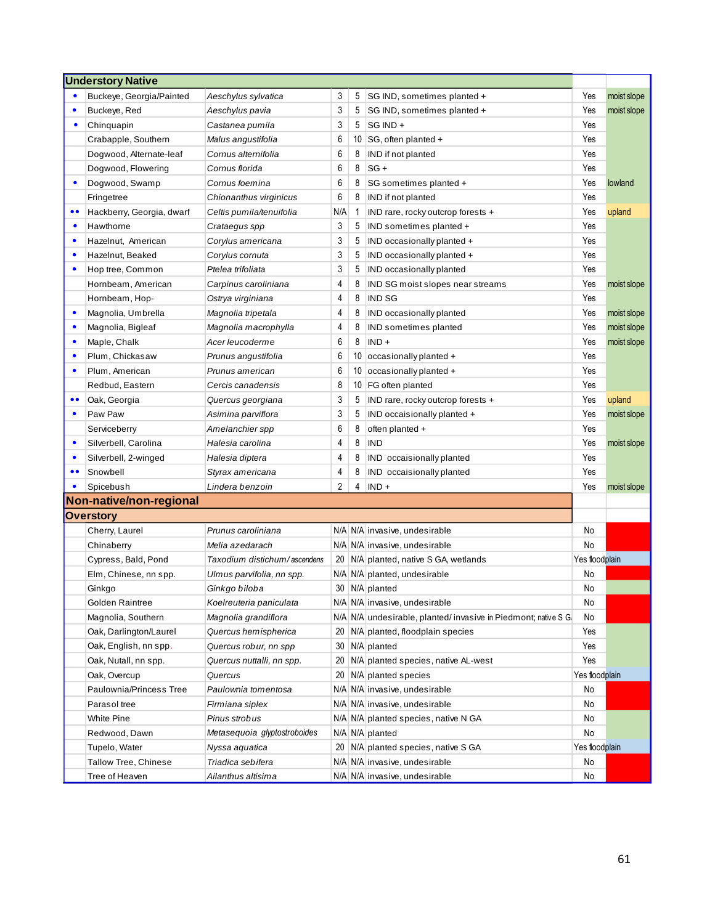|                  | <b>Understory Native</b>  |                              |                 |    |                                                                |                |             |
|------------------|---------------------------|------------------------------|-----------------|----|----------------------------------------------------------------|----------------|-------------|
|                  | Buckeye, Georgia/Painted  | Aeschylus sylvatica          | 3               | 5  | SG IND, sometimes planted +                                    | Yes            | moist slope |
| $\bullet$        | Buckeye, Red              | Aeschylus pavia              | 3               | 5  | SG IND, sometimes planted +                                    | Yes            | moist slope |
| $\bullet$        | Chinguapin                | Castanea pumila              | 3               | 5  | SG IND +                                                       | Yes            |             |
|                  | Crabapple, Southern       | Malus angustifolia           | 6               | 10 | SG, often planted +                                            | Yes            |             |
|                  | Dogwood, Alternate-leaf   | Cornus alternifolia          | 6               | 8  | IND if not planted                                             | Yes            |             |
|                  | Dogwood, Flowering        | Cornus florida               | 6               | 8  | $SG +$                                                         | Yes            |             |
| $\bullet$        | Dogwood, Swamp            | Cornus foemina               | 6               | 8  | SG sometimes planted +                                         | Yes            | lowland     |
|                  | Fringetree                | Chionanthus virginicus       | 6               | 8  | IND if not planted                                             | Yes            |             |
| $\bullet$        | Hackberry, Georgia, dwarf | Celtis pumila/tenuifolia     | N/A             | -1 | IND rare, rocky outcrop forests +                              | Yes            | upland      |
| $\bullet$        | Hawthorne                 | Crataegus spp                | 3               | 5  | IND sometimes planted +                                        | Yes            |             |
| $\bullet$        | Hazelnut, American        | Corylus americana            | 3               | 5  | IND occasionally planted +                                     | Yes            |             |
| ٠                | Hazelnut, Beaked          | Corylus cornuta              | 3               | 5  | IND occasionally planted +                                     | Yes            |             |
| $\bullet$        | Hop tree, Common          | Ptelea trifoliata            | 3               | 5  | IND occasionally planted                                       | Yes            |             |
|                  | Hornbeam, American        | Carpinus caroliniana         | 4               | 8  | IND SG moist slopes near streams                               | Yes            | moist slope |
|                  | Hornbeam, Hop-            | Ostrya virginiana            | 4               | 8  | <b>IND SG</b>                                                  | Yes            |             |
| $\bullet$        | Magnolia, Umbrella        | Magnolia tripetala           | 4               | 8  | IND occasionally planted                                       | Yes            | moist slope |
| $\bullet$        | Magnolia, Bigleaf         | Magnolia macrophylla         | 4               | 8  | IND sometimes planted                                          | Yes            | moist slope |
| $\bullet$        | Maple, Chalk              | Acer leucoderme              | 6               | 8  | $IND +$                                                        | Yes            | moist slope |
| $\bullet$        | Plum, Chickasaw           | Prunus angustifolia          | 6               | 10 | occasionally planted +                                         | Yes            |             |
| $\bullet$        | Plum, American            | Prunus american              | 6               | 10 | occasionally planted +                                         | Yes            |             |
|                  | Redbud, Eastern           | Cercis canadensis            | 8               | 10 | FG often planted                                               | Yes            |             |
| $\bullet$        | Oak, Georgia              | Quercus georgiana            | 3               | 5  | IND rare, rocky outcrop forests +                              | Yes            | upland      |
| $\bullet$        | Paw Paw                   | Asimina parviflora           | 3               | 5  | IND occaisionally planted +                                    | Yes            | moist slope |
|                  | Serviceberry              | Amelanchier spp              | 6               | 8  | often planted +                                                | Yes            |             |
| $\bullet$        | Silverbell, Carolina      | Halesia carolina             | 4               | 8  | <b>IND</b>                                                     | Yes            | moist slope |
| $\bullet$        | Silverbell, 2-winged      | Halesia diptera              | 4               | 8  | IND occaisionally planted                                      | Yes            |             |
| $\bullet\bullet$ | Snowbell                  | Styrax americana             | 4               | 8  | IND occaisionally planted                                      | Yes            |             |
| $\bullet$        | Spicebush                 | Lindera benzoin              | $\overline{2}$  | 4  | $IND +$                                                        | Yes            | moist slope |
|                  | Non-native/non-regional   |                              |                 |    |                                                                |                |             |
|                  | <b>Overstory</b>          |                              |                 |    |                                                                |                |             |
|                  | Cherry, Laurel            | Prunus caroliniana           |                 |    | N/A N/A invasive, undesirable                                  | No             |             |
|                  | Chinaberry                | Melia azedarach              |                 |    | N/A N/A invasive, undesirable                                  | No             |             |
|                  | Cypress, Bald, Pond       | Taxodium distichum/ascendens | 20 <sup>1</sup> |    | N/A planted, native S GA, wetlands                             | Yes floodplain |             |
|                  | Elm, Chinese, nn spp.     | Ulmus parvifolia, nn spp.    |                 |    | N/A N/A planted, undesirable                                   | No             |             |
|                  | Ginkgo                    | Ginkgo biloba                | $30-1$          |    | N/A planted                                                    | No             |             |
|                  | Golden Raintree           | Koelreuteria paniculata      |                 |    | N/A N/A invasive, undesirable                                  | No             |             |
|                  | Magnolia, Southern        | Magnolia grandiflora         |                 |    | N/A N/A undesirable, planted/invasive in Piedmont; native S G. | No             |             |
|                  | Oak, Darlington/Laurel    | Quercus hemispherica         | 20 <sub>1</sub> |    | N/A planted, floodplain species                                | Yes            |             |
|                  | Oak, English, nn spp.     | Quercus robur, nn spp        | 30 <sup>1</sup> |    | N/A planted                                                    | Yes            |             |
|                  | Oak, Nutall, nn spp.      | Quercus nuttalli, nn spp.    | 20 <sub>1</sub> |    | N/A planted species, native AL-west                            | Yes            |             |
|                  | Oak, Overcup              | Quercus                      | 20 <sub>1</sub> |    | N/A planted species                                            | Yes floodplain |             |
|                  | Paulownia/Princess Tree   | Paulownia tomentosa          |                 |    | N/A N/A invasive, undesirable                                  | No             |             |
|                  | Parasol tree              | Firmiana siplex              |                 |    | N/A N/A invasive, undesirable                                  | No             |             |
|                  | White Pine                | Pinus strobus                |                 |    | N/A N/A planted species, native N GA                           | No             |             |
|                  | Redwood, Dawn             | Metasequoia glyptostroboides |                 |    | N/A N/A planted                                                | No             |             |
|                  | Tupelo, Water             | Nyssa aquatica               | 20 <sub>1</sub> |    | N/A planted species, native S GA                               | Yes floodplain |             |
|                  | Tallow Tree, Chinese      | Triadica sebifera            |                 |    | N/A N/A invasive, undesirable                                  | No             |             |
|                  | Tree of Heaven            | Ailanthus altisima           |                 |    | N/A N/A invasive, undesirable                                  | No             |             |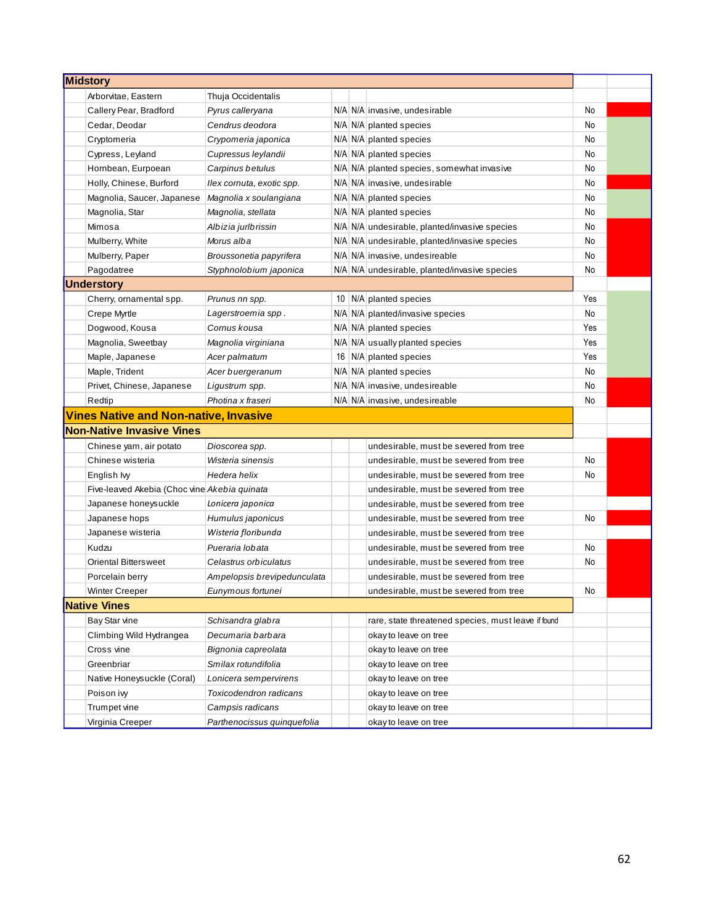| <b>Midstory</b>                              |                             |  |                                                     |     |  |
|----------------------------------------------|-----------------------------|--|-----------------------------------------------------|-----|--|
| Arborvitae, Eastern                          | Thuja Occidentalis          |  |                                                     |     |  |
| Callery Pear, Bradford                       | Pyrus calleryana            |  | N/A N/A invasive, undesirable                       | No  |  |
| Cedar, Deodar                                | Cendrus deodora             |  | N/A N/A planted species                             | No  |  |
| Cryptomeria                                  | Crypomeria japonica         |  | N/A N/A planted species                             | No  |  |
| Cypress, Leyland                             | Cupressus leylandii         |  | N/A N/A planted species                             | No  |  |
| Hornbean, Eurpoean                           | Carpinus betulus            |  | N/A N/A planted species, somewhat invasive          | No  |  |
| Holly, Chinese, Burford                      | Ilex cornuta, exotic spp.   |  | N/A N/A invasive, undesirable                       | No  |  |
| Magnolia, Saucer, Japanese                   | Magnolia x soulangiana      |  | N/A N/A planted species                             | No  |  |
| Magnolia, Star                               | Magnolia, stellata          |  | N/A N/A planted species                             | No  |  |
| Mimosa                                       | Albizia jurlbrissin         |  | N/A N/A undesirable, planted/invasive species       | No  |  |
| Mulberry, White                              | Morus alba                  |  | N/A N/A undesirable, planted/invasive species       | No  |  |
| Mulberry, Paper                              | Broussonetia papyrifera     |  | N/A N/A invasive, undesireable                      | No  |  |
| Pagodatree                                   | Styphnolobium japonica      |  | N/A N/A undesirable, planted/invasive species       | No  |  |
| <b>Understory</b>                            |                             |  |                                                     |     |  |
| Cherry, ornamental spp.                      | Prunus nn spp.              |  | 10   N/A   planted species                          | Yes |  |
| Crepe Myrtle                                 | Lagerstroemia spp.          |  | N/A N/A planted/invasive species                    | No  |  |
| Dogwood, Kousa                               | Cornus kousa                |  | N/A N/A planted species                             | Yes |  |
| Magnolia, Sweetbay                           | Magnolia virginiana         |  | N/A N/A usually planted species                     | Yes |  |
| Maple, Japanese                              | Acer palmatum               |  | 16   N/A   planted species                          | Yes |  |
| Maple, Trident                               | Acer buergeranum            |  | N/A N/A planted species                             | No  |  |
| Privet, Chinese, Japanese                    | Ligustrum spp.              |  | N/A N/A invasive, undesireable                      | No  |  |
| Redtip                                       | Photina x fraseri           |  | N/A N/A invasive, undesireable                      | No  |  |
| <b>Vines Native and Non-native, Invasive</b> |                             |  |                                                     |     |  |
| <b>Non-Native Invasive Vines</b>             |                             |  |                                                     |     |  |
| Chinese yam, air potato                      | Dioscorea spp.              |  | undesirable, must be severed from tree              |     |  |
| Chinese wisteria                             | Wisteria sinensis           |  | undesirable, must be severed from tree              | No  |  |
| English lvy                                  | Hedera helix                |  | undesirable, must be severed from tree              | No  |  |
| Five-leaved Akebia (Choc vine Akebia quinata |                             |  | undesirable, must be severed from tree              |     |  |
| Japanese honeysuckle                         | Lonicera japonica           |  | undesirable, must be severed from tree              |     |  |
| Japanese hops                                | Humulus japonicus           |  | undesirable, must be severed from tree              | No  |  |
| Japanese wisteria                            | Wisteria floribunda         |  | undesirable, must be severed from tree              |     |  |
| Kudzu                                        | Pueraria lobata             |  | undesirable, must be severed from tree              | No  |  |
| <b>Oriental Bittersweet</b>                  | Celastrus orbiculatus       |  | undesirable, must be severed from tree              | No  |  |
| Porcelain berry                              | Ampelopsis brevipedunculata |  | undesirable, must be severed from tree              |     |  |
| Winter Creeper                               | Eunymous fortunei           |  | undesirable, must be severed from tree              | No  |  |
| <b>Native Vines</b>                          |                             |  |                                                     |     |  |
| Bay Star vine                                | Schisandra glabra           |  | rare, state threatened species, must leave if found |     |  |
| Climbing Wild Hydrangea                      | Decumaria barbara           |  | okay to leave on tree                               |     |  |
| Cross vine                                   | Bignonia capreolata         |  | okay to leave on tree                               |     |  |
| Greenbriar                                   | Smilax rotundifolia         |  | okay to leave on tree                               |     |  |
| Native Honeysuckle (Coral)                   | Lonicera sempervirens       |  | okay to leave on tree                               |     |  |
| Poison ivy                                   | Toxicodendron radicans      |  | okay to leave on tree                               |     |  |
| Trumpet vine                                 | Campsis radicans            |  | okay to leave on tree                               |     |  |
| Virginia Creeper                             | Parthenocissus quinquefolia |  | okay to leave on tree                               |     |  |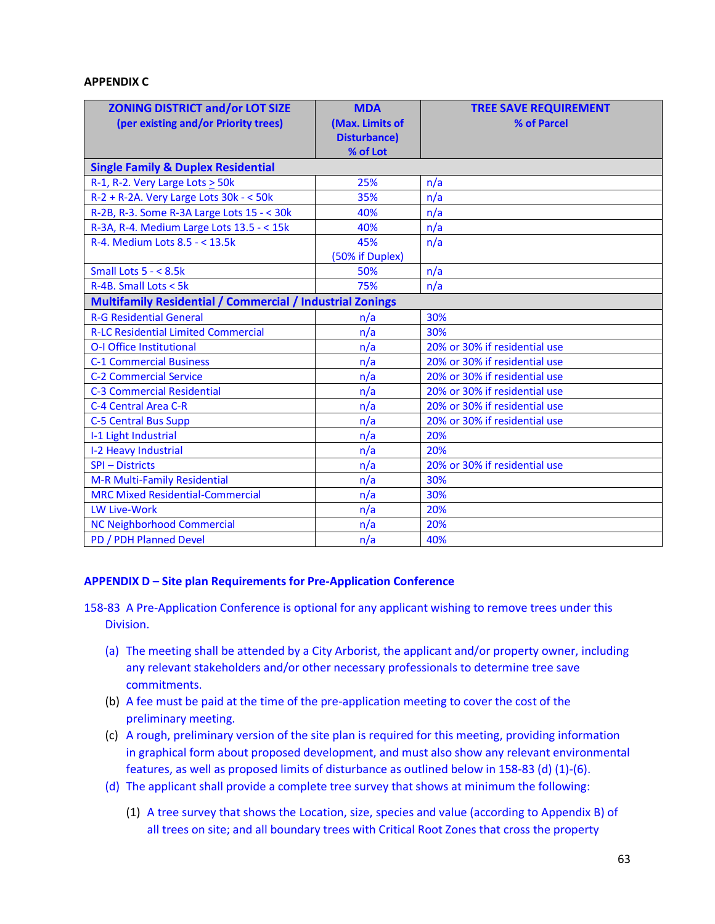#### **APPENDIX C**

| <b>ZONING DISTRICT and/or LOT SIZE</b>                           | <b>MDA</b>           | <b>TREE SAVE REQUIREMENT</b>  |
|------------------------------------------------------------------|----------------------|-------------------------------|
| (per existing and/or Priority trees)                             | (Max. Limits of      | % of Parcel                   |
|                                                                  | <b>Disturbance</b> ) |                               |
|                                                                  | % of Lot             |                               |
| <b>Single Family &amp; Duplex Residential</b>                    |                      |                               |
| R-1, R-2. Very Large Lots > 50k                                  | 25%                  | n/a                           |
| $R-2$ + R-2A. Very Large Lots 30k - < 50k                        | 35%                  | n/a                           |
| R-2B, R-3. Some R-3A Large Lots 15 - < 30k                       | 40%                  | n/a                           |
| R-3A, R-4. Medium Large Lots 13.5 - < 15k                        | 40%                  | n/a                           |
| R-4. Medium Lots 8.5 - < 13.5k                                   | 45%                  | n/a                           |
|                                                                  | (50% if Duplex)      |                               |
| Small Lots $5 - < 8.5k$                                          | 50%                  | n/a                           |
| $R-4B$ . Small Lots < 5k                                         | 75%                  | n/a                           |
| <b>Multifamily Residential / Commercial / Industrial Zonings</b> |                      |                               |
| <b>R-G Residential General</b>                                   | n/a                  | 30%                           |
| <b>R-LC Residential Limited Commercial</b>                       | n/a                  | 30%                           |
| <b>O-I Office Institutional</b>                                  | n/a                  | 20% or 30% if residential use |
| <b>C-1 Commercial Business</b>                                   | n/a                  | 20% or 30% if residential use |
| <b>C-2 Commercial Service</b>                                    | n/a                  | 20% or 30% if residential use |
| <b>C-3 Commercial Residential</b>                                | n/a                  | 20% or 30% if residential use |
| C-4 Central Area C-R                                             | n/a                  | 20% or 30% if residential use |
| <b>C-5 Central Bus Supp</b>                                      | n/a                  | 20% or 30% if residential use |
| I-1 Light Industrial                                             | n/a                  | 20%                           |
| I-2 Heavy Industrial                                             | n/a                  | 20%                           |
| <b>SPI - Districts</b>                                           | n/a                  | 20% or 30% if residential use |
| M-R Multi-Family Residential                                     | n/a                  | 30%                           |
| <b>MRC Mixed Residential-Commercial</b>                          | n/a                  | 30%                           |
| <b>LW Live-Work</b>                                              | n/a                  | 20%                           |
| <b>NC Neighborhood Commercial</b>                                | n/a                  | 20%                           |
| PD / PDH Planned Devel                                           | n/a                  | 40%                           |

#### **APPENDIX D – Site plan Requirements for Pre-Application Conference**

- 158-83 A Pre-Application Conference is optional for any applicant wishing to remove trees under this Division.
	- (a) The meeting shall be attended by a City Arborist, the applicant and/or property owner, including any relevant stakeholders and/or other necessary professionals to determine tree save commitments.
	- (b) A fee must be paid at the time of the pre-application meeting to cover the cost of the preliminary meeting.
	- (c) A rough, preliminary version of the site plan is required for this meeting, providing information in graphical form about proposed development, and must also show any relevant environmental features, as well as proposed limits of disturbance as outlined below in 158-83 (d) (1)-(6).
	- (d) The applicant shall provide a complete tree survey that shows at minimum the following:
		- (1) A tree survey that shows the Location, size, species and value (according to Appendix B) of all trees on site; and all boundary trees with Critical Root Zones that cross the property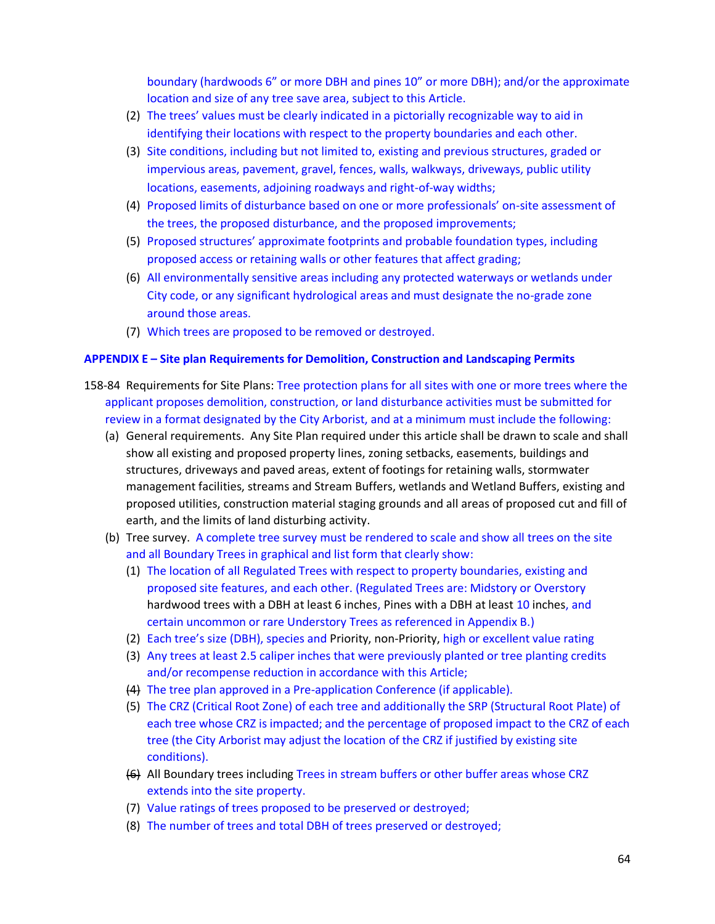boundary (hardwoods 6" or more DBH and pines 10" or more DBH); and/or the approximate location and size of any tree save area, subject to this Article.

- (2) The trees' values must be clearly indicated in a pictorially recognizable way to aid in identifying their locations with respect to the property boundaries and each other.
- (3) Site conditions, including but not limited to, existing and previous structures, graded or impervious areas, pavement, gravel, fences, walls, walkways, driveways, public utility locations, easements, adjoining roadways and right-of-way widths;
- (4) Proposed limits of disturbance based on one or more professionals' on-site assessment of the trees, the proposed disturbance, and the proposed improvements;
- (5) Proposed structures' approximate footprints and probable foundation types, including proposed access or retaining walls or other features that affect grading;
- (6) All environmentally sensitive areas including any protected waterways or wetlands under City code, or any significant hydrological areas and must designate the no-grade zone around those areas.
- (7) Which trees are proposed to be removed or destroyed.

## **APPENDIX E – Site plan Requirements for Demolition, Construction and Landscaping Permits**

- 158-84 Requirements for Site Plans: Tree protection plans for all sites with one or more trees where the applicant proposes demolition, construction, or land disturbance activities must be submitted for review in a format designated by the City Arborist, and at a minimum must include the following:
	- (a) General requirements. Any Site Plan required under this article shall be drawn to scale and shall show all existing and proposed property lines, zoning setbacks, easements, buildings and structures, driveways and paved areas, extent of footings for retaining walls, stormwater management facilities, streams and Stream Buffers, wetlands and Wetland Buffers, existing and proposed utilities, construction material staging grounds and all areas of proposed cut and fill of earth, and the limits of land disturbing activity.
	- (b) Tree survey. A complete tree survey must be rendered to scale and show all trees on the site and all Boundary Trees in graphical and list form that clearly show:
		- (1) The location of all Regulated Trees with respect to property boundaries, existing and proposed site features, and each other. (Regulated Trees are: Midstory or Overstory hardwood trees with a DBH at least 6 inches, Pines with a DBH at least 10 inches, and certain uncommon or rare Understory Trees as referenced in Appendix B.)
		- (2) Each tree's size (DBH), species and Priority, non-Priority, high or excellent value rating
		- (3) Any trees at least 2.5 caliper inches that were previously planted or tree planting credits and/or recompense reduction in accordance with this Article;
		- (4) The tree plan approved in a Pre-application Conference (if applicable).
		- (5) The CRZ (Critical Root Zone) of each tree and additionally the SRP (Structural Root Plate) of each tree whose CRZ is impacted; and the percentage of proposed impact to the CRZ of each tree (the City Arborist may adjust the location of the CRZ if justified by existing site conditions).
		- (6) All Boundary trees including Trees in stream buffers or other buffer areas whose CRZ extends into the site property.
		- (7) Value ratings of trees proposed to be preserved or destroyed;
		- (8) The number of trees and total DBH of trees preserved or destroyed;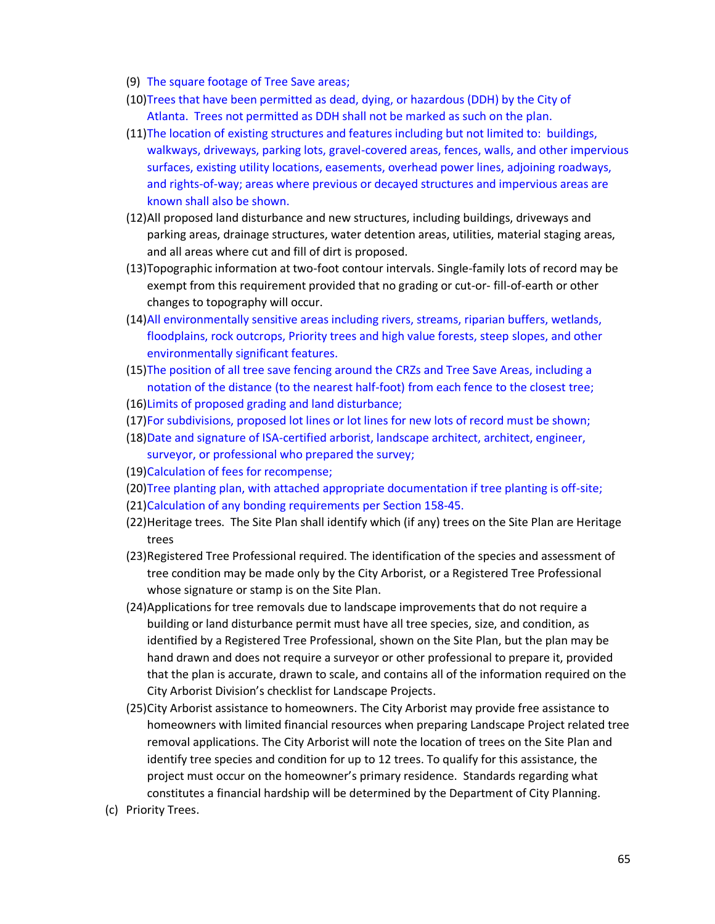- (9) The square footage of Tree Save areas;
- (10)Trees that have been permitted as dead, dying, or hazardous (DDH) by the City of Atlanta. Trees not permitted as DDH shall not be marked as such on the plan.
- (11)The location of existing structures and features including but not limited to: buildings, walkways, driveways, parking lots, gravel-covered areas, fences, walls, and other impervious surfaces, existing utility locations, easements, overhead power lines, adjoining roadways, and rights-of-way; areas where previous or decayed structures and impervious areas are known shall also be shown.
- (12)All proposed land disturbance and new structures, including buildings, driveways and parking areas, drainage structures, water detention areas, utilities, material staging areas, and all areas where cut and fill of dirt is proposed.
- (13)Topographic information at two-foot contour intervals. Single-family lots of record may be exempt from this requirement provided that no grading or cut-or- fill-of-earth or other changes to topography will occur.
- (14)All environmentally sensitive areas including rivers, streams, riparian buffers, wetlands, floodplains, rock outcrops, Priority trees and high value forests, steep slopes, and other environmentally significant features.
- (15)The position of all tree save fencing around the CRZs and Tree Save Areas, including a notation of the distance (to the nearest half-foot) from each fence to the closest tree;
- (16)Limits of proposed grading and land disturbance;
- (17)For subdivisions, proposed lot lines or lot lines for new lots of record must be shown;
- (18)Date and signature of ISA-certified arborist, landscape architect, architect, engineer, surveyor, or professional who prepared the survey;
- (19)Calculation of fees for recompense;
- (20)Tree planting plan, with attached appropriate documentation if tree planting is off-site;
- (21)Calculation of any bonding requirements per Section 158-45.
- (22)Heritage trees. The Site Plan shall identify which (if any) trees on the Site Plan are Heritage trees
- (23)Registered Tree Professional required. The identification of the species and assessment of tree condition may be made only by the City Arborist, or a Registered Tree Professional whose signature or stamp is on the Site Plan.
- (24)Applications for tree removals due to landscape improvements that do not require a building or land disturbance permit must have all tree species, size, and condition, as identified by a Registered Tree Professional, shown on the Site Plan, but the plan may be hand drawn and does not require a surveyor or other professional to prepare it, provided that the plan is accurate, drawn to scale, and contains all of the information required on the City Arborist Division's checklist for Landscape Projects.
- (25)City Arborist assistance to homeowners. The City Arborist may provide free assistance to homeowners with limited financial resources when preparing Landscape Project related tree removal applications. The City Arborist will note the location of trees on the Site Plan and identify tree species and condition for up to 12 trees. To qualify for this assistance, the project must occur on the homeowner's primary residence. Standards regarding what constitutes a financial hardship will be determined by the Department of City Planning.
- (c) Priority Trees.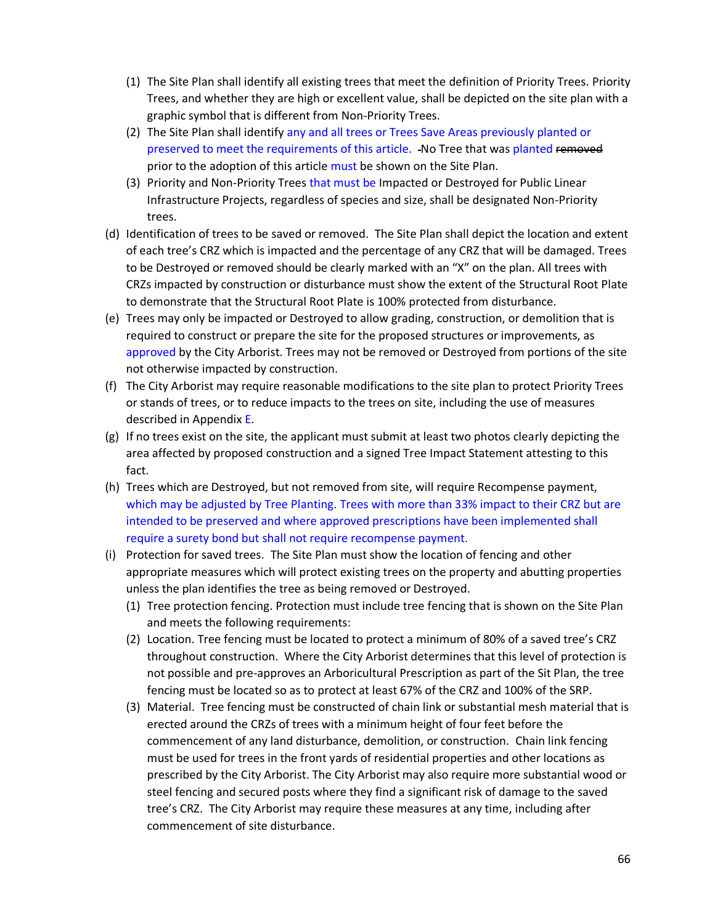- (1) The Site Plan shall identify all existing trees that meet the definition of Priority Trees. Priority Trees, and whether they are high or excellent value, shall be depicted on the site plan with a graphic symbol that is different from Non-Priority Trees.
- (2) The Site Plan shall identify any and all trees or Trees Save Areas previously planted or preserved to meet the requirements of this article. No Tree that was planted removed prior to the adoption of this article must be shown on the Site Plan.
- (3) Priority and Non-Priority Trees that must be Impacted or Destroyed for Public Linear Infrastructure Projects, regardless of species and size, shall be designated Non-Priority trees.
- (d) Identification of trees to be saved or removed. The Site Plan shall depict the location and extent of each tree's CRZ which is impacted and the percentage of any CRZ that will be damaged. Trees to be Destroyed or removed should be clearly marked with an "X" on the plan. All trees with CRZs impacted by construction or disturbance must show the extent of the Structural Root Plate to demonstrate that the Structural Root Plate is 100% protected from disturbance.
- (e) Trees may only be impacted or Destroyed to allow grading, construction, or demolition that is required to construct or prepare the site for the proposed structures or improvements, as approved by the City Arborist. Trees may not be removed or Destroyed from portions of the site not otherwise impacted by construction.
- (f) The City Arborist may require reasonable modifications to the site plan to protect Priority Trees or stands of trees, or to reduce impacts to the trees on site, including the use of measures described in Appendix E.
- (g) If no trees exist on the site, the applicant must submit at least two photos clearly depicting the area affected by proposed construction and a signed Tree Impact Statement attesting to this fact.
- (h) Trees which are Destroyed, but not removed from site, will require Recompense payment, which may be adjusted by Tree Planting. Trees with more than 33% impact to their CRZ but are intended to be preserved and where approved prescriptions have been implemented shall require a surety bond but shall not require recompense payment.
- (i) Protection for saved trees. The Site Plan must show the location of fencing and other appropriate measures which will protect existing trees on the property and abutting properties unless the plan identifies the tree as being removed or Destroyed.
	- (1) Tree protection fencing. Protection must include tree fencing that is shown on the Site Plan and meets the following requirements:
	- (2) Location. Tree fencing must be located to protect a minimum of 80% of a saved tree's CRZ throughout construction. Where the City Arborist determines that this level of protection is not possible and pre-approves an Arboricultural Prescription as part of the Sit Plan, the tree fencing must be located so as to protect at least 67% of the CRZ and 100% of the SRP.
	- (3) Material. Tree fencing must be constructed of chain link or substantial mesh material that is erected around the CRZs of trees with a minimum height of four feet before the commencement of any land disturbance, demolition, or construction. Chain link fencing must be used for trees in the front yards of residential properties and other locations as prescribed by the City Arborist. The City Arborist may also require more substantial wood or steel fencing and secured posts where they find a significant risk of damage to the saved tree's CRZ. The City Arborist may require these measures at any time, including after commencement of site disturbance.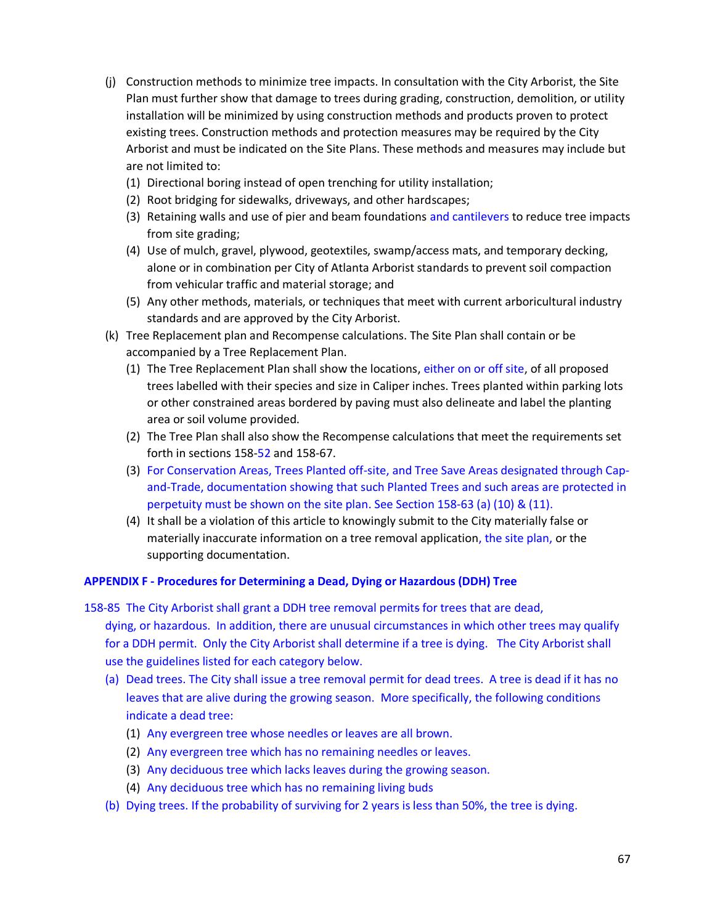- (j) Construction methods to minimize tree impacts. In consultation with the City Arborist, the Site Plan must further show that damage to trees during grading, construction, demolition, or utility installation will be minimized by using construction methods and products proven to protect existing trees. Construction methods and protection measures may be required by the City Arborist and must be indicated on the Site Plans. These methods and measures may include but are not limited to:
	- (1) Directional boring instead of open trenching for utility installation;
	- (2) Root bridging for sidewalks, driveways, and other hardscapes;
	- (3) Retaining walls and use of pier and beam foundations and cantilevers to reduce tree impacts from site grading;
	- (4) Use of mulch, gravel, plywood, geotextiles, swamp/access mats, and temporary decking, alone or in combination per City of Atlanta Arborist standards to prevent soil compaction from vehicular traffic and material storage; and
	- (5) Any other methods, materials, or techniques that meet with current arboricultural industry standards and are approved by the City Arborist.
- (k) Tree Replacement plan and Recompense calculations. The Site Plan shall contain or be accompanied by a Tree Replacement Plan.
	- (1) The Tree Replacement Plan shall show the locations, either on or off site, of all proposed trees labelled with their species and size in Caliper inches. Trees planted within parking lots or other constrained areas bordered by paving must also delineate and label the planting area or soil volume provided.
	- (2) The Tree Plan shall also show the Recompense calculations that meet the requirements set forth in sections 158-52 and 158-67.
	- (3) For Conservation Areas, Trees Planted off-site, and Tree Save Areas designated through Capand-Trade, documentation showing that such Planted Trees and such areas are protected in perpetuity must be shown on the site plan. See Section 158-63 (a) (10) & (11).
	- (4) It shall be a violation of this article to knowingly submit to the City materially false or materially inaccurate information on a tree removal application, the site plan, or the supporting documentation.

# **APPENDIX F - Procedures for Determining a Dead, Dying or Hazardous (DDH) Tree**

158-85 The City Arborist shall grant a DDH tree removal permits for trees that are dead, dying, or hazardous. In addition, there are unusual circumstances in which other trees may qualify for a DDH permit. Only the City Arborist shall determine if a tree is dying. The City Arborist shall use the guidelines listed for each category below.

- (a) Dead trees. The City shall issue a tree removal permit for dead trees. A tree is dead if it has no leaves that are alive during the growing season. More specifically, the following conditions indicate a dead tree:
	- (1) Any evergreen tree whose needles or leaves are all brown.
	- (2) Any evergreen tree which has no remaining needles or leaves.
	- (3) Any deciduous tree which lacks leaves during the growing season.
	- (4) Any deciduous tree which has no remaining living buds
- (b) Dying trees. If the probability of surviving for 2 years is less than 50%, the tree is dying.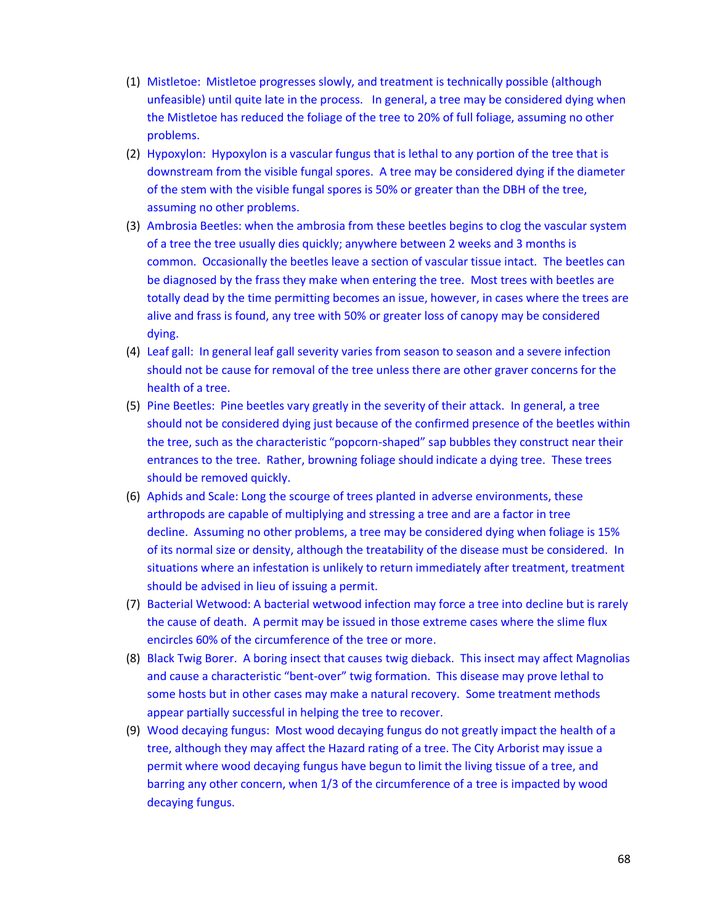- (1) Mistletoe: Mistletoe progresses slowly, and treatment is technically possible (although unfeasible) until quite late in the process. In general, a tree may be considered dying when the Mistletoe has reduced the foliage of the tree to 20% of full foliage, assuming no other problems.
- (2) Hypoxylon: Hypoxylon is a vascular fungus that is lethal to any portion of the tree that is downstream from the visible fungal spores. A tree may be considered dying if the diameter of the stem with the visible fungal spores is 50% or greater than the DBH of the tree, assuming no other problems.
- (3) Ambrosia Beetles: when the ambrosia from these beetles begins to clog the vascular system of a tree the tree usually dies quickly; anywhere between 2 weeks and 3 months is common. Occasionally the beetles leave a section of vascular tissue intact. The beetles can be diagnosed by the frass they make when entering the tree. Most trees with beetles are totally dead by the time permitting becomes an issue, however, in cases where the trees are alive and frass is found, any tree with 50% or greater loss of canopy may be considered dying.
- (4) Leaf gall: In general leaf gall severity varies from season to season and a severe infection should not be cause for removal of the tree unless there are other graver concerns for the health of a tree.
- (5) Pine Beetles: Pine beetles vary greatly in the severity of their attack. In general, a tree should not be considered dying just because of the confirmed presence of the beetles within the tree, such as the characteristic "popcorn-shaped" sap bubbles they construct near their entrances to the tree. Rather, browning foliage should indicate a dying tree. These trees should be removed quickly.
- (6) Aphids and Scale: Long the scourge of trees planted in adverse environments, these arthropods are capable of multiplying and stressing a tree and are a factor in tree decline. Assuming no other problems, a tree may be considered dying when foliage is 15% of its normal size or density, although the treatability of the disease must be considered. In situations where an infestation is unlikely to return immediately after treatment, treatment should be advised in lieu of issuing a permit.
- (7) Bacterial Wetwood: A bacterial wetwood infection may force a tree into decline but is rarely the cause of death. A permit may be issued in those extreme cases where the slime flux encircles 60% of the circumference of the tree or more.
- (8) Black Twig Borer. A boring insect that causes twig dieback. This insect may affect Magnolias and cause a characteristic "bent-over" twig formation. This disease may prove lethal to some hosts but in other cases may make a natural recovery. Some treatment methods appear partially successful in helping the tree to recover.
- (9) Wood decaying fungus: Most wood decaying fungus do not greatly impact the health of a tree, although they may affect the Hazard rating of a tree. The City Arborist may issue a permit where wood decaying fungus have begun to limit the living tissue of a tree, and barring any other concern, when 1/3 of the circumference of a tree is impacted by wood decaying fungus.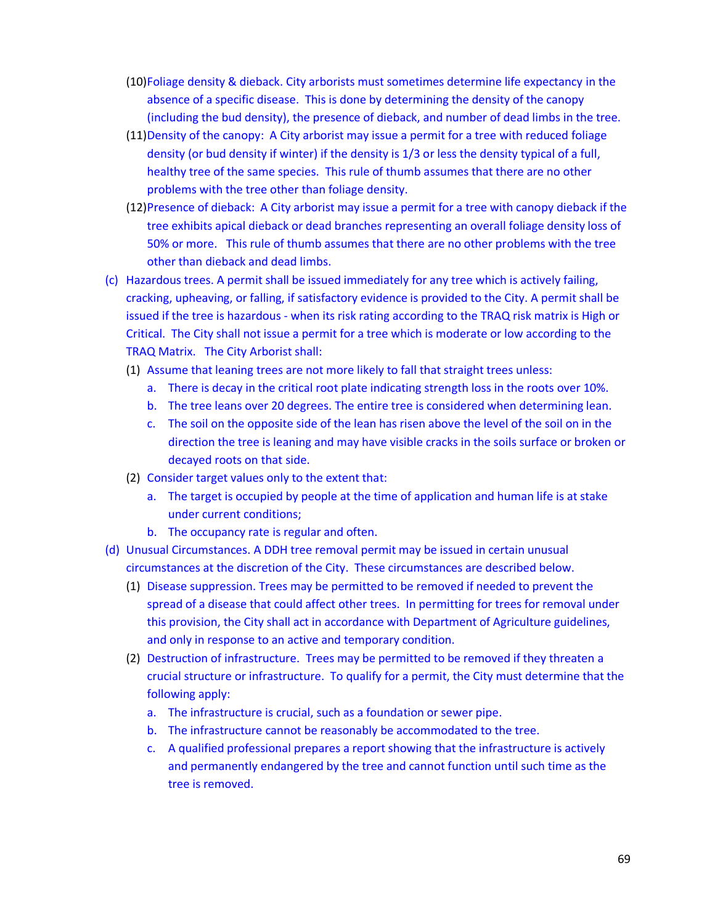- (10)Foliage density & dieback. City arborists must sometimes determine life expectancy in the absence of a specific disease. This is done by determining the density of the canopy (including the bud density), the presence of dieback, and number of dead limbs in the tree.
- (11)Density of the canopy: A City arborist may issue a permit for a tree with reduced foliage density (or bud density if winter) if the density is 1/3 or less the density typical of a full, healthy tree of the same species. This rule of thumb assumes that there are no other problems with the tree other than foliage density.
- (12)Presence of dieback: A City arborist may issue a permit for a tree with canopy dieback if the tree exhibits apical dieback or dead branches representing an overall foliage density loss of 50% or more. This rule of thumb assumes that there are no other problems with the tree other than dieback and dead limbs.
- (c) Hazardous trees. A permit shall be issued immediately for any tree which is actively failing, cracking, upheaving, or falling, if satisfactory evidence is provided to the City. A permit shall be issued if the tree is hazardous - when its risk rating according to the TRAQ risk matrix is High or Critical. The City shall not issue a permit for a tree which is moderate or low according to the TRAQ Matrix. The City Arborist shall:
	- (1) Assume that leaning trees are not more likely to fall that straight trees unless:
		- a. There is decay in the critical root plate indicating strength loss in the roots over 10%.
		- b. The tree leans over 20 degrees. The entire tree is considered when determining lean.
		- c. The soil on the opposite side of the lean has risen above the level of the soil on in the direction the tree is leaning and may have visible cracks in the soils surface or broken or decayed roots on that side.
	- (2) Consider target values only to the extent that:
		- a. The target is occupied by people at the time of application and human life is at stake under current conditions;
		- b. The occupancy rate is regular and often.
- (d) Unusual Circumstances. A DDH tree removal permit may be issued in certain unusual circumstances at the discretion of the City. These circumstances are described below.
	- (1) Disease suppression. Trees may be permitted to be removed if needed to prevent the spread of a disease that could affect other trees. In permitting for trees for removal under this provision, the City shall act in accordance with Department of Agriculture guidelines, and only in response to an active and temporary condition.
	- (2) Destruction of infrastructure. Trees may be permitted to be removed if they threaten a crucial structure or infrastructure. To qualify for a permit, the City must determine that the following apply:
		- a. The infrastructure is crucial, such as a foundation or sewer pipe.
		- b. The infrastructure cannot be reasonably be accommodated to the tree.
		- c. A qualified professional prepares a report showing that the infrastructure is actively and permanently endangered by the tree and cannot function until such time as the tree is removed.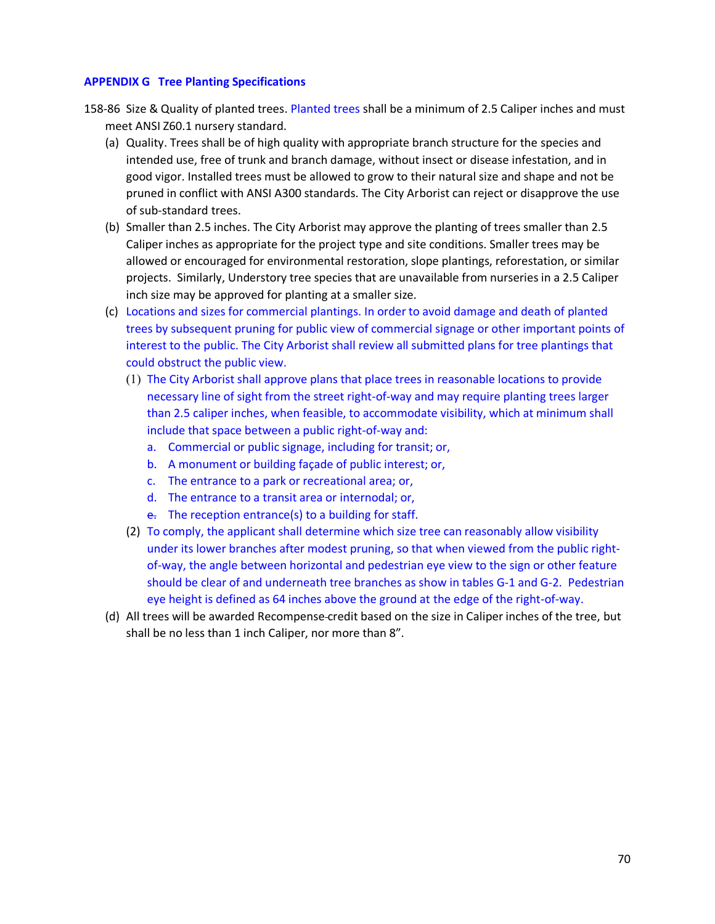## **APPENDIX G Tree Planting Specifications**

- 158-86 Size & Quality of planted trees. Planted trees shall be a minimum of 2.5 Caliper inches and must meet ANSI Z60.1 nursery standard.
	- (a) Quality. Trees shall be of high quality with appropriate branch structure for the species and intended use, free of trunk and branch damage, without insect or disease infestation, and in good vigor. Installed trees must be allowed to grow to their natural size and shape and not be pruned in conflict with ANSI A300 standards. The City Arborist can reject or disapprove the use of sub-standard trees.
	- (b) Smaller than 2.5 inches. The City Arborist may approve the planting of trees smaller than 2.5 Caliper inches as appropriate for the project type and site conditions. Smaller trees may be allowed or encouraged for environmental restoration, slope plantings, reforestation, or similar projects. Similarly, Understory tree species that are unavailable from nurseries in a 2.5 Caliper inch size may be approved for planting at a smaller size.
	- (c) Locations and sizes for commercial plantings. In order to avoid damage and death of planted trees by subsequent pruning for public view of commercial signage or other important points of interest to the public. The City Arborist shall review all submitted plans for tree plantings that could obstruct the public view.
		- (1) The City Arborist shall approve plans that place trees in reasonable locations to provide necessary line of sight from the street right-of-way and may require planting trees larger than 2.5 caliper inches, when feasible, to accommodate visibility, which at minimum shall include that space between a public right-of-way and:
			- a. Commercial or public signage, including for transit; or,
			- b. A monument or building façade of public interest; or,
			- c. The entrance to a park or recreational area; or,
			- d. The entrance to a transit area or internodal; or,
			- e. The reception entrance(s) to a building for staff.
		- (2) To comply, the applicant shall determine which size tree can reasonably allow visibility under its lower branches after modest pruning, so that when viewed from the public rightof-way, the angle between horizontal and pedestrian eye view to the sign or other feature should be clear of and underneath tree branches as show in tables G-1 and G-2. Pedestrian eye height is defined as 64 inches above the ground at the edge of the right-of-way.
	- (d) All trees will be awarded Recompense credit based on the size in Caliper inches of the tree, but shall be no less than 1 inch Caliper, nor more than 8".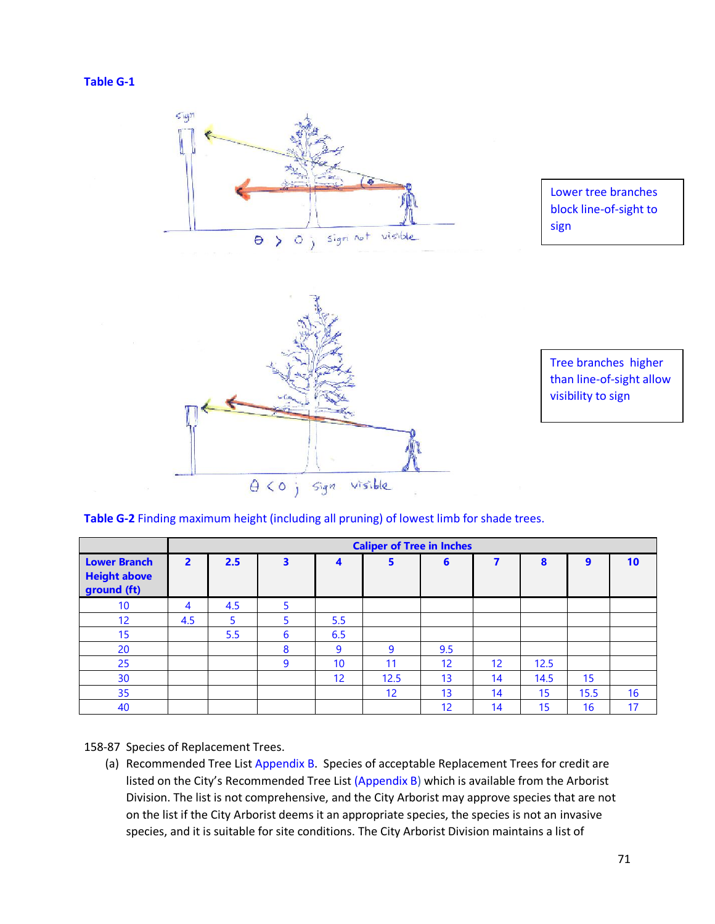



| Table G-2 Finding maximum height (including all pruning) of lowest limb for shade trees. |  |
|------------------------------------------------------------------------------------------|--|
|------------------------------------------------------------------------------------------|--|

|                                                           | <b>Caliper of Tree in Inches</b> |                |   |                 |                 |                 |                 |      |      |    |  |  |
|-----------------------------------------------------------|----------------------------------|----------------|---|-----------------|-----------------|-----------------|-----------------|------|------|----|--|--|
| <b>Lower Branch</b><br><b>Height above</b><br>ground (ft) | $\overline{2}$                   | 2.5            | 3 | 4               | 5               | 6               |                 | 8    | 9    | 10 |  |  |
| 10                                                        | 4                                | 4.5            | 5 |                 |                 |                 |                 |      |      |    |  |  |
| 12                                                        | 4.5                              | $\overline{5}$ | 5 | 5.5             |                 |                 |                 |      |      |    |  |  |
| 15                                                        |                                  | 5.5            | 6 | 6.5             |                 |                 |                 |      |      |    |  |  |
| 20                                                        |                                  |                | 8 | 9               | 9               | 9.5             |                 |      |      |    |  |  |
| 25                                                        |                                  |                | 9 | 10              | 11              | 12 <sup>°</sup> | 12 <sup>2</sup> | 12.5 |      |    |  |  |
| 30                                                        |                                  |                |   | 12 <sup>2</sup> | 12.5            | 13              | 14              | 14.5 | 15   |    |  |  |
| 35                                                        |                                  |                |   |                 | 12 <sup>2</sup> | 13              | 14              | 15   | 15.5 | 16 |  |  |
| 40                                                        |                                  |                |   |                 |                 | 12              | 14              | 15   | 16   | 17 |  |  |

158-87 Species of Replacement Trees.

(a) Recommended Tree List Appendix B. Species of acceptable Replacement Trees for credit are listed on the City's Recommended Tree List (Appendix B) which is available from the Arborist Division. The list is not comprehensive, and the City Arborist may approve species that are not on the list if the City Arborist deems it an appropriate species, the species is not an invasive species, and it is suitable for site conditions. The City Arborist Division maintains a list of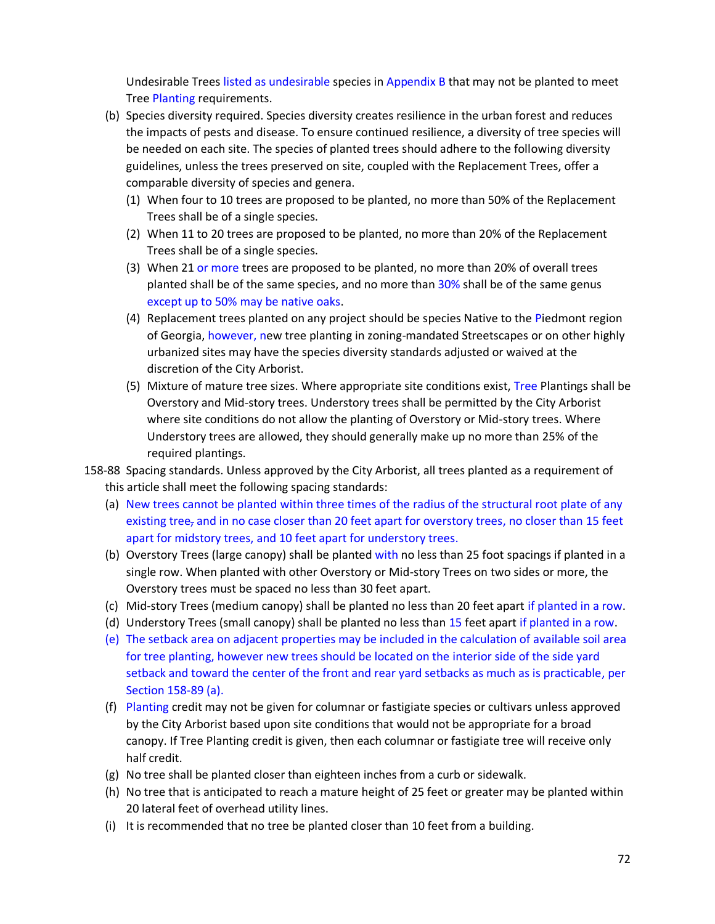Undesirable Trees listed as undesirable species in Appendix B that may not be planted to meet Tree Planting requirements.

- (b) Species diversity required. Species diversity creates resilience in the urban forest and reduces the impacts of pests and disease. To ensure continued resilience, a diversity of tree species will be needed on each site. The species of planted trees should adhere to the following diversity guidelines, unless the trees preserved on site, coupled with the Replacement Trees, offer a comparable diversity of species and genera.
	- (1) When four to 10 trees are proposed to be planted, no more than 50% of the Replacement Trees shall be of a single species.
	- (2) When 11 to 20 trees are proposed to be planted, no more than 20% of the Replacement Trees shall be of a single species.
	- (3) When 21 or more trees are proposed to be planted, no more than 20% of overall trees planted shall be of the same species, and no more than 30% shall be of the same genus except up to 50% may be native oaks.
	- (4) Replacement trees planted on any project should be species Native to the Piedmont region of Georgia, however, new tree planting in zoning-mandated Streetscapes or on other highly urbanized sites may have the species diversity standards adjusted or waived at the discretion of the City Arborist.
	- (5) Mixture of mature tree sizes. Where appropriate site conditions exist, Tree Plantings shall be Overstory and Mid-story trees. Understory trees shall be permitted by the City Arborist where site conditions do not allow the planting of Overstory or Mid-story trees. Where Understory trees are allowed, they should generally make up no more than 25% of the required plantings.
- 158-88 Spacing standards. Unless approved by the City Arborist, all trees planted as a requirement of this article shall meet the following spacing standards:
	- (a) New trees cannot be planted within three times of the radius of the structural root plate of any existing tree<sub>z</sub> and in no case closer than 20 feet apart for overstory trees, no closer than 15 feet apart for midstory trees, and 10 feet apart for understory trees.
	- (b) Overstory Trees (large canopy) shall be planted with no less than 25 foot spacings if planted in a single row. When planted with other Overstory or Mid-story Trees on two sides or more, the Overstory trees must be spaced no less than 30 feet apart.
	- (c) Mid-story Trees (medium canopy) shall be planted no less than 20 feet apart if planted in a row.
	- (d) Understory Trees (small canopy) shall be planted no less than 15 feet apart if planted in a row.
	- (e) The setback area on adjacent properties may be included in the calculation of available soil area for tree planting, however new trees should be located on the interior side of the side yard setback and toward the center of the front and rear yard setbacks as much as is practicable, per Section 158-89 (a).
	- (f) Planting credit may not be given for columnar or fastigiate species or cultivars unless approved by the City Arborist based upon site conditions that would not be appropriate for a broad canopy. If Tree Planting credit is given, then each columnar or fastigiate tree will receive only half credit.
	- (g) No tree shall be planted closer than eighteen inches from a curb or sidewalk.
	- (h) No tree that is anticipated to reach a mature height of 25 feet or greater may be planted within 20 lateral feet of overhead utility lines.
	- (i) It is recommended that no tree be planted closer than 10 feet from a building.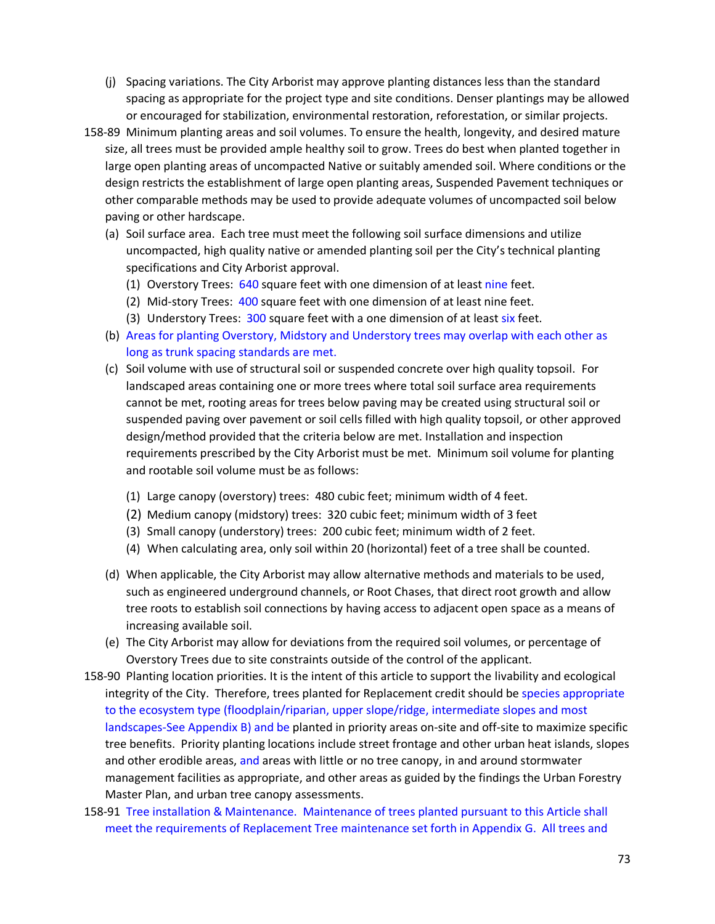- (j) Spacing variations. The City Arborist may approve planting distances less than the standard spacing as appropriate for the project type and site conditions. Denser plantings may be allowed or encouraged for stabilization, environmental restoration, reforestation, or similar projects.
- 158-89 Minimum planting areas and soil volumes. To ensure the health, longevity, and desired mature size, all trees must be provided ample healthy soil to grow. Trees do best when planted together in large open planting areas of uncompacted Native or suitably amended soil. Where conditions or the design restricts the establishment of large open planting areas, Suspended Pavement techniques or other comparable methods may be used to provide adequate volumes of uncompacted soil below paving or other hardscape.
	- (a) Soil surface area. Each tree must meet the following soil surface dimensions and utilize uncompacted, high quality native or amended planting soil per the City's technical planting specifications and City Arborist approval.
		- (1) Overstory Trees: 640 square feet with one dimension of at least nine feet.
		- (2) Mid-story Trees: 400 square feet with one dimension of at least nine feet.
		- (3) Understory Trees: 300 square feet with a one dimension of at least six feet.
	- (b) Areas for planting Overstory, Midstory and Understory trees may overlap with each other as long as trunk spacing standards are met.
	- (c) Soil volume with use of structural soil or suspended concrete over high quality topsoil. For landscaped areas containing one or more trees where total soil surface area requirements cannot be met, rooting areas for trees below paving may be created using structural soil or suspended paving over pavement or soil cells filled with high quality topsoil, or other approved design/method provided that the criteria below are met. Installation and inspection requirements prescribed by the City Arborist must be met.  Minimum soil volume for planting and rootable soil volume must be as follows:
		- (1) Large canopy (overstory) trees:  480 cubic feet; minimum width of 4 feet.
		- (2) Medium canopy (midstory) trees:  320 cubic feet; minimum width of 3 feet
		- (3) Small canopy (understory) trees:  200 cubic feet; minimum width of 2 feet.
		- (4) When calculating area, only soil within 20 (horizontal) feet of a tree shall be counted.
	- (d) When applicable, the City Arborist may allow alternative methods and materials to be used, such as engineered underground channels, or Root Chases, that direct root growth and allow tree roots to establish soil connections by having access to adjacent open space as a means of increasing available soil.
	- (e) The City Arborist may allow for deviations from the required soil volumes, or percentage of Overstory Trees due to site constraints outside of the control of the applicant.
- 158-90 Planting location priorities. It is the intent of this article to support the livability and ecological integrity of the City. Therefore, trees planted for Replacement credit should be species appropriate to the ecosystem type (floodplain/riparian, upper slope/ridge, intermediate slopes and most landscapes-See Appendix B) and be planted in priority areas on-site and off-site to maximize specific tree benefits. Priority planting locations include street frontage and other urban heat islands, slopes and other erodible areas, and areas with little or no tree canopy, in and around stormwater management facilities as appropriate, and other areas as guided by the findings the Urban Forestry Master Plan, and urban tree canopy assessments.
- 158-91 Tree installation & Maintenance. Maintenance of trees planted pursuant to this Article shall meet the requirements of Replacement Tree maintenance set forth in Appendix G.  All trees and